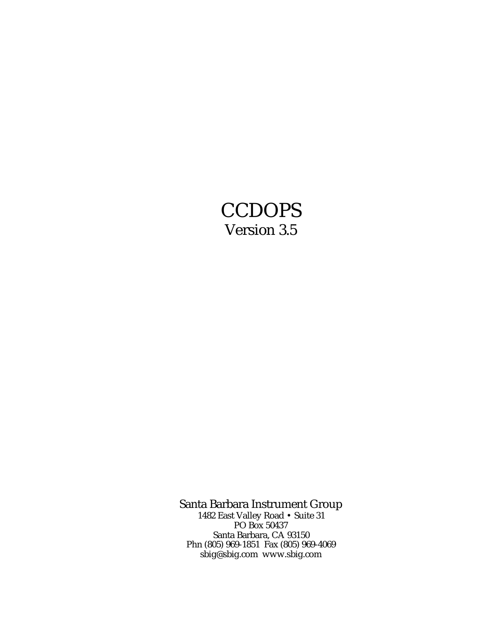# **CCDOPS** Version 3.5

Santa Barbara Instrument Group 1482 East Valley Road • Suite 31

PO Box 50437 Santa Barbara, CA 93150 Phn (805) 969-1851 Fax (805) 969-4069 sbig@sbig.com www.sbig.com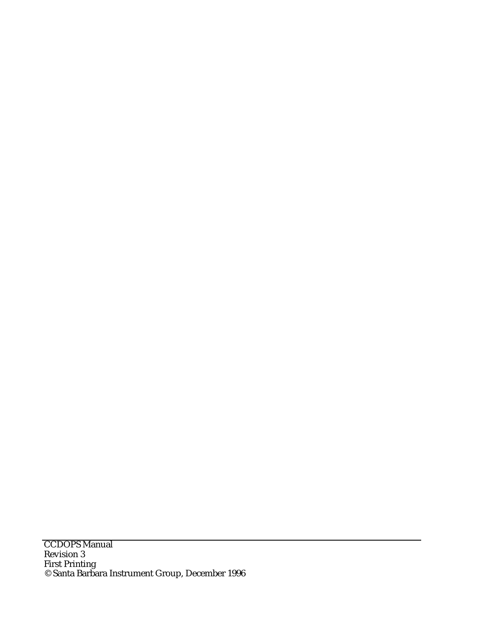**CCDOPS Manual** Revision 3 First Printing © Santa Barbara Instrument Group, December 1996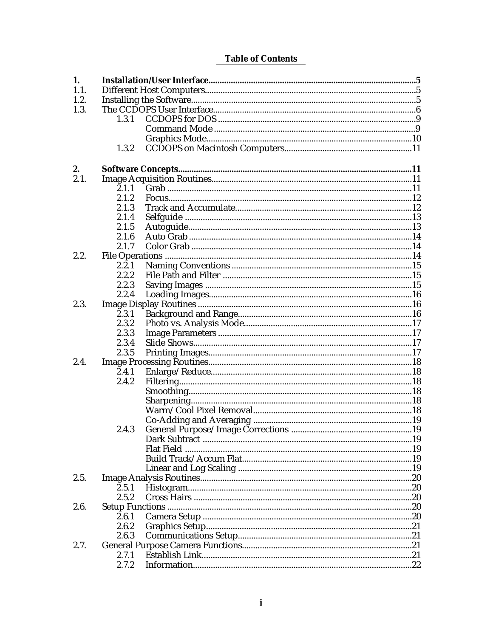# **Table of Contents**

| 1.   |       |                   |  |  |
|------|-------|-------------------|--|--|
| 1.1. |       |                   |  |  |
| 1.2. |       |                   |  |  |
| 1.3. |       |                   |  |  |
|      | 1.3.1 |                   |  |  |
|      |       |                   |  |  |
|      |       |                   |  |  |
|      | 1.3.2 |                   |  |  |
|      |       |                   |  |  |
| 2.   |       |                   |  |  |
| 2.1. |       |                   |  |  |
|      | 2.1.1 |                   |  |  |
|      |       |                   |  |  |
|      | 2.1.2 |                   |  |  |
|      | 2.1.3 |                   |  |  |
|      | 2.1.4 |                   |  |  |
|      | 2.1.5 |                   |  |  |
|      | 2.1.6 |                   |  |  |
|      | 2.1.7 |                   |  |  |
| 2.2. |       |                   |  |  |
|      | 2.2.1 |                   |  |  |
|      | 2.2.2 |                   |  |  |
|      | 2.2.3 |                   |  |  |
|      | 2.2.4 |                   |  |  |
| 2.3. |       |                   |  |  |
|      | 2.3.1 |                   |  |  |
|      | 2.3.2 |                   |  |  |
|      | 2.3.3 |                   |  |  |
|      | 2.3.4 |                   |  |  |
|      | 2.3.5 |                   |  |  |
| 2.4. |       |                   |  |  |
|      |       |                   |  |  |
|      | 2.4.1 |                   |  |  |
|      | 2.4.2 |                   |  |  |
|      |       |                   |  |  |
|      |       |                   |  |  |
|      |       |                   |  |  |
|      |       |                   |  |  |
|      | 2.4.3 |                   |  |  |
|      |       |                   |  |  |
|      |       | <b>Flat Field</b> |  |  |
|      |       |                   |  |  |
|      |       |                   |  |  |
| 2.5. |       |                   |  |  |
|      | 2.5.1 |                   |  |  |
|      | 2.5.2 |                   |  |  |
| 2.6. |       |                   |  |  |
|      | 2.6.1 |                   |  |  |
|      | 2.6.2 |                   |  |  |
|      | 2.6.3 |                   |  |  |
|      |       |                   |  |  |
| 2.7. |       |                   |  |  |
|      | 2.7.1 |                   |  |  |
|      | 2.7.2 |                   |  |  |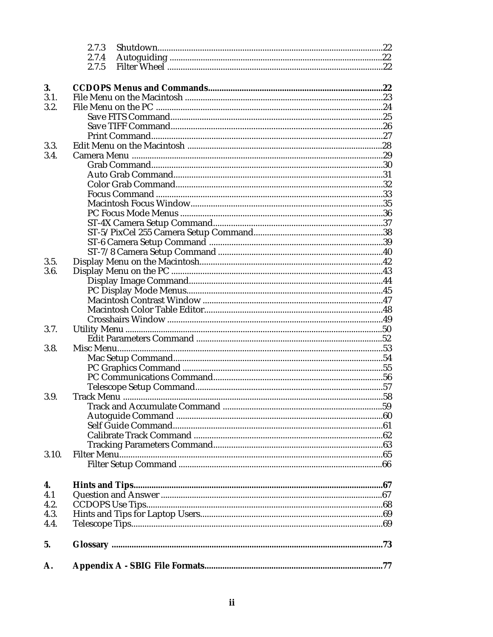|       | 2.7.3 |  |
|-------|-------|--|
|       | 2.7.4 |  |
|       | 2.7.5 |  |
|       |       |  |
| 3.    |       |  |
| 3.1.  |       |  |
| 3.2.  |       |  |
|       |       |  |
|       |       |  |
|       |       |  |
| 3.3.  |       |  |
| 3.4.  |       |  |
|       |       |  |
|       |       |  |
|       |       |  |
|       |       |  |
|       |       |  |
|       |       |  |
|       |       |  |
|       |       |  |
|       |       |  |
|       |       |  |
|       |       |  |
| 3.5.  |       |  |
| 3.6.  |       |  |
|       |       |  |
|       |       |  |
|       |       |  |
|       |       |  |
|       |       |  |
| 3.7.  |       |  |
|       |       |  |
| 3.8.  |       |  |
|       |       |  |
|       |       |  |
|       |       |  |
|       |       |  |
| 3.9.  |       |  |
|       |       |  |
|       |       |  |
|       |       |  |
|       |       |  |
|       |       |  |
|       |       |  |
| 3.10. |       |  |
|       |       |  |
|       |       |  |
| 4.    |       |  |
| 4.1   |       |  |
| 4.2.  |       |  |
| 4.3.  |       |  |
| 4.4.  |       |  |
|       |       |  |
| 5.    |       |  |
|       |       |  |
|       |       |  |
| А.    |       |  |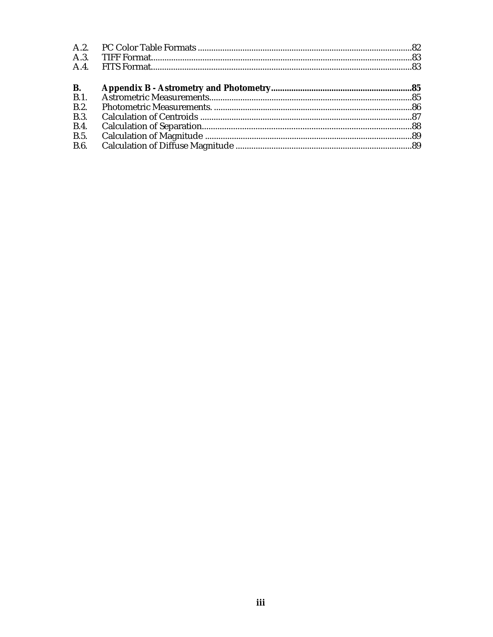| A.2.        |  |
|-------------|--|
| A.3.        |  |
|             |  |
| <b>B.</b>   |  |
| B.1         |  |
| B.2.        |  |
| <b>B.3.</b> |  |
| <b>B.4.</b> |  |
| <b>B.5.</b> |  |
| <b>B.6.</b> |  |
|             |  |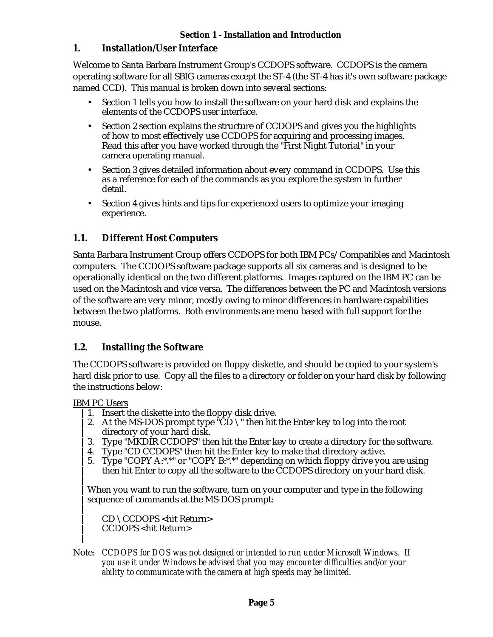### **1. Installation/User Interface**

Welcome to Santa Barbara Instrument Group's CCDOPS software. CCDOPS is the camera operating software for all SBIG cameras except the ST-4 (the ST-4 has it's own software package named CCD). This manual is broken down into several sections:

- Section 1 tells you how to install the software on your hard disk and explains the elements of the CCDOPS user interface.
- Section 2 section explains the structure of CCDOPS and gives you the highlights of how to most effectively use CCDOPS for acquiring and processing images. Read this after you have worked through the "First Night Tutorial" in your camera operating manual.
- Section 3 gives detailed information about every command in CCDOPS. Use this as a reference for each of the commands as you explore the system in further detail.
- Section 4 gives hints and tips for experienced users to optimize your imaging experience.

### **1.1. Different Host Computers**

Santa Barbara Instrument Group offers CCDOPS for both IBM PCs/Compatibles and Macintosh computers. The CCDOPS software package supports all six cameras and is designed to be operationally identical on the two different platforms. Images captured on the IBM PC can be used on the Macintosh and vice versa. The differences between the PC and Macintosh versions of the software are very minor, mostly owing to minor differences in hardware capabilities between the two platforms. Both environments are menu based with full support for the mouse.

### **1.2. Installing the Software**

The CCDOPS software is provided on floppy diskette, and should be copied to your system's hard disk prior to use. Copy all the files to a directory or folder on your hard disk by following the instructions below:

IBM PC Users

- 1. Insert the diskette into the floppy disk drive.
- 2. At the MS-DOS prompt type  $\vec{{}^{\text{r}}}$ CD  $\setminus$ " then hit the Enter key to log into the root directory of your hard disk.
- 3. Type "MKDIR CCDOPS" then hit the Enter key to create a directory for the software.
- 4. Type "CD CCDOPS" then hit the Enter key to make that directory active.
- 5. Type "COPY A:\*.\*" or "COPY B:\*.\*" depending on which floppy drive you are using then hit Enter to copy all the software to the CCDOPS directory on your hard disk.

When you want to run the software, turn on your computer and type in the following sequence of commands at the MS-DOS prompt:

CD \CCDOPS <hit Return> CCDOPS <hit Return>

Note: *CCDOPS for DOS was not designed or intended to run under Microsoft Windows. If you use it under Windows be advised that you may encounter difficulties and/or your ability to communicate with the camera at high speeds may be limited.*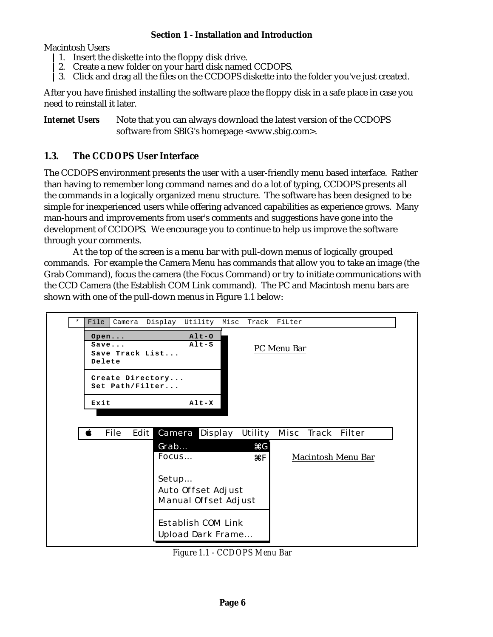Macintosh Users

- 1. Insert the diskette into the floppy disk drive.
- 2. Create a new folder on your hard disk named CCDOPS.
- 3. Click and drag all the files on the CCDOPS diskette into the folder you've just created.

After you have finished installing the software place the floppy disk in a safe place in case you need to reinstall it later.

*Internet Users* Note that you can always download the latest version of the CCDOPS software from SBIG's homepage <www.sbig.com>.

### **1.3. The CCDOPS User Interface**

The CCDOPS environment presents the user with a user-friendly menu based interface. Rather than having to remember long command names and do a lot of typing, CCDOPS presents all the commands in a logically organized menu structure. The software has been designed to be simple for inexperienced users while offering advanced capabilities as experience grows. Many man-hours and improvements from user's comments and suggestions have gone into the development of CCDOPS. We encourage you to continue to help us improve the software through your comments.

At the top of the screen is a menu bar with pull-down menus of logically grouped commands. For example the Camera Menu has commands that allow you to take an image (the Grab Command), focus the camera (the Focus Command) or try to initiate communications with the CCD Camera (the Establish COM Link command). The PC and Macintosh menu bars are shown with one of the pull-down menus in Figure 1.1 below:



*Figure 1.1 - CCDOPS Menu Bar*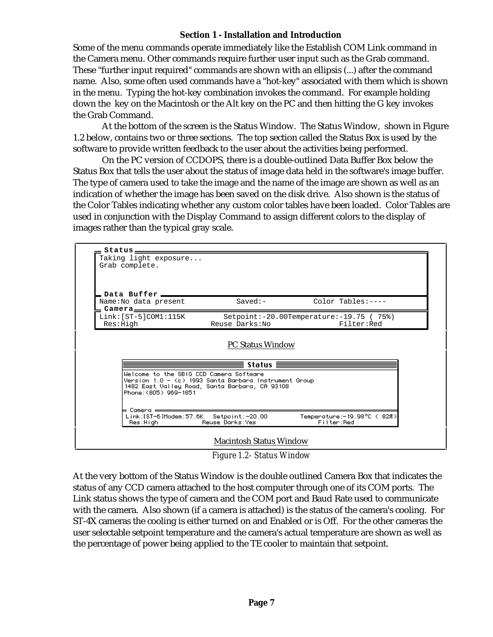Some of the menu commands operate immediately like the Establish COM Link command in the Camera menu. Other commands require further user input such as the Grab command. These "further input required" commands are shown with an ellipsis (...) after the command name. Also, some often used commands have a "hot-key" associated with them which is shown in the menu. Typing the hot-key combination invokes the command. For example holding down the key on the Macintosh or the Alt key on the PC and then hitting the G key invokes the Grab Command.

At the bottom of the screen is the Status Window. The Status Window, shown in Figure 1.2 below, contains two or three sections. The top section called the Status Box is used by the software to provide written feedback to the user about the activities being performed.

On the PC version of CCDOPS, there is a double-outlined Data Buffer Box below the Status Box that tells the user about the status of image data held in the software's image buffer. The type of camera used to take the image and the name of the image are shown as well as an indication of whether the image has been saved on the disk drive. Also shown is the status of the Color Tables indicating whether any custom color tables have been loaded. Color Tables are used in conjunction with the Display Command to assign different colors to the display of images rather than the typical gray scale.

| Name: No data present | $Saved:-$                                                                                             | Color Tables:----                                                                                                                                                                                                                              |
|-----------------------|-------------------------------------------------------------------------------------------------------|------------------------------------------------------------------------------------------------------------------------------------------------------------------------------------------------------------------------------------------------|
|                       | Reuse Darks: No                                                                                       | $Setpoint:-20.00Temperature:-19.75$ (75%)<br>Filter:Red                                                                                                                                                                                        |
|                       |                                                                                                       |                                                                                                                                                                                                                                                |
|                       |                                                                                                       |                                                                                                                                                                                                                                                |
|                       |                                                                                                       |                                                                                                                                                                                                                                                |
|                       | Setpoint: -20.00                                                                                      | Temperature: - 19.98°C (82%)<br>Filter:Red                                                                                                                                                                                                     |
|                       | $Link:[ST-5]$ $COM1:115K$<br>Res:High<br>Phone: (805) 969-1851<br>⊨ Camera <del>———</del><br>Res:High | <b>PC Status Window</b><br>Status $\equiv$<br>Welcome to the SBIG CCD Camera Software<br>Version 1.0 - (c) 1993 Santa Barbara Instrument Group<br>1482 East Valley Road, Santa Barbara, CA 93108<br>Link:[ST-6]Modem:57.6K<br>Reuse Darks: Yes |

*Figure 1.2- Status Window*

At the very bottom of the Status Window is the double outlined Camera Box that indicates the status of any CCD camera attached to the host computer through one of its COM ports. The Link status shows the type of camera and the COM port and Baud Rate used to communicate with the camera. Also shown (if a camera is attached) is the status of the camera's cooling. For ST-4X cameras the cooling is either turned on and Enabled or is Off. For the other cameras the user selectable setpoint temperature and the camera's actual temperature are shown as well as the percentage of power being applied to the TE cooler to maintain that setpoint.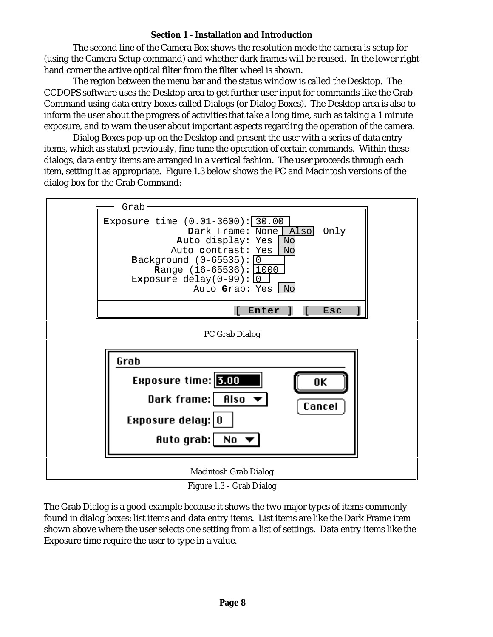The second line of the Camera Box shows the resolution mode the camera is setup for (using the Camera Setup command) and whether dark frames will be reused. In the lower right hand corner the active optical filter from the filter wheel is shown.

The region between the menu bar and the status window is called the Desktop. The CCDOPS software uses the Desktop area to get further user input for commands like the Grab Command using data entry boxes called Dialogs (or Dialog Boxes). The Desktop area is also to inform the user about the progress of activities that take a long time, such as taking a 1 minute exposure, and to warn the user about important aspects regarding the operation of the camera.

Dialog Boxes pop-up on the Desktop and present the user with a series of data entry items, which as stated previously, fine tune the operation of certain commands. Within these dialogs, data entry items are arranged in a vertical fashion. The user proceeds through each item, setting it as appropriate. Figure 1.3 below shows the PC and Macintosh versions of the dialog box for the Grab Command:



*Figure 1.3 - Grab Dialog*

The Grab Dialog is a good example because it shows the two major types of items commonly found in dialog boxes: list items and data entry items. List items are like the Dark Frame item shown above where the user selects one setting from a list of settings. Data entry items like the Exposure time require the user to type in a value.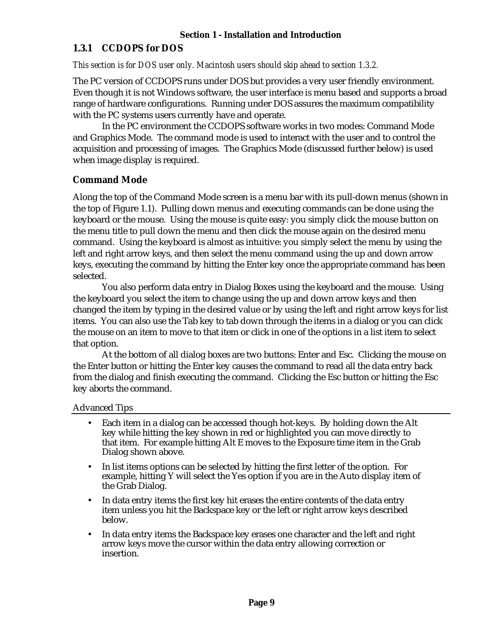### **1.3.1 CCDOPS for DOS**

*This section is for DOS user only. Macintosh users should skip ahead to section 1.3.2.*

The PC version of CCDOPS runs under DOS but provides a very user friendly environment. Even though it is not Windows software, the user interface is menu based and supports a broad range of hardware configurations. Running under DOS assures the maximum compatibility with the PC systems users currently have and operate.

In the PC environment the CCDOPS software works in two modes: Command Mode and Graphics Mode. The command mode is used to interact with the user and to control the acquisition and processing of images. The Graphics Mode (discussed further below) is used when image display is required.

### **Command Mode**

Along the top of the Command Mode screen is a menu bar with its pull-down menus (shown in the top of Figure 1.1). Pulling down menus and executing commands can be done using the keyboard or the mouse. Using the mouse is quite easy: you simply click the mouse button on the menu title to pull down the menu and then click the mouse again on the desired menu command. Using the keyboard is almost as intuitive: you simply select the menu by using the left and right arrow keys, and then select the menu command using the up and down arrow keys, executing the command by hitting the Enter key once the appropriate command has been selected.

You also perform data entry in Dialog Boxes using the keyboard and the mouse. Using the keyboard you select the item to change using the up and down arrow keys and then changed the item by typing in the desired value or by using the left and right arrow keys for list items. You can also use the Tab key to tab down through the items in a dialog or you can click the mouse on an item to move to that item or click in one of the options in a list item to select that option.

At the bottom of all dialog boxes are two buttons: Enter and Esc. Clicking the mouse on the Enter button or hitting the Enter key causes the command to read all the data entry back from the dialog and finish executing the command. Clicking the Esc button or hitting the Esc key aborts the command.

Advanced Tips

- Each item in a dialog can be accessed though hot-keys. By holding down the Alt key while hitting the key shown in red or highlighted you can move directly to that item. For example hitting Alt E moves to the Exposure time item in the Grab Dialog shown above.
- In list items options can be selected by hitting the first letter of the option. For example, hitting Y will select the Yes option if you are in the Auto display item of the Grab Dialog.
- In data entry items the first key hit erases the entire contents of the data entry item unless you hit the Backspace key or the left or right arrow keys described below.
- In data entry items the Backspace key erases one character and the left and right arrow keys move the cursor within the data entry allowing correction or insertion.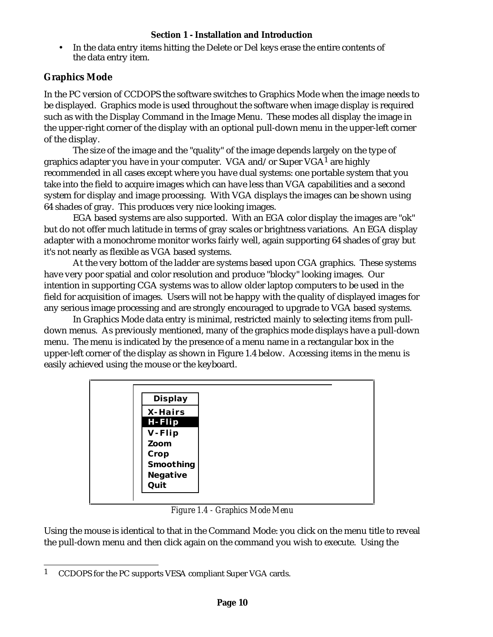• In the data entry items hitting the Delete or Del keys erase the entire contents of the data entry item.

### **Graphics Mode**

In the PC version of CCDOPS the software switches to Graphics Mode when the image needs to be displayed. Graphics mode is used throughout the software when image display is required such as with the Display Command in the Image Menu. These modes all display the image in the upper-right corner of the display with an optional pull-down menu in the upper-left corner of the display.

The size of the image and the "quality" of the image depends largely on the type of graphics adapter you have in your computer. VGA and/or Super  $VGA<sup>1</sup>$  are highly recommended in all cases except where you have dual systems: one portable system that you take into the field to acquire images which can have less than VGA capabilities and a second system for display and image processing. With VGA displays the images can be shown using 64 shades of gray. This produces very nice looking images.

EGA based systems are also supported. With an EGA color display the images are "ok" but do not offer much latitude in terms of gray scales or brightness variations. An EGA display adapter with a monochrome monitor works fairly well, again supporting 64 shades of gray but it's not nearly as flexible as VGA based systems.

At the very bottom of the ladder are systems based upon CGA graphics. These systems have very poor spatial and color resolution and produce "blocky" looking images. Our intention in supporting CGA systems was to allow older laptop computers to be used in the field for acquisition of images. Users will not be happy with the quality of displayed images for any serious image processing and are strongly encouraged to upgrade to VGA based systems.

In Graphics Mode data entry is minimal, restricted mainly to selecting items from pulldown menus. As previously mentioned, many of the graphics mode displays have a pull-down menu. The menu is indicated by the presence of a menu name in a rectangular box in the upper-left corner of the display as shown in Figure 1.4 below. Accessing items in the menu is easily achieved using the mouse or the keyboard.

| Display   |
|-----------|
| X-Hairs   |
| $H-Flip$  |
| V-Flip    |
| Zoom      |
| Crop      |
| Smoothing |
| Negative  |
| Quit      |
|           |

*Figure 1.4 - Graphics Mode Menu*

Using the mouse is identical to that in the Command Mode: you click on the menu title to reveal the pull-down menu and then click again on the command you wish to execute. Using the

<sup>1</sup> CCDOPS for the PC supports VESA compliant Super VGA cards.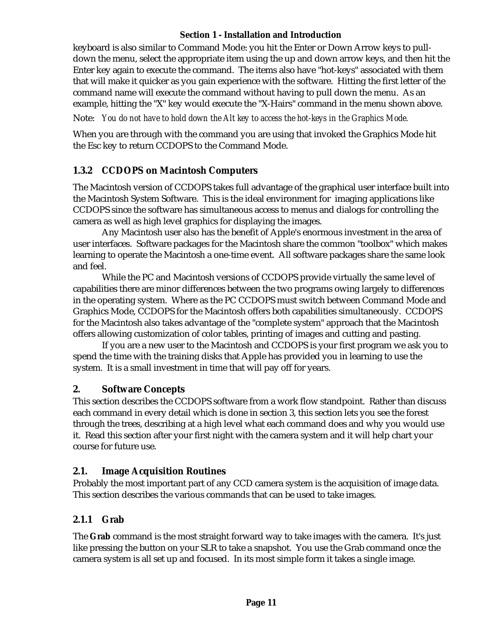keyboard is also similar to Command Mode: you hit the Enter or Down Arrow keys to pulldown the menu, select the appropriate item using the up and down arrow keys, and then hit the Enter key again to execute the command. The items also have "hot-keys" associated with them that will make it quicker as you gain experience with the software. Hitting the first letter of the command name will execute the command without having to pull down the menu. As an example, hitting the "X" key would execute the "X-Hairs" command in the menu shown above.

Note: *You do not have to hold down the Alt key to access the hot-keys in the Graphics Mode.*

When you are through with the command you are using that invoked the Graphics Mode hit the Esc key to return CCDOPS to the Command Mode.

### **1.3.2 CCDOPS on Macintosh Computers**

The Macintosh version of CCDOPS takes full advantage of the graphical user interface built into the Macintosh System Software. This is the ideal environment for imaging applications like CCDOPS since the software has simultaneous access to menus and dialogs for controlling the camera as well as high level graphics for displaying the images.

Any Macintosh user also has the benefit of Apple's enormous investment in the area of user interfaces. Software packages for the Macintosh share the common "toolbox" which makes learning to operate the Macintosh a one-time event. All software packages share the same look and feel.

While the PC and Macintosh versions of CCDOPS provide virtually the same level of capabilities there are minor differences between the two programs owing largely to differences in the operating system. Where as the PC CCDOPS must switch between Command Mode and Graphics Mode, CCDOPS for the Macintosh offers both capabilities simultaneously. CCDOPS for the Macintosh also takes advantage of the "complete system" approach that the Macintosh offers allowing customization of color tables, printing of images and cutting and pasting.

If you are a new user to the Macintosh and CCDOPS is your first program we ask you to spend the time with the training disks that Apple has provided you in learning to use the system. It is a small investment in time that will pay off for years.

### **2. Software Concepts**

This section describes the CCDOPS software from a work flow standpoint. Rather than discuss each command in every detail which is done in section 3, this section lets you see the forest through the trees, describing at a high level what each command does and why you would use it. Read this section after your first night with the camera system and it will help chart your course for future use.

### **2.1. Image Acquisition Routines**

Probably the most important part of any CCD camera system is the acquisition of image data. This section describes the various commands that can be used to take images.

### **2.1.1 Grab**

The **Grab** command is the most straight forward way to take images with the camera. It's just like pressing the button on your SLR to take a snapshot. You use the Grab command once the camera system is all set up and focused. In its most simple form it takes a single image.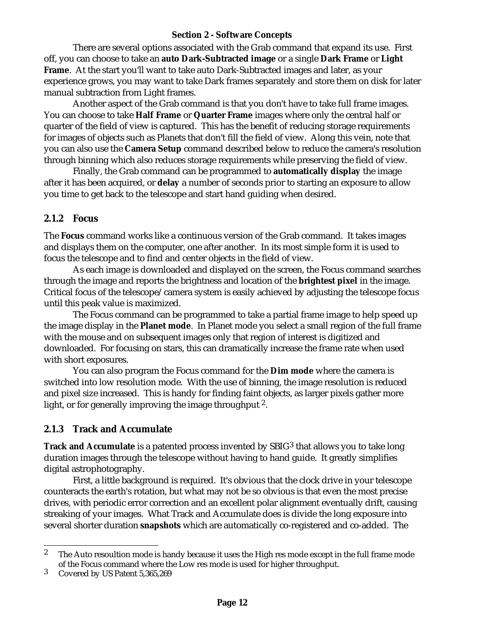There are several options associated with the Grab command that expand its use. First off, you can choose to take an **auto Dark-Subtracted image** or a single **Dark Frame** or **Light Frame**. At the start you'll want to take auto Dark-Subtracted images and later, as your experience grows, you may want to take Dark frames separately and store them on disk for later manual subtraction from Light frames.

Another aspect of the Grab command is that you don't have to take full frame images. You can choose to take **Half Frame** or **Quarter Frame** images where only the central half or quarter of the field of view is captured. This has the benefit of reducing storage requirements for images of objects such as Planets that don't fill the field of view. Along this vein, note that you can also use the **Camera Setup** command described below to reduce the camera's resolution through binning which also reduces storage requirements while preserving the field of view.

Finally, the Grab command can be programmed to **automatically display** the image after it has been acquired, or **delay** a number of seconds prior to starting an exposure to allow you time to get back to the telescope and start hand guiding when desired.

### **2.1.2 Focus**

The **Focus** command works like a continuous version of the Grab command. It takes images and displays them on the computer, one after another. In its most simple form it is used to focus the telescope and to find and center objects in the field of view.

As each image is downloaded and displayed on the screen, the Focus command searches through the image and reports the brightness and location of the **brightest pixel** in the image. Critical focus of the telescope/camera system is easily achieved by adjusting the telescope focus until this peak value is maximized.

The Focus command can be programmed to take a partial frame image to help speed up the image display in the **Planet mode**. In Planet mode you select a small region of the full frame with the mouse and on subsequent images only that region of interest is digitized and downloaded. For focusing on stars, this can dramatically increase the frame rate when used with short exposures.

You can also program the Focus command for the **Dim mode** where the camera is switched into low resolution mode. With the use of binning, the image resolution is reduced and pixel size increased. This is handy for finding faint objects, as larger pixels gather more light, or for generally improving the image throughput <sup>2</sup>.

### **2.1.3 Track and Accumulate**

**Track and Accumulate** is a patented process invented by SBIG<sup>3</sup> that allows you to take long duration images through the telescope without having to hand guide. It greatly simplifies digital astrophotography.

First, a little background is required. It's obvious that the clock drive in your telescope counteracts the earth's rotation, but what may not be so obvious is that even the most precise drives, with periodic error correction and an excellent polar alignment eventually drift, causing streaking of your images. What Track and Accumulate does is divide the long exposure into several shorter duration **snapshots** which are automatically co-registered and co-added. The

<sup>&</sup>lt;sup>2</sup> The Auto resoultion mode is handy because it uses the High res mode except in the full frame mode of the Focus command where the Low res mode is used for higher throughput.

<sup>3</sup> Covered by US Patent 5,365,269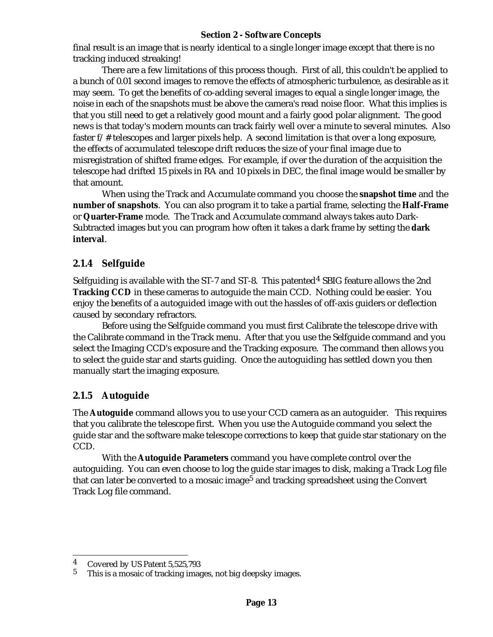final result is an image that is nearly identical to a single longer image except that there is no tracking induced streaking!

There are a few limitations of this process though. First of all, this couldn't be applied to a bunch of 0.01 second images to remove the effects of atmospheric turbulence, as desirable as it may seem. To get the benefits of co-adding several images to equal a single longer image, the noise in each of the snapshots must be above the camera's read noise floor. What this implies is that you still need to get a relatively good mount and a fairly good polar alignment. The good news is that today's modern mounts can track fairly well over a minute to several minutes. Also faster f/# telescopes and larger pixels help. A second limitation is that over a long exposure, the effects of accumulated telescope drift reduces the size of your final image due to misregistration of shifted frame edges. For example, if over the duration of the acquisition the telescope had drifted 15 pixels in RA and 10 pixels in DEC, the final image would be smaller by that amount.

When using the Track and Accumulate command you choose the **snapshot time** and the **number of snapshots**. You can also program it to take a partial frame, selecting the **Half-Frame** or **Quarter-Frame** mode. The Track and Accumulate command always takes auto Dark-Subtracted images but you can program how often it takes a dark frame by setting the **dark interval**.

### **2.1.4 Selfguide**

Selfguiding is available with the ST-7 and ST-8. This patented<sup>4</sup> SBIG feature allows the 2nd **Tracking CCD** in these cameras to autoguide the main CCD. Nothing could be easier. You enjoy the benefits of a autoguided image with out the hassles of off-axis guiders or deflection caused by secondary refractors.

Before using the Selfguide command you must first Calibrate the telescope drive with the Calibrate command in the Track menu. After that you use the Selfguide command and you select the Imaging CCD's exposure and the Tracking exposure. The command then allows you to select the guide star and starts guiding. Once the autoguiding has settled down you then manually start the imaging exposure.

### **2.1.5 Autoguide**

The **Autoguide** command allows you to use your CCD camera as an autoguider. This requires that you calibrate the telescope first. When you use the Autoguide command you select the guide star and the software make telescope corrections to keep that guide star stationary on the CCD.

With the **Autoguide Parameters** command you have complete control over the autoguiding. You can even choose to log the guide star images to disk, making a Track Log file that can later be converted to a mosaic image<sup>5</sup> and tracking spreadsheet using the Convert Track Log file command.

 $\frac{4}{5}$  Covered by US Patent 5,525,793

This is a mosaic of tracking images, not big deepsky images.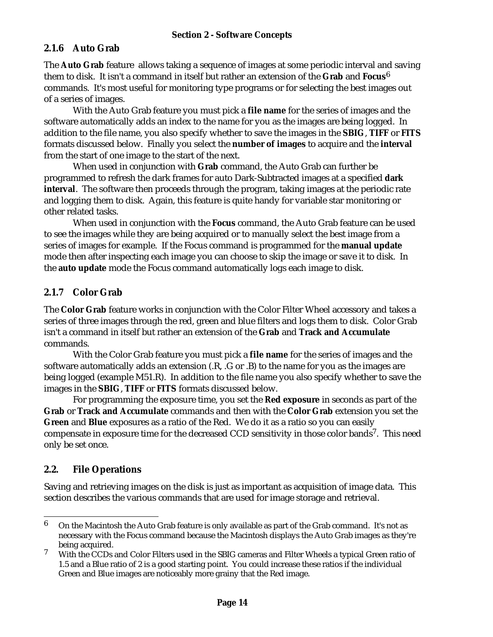### **2.1.6 Auto Grab**

The **Auto Grab** feature allows taking a sequence of images at some periodic interval and saving them to disk. It isn't a command in itself but rather an extension of the **Grab** and **Focus**6 commands. It's most useful for monitoring type programs or for selecting the best images out of a series of images.

With the Auto Grab feature you must pick a **file name** for the series of images and the software automatically adds an index to the name for you as the images are being logged. In addition to the file name, you also specify whether to save the images in the **SBIG**, **TIFF** or **FITS** formats discussed below. Finally you select the **number of images** to acquire and the **interval** from the start of one image to the start of the next.

When used in conjunction with **Grab** command, the Auto Grab can further be programmed to refresh the dark frames for auto Dark-Subtracted images at a specified **dark interval**. The software then proceeds through the program, taking images at the periodic rate and logging them to disk. Again, this feature is quite handy for variable star monitoring or other related tasks.

When used in conjunction with the **Focus** command, the Auto Grab feature can be used to see the images while they are being acquired or to manually select the best image from a series of images for example. If the Focus command is programmed for the **manual update** mode then after inspecting each image you can choose to skip the image or save it to disk. In the **auto update** mode the Focus command automatically logs each image to disk.

### **2.1.7 Color Grab**

The **Color Grab** feature works in conjunction with the Color Filter Wheel accessory and takes a series of three images through the red, green and blue filters and logs them to disk. Color Grab isn't a command in itself but rather an extension of the **Grab** and **Track and Accumulate** commands.

With the Color Grab feature you must pick a **file name** for the series of images and the software automatically adds an extension (.R, .G or .B) to the name for you as the images are being logged (example M51.R). In addition to the file name you also specify whether to save the images in the **SBIG**, **TIFF** or **FITS** formats discussed below.

For programming the exposure time, you set the **Red exposure** in seconds as part of the **Grab** or **Track and Accumulate** commands and then with the **Color Grab** extension you set the **Green** and **Blue** exposures as a ratio of the Red. We do it as a ratio so you can easily compensate in exposure time for the decreased CCD sensitivity in those color bands<sup>7</sup>. This need only be set once.

### **2.2. File Operations**

Saving and retrieving images on the disk is just as important as acquisition of image data. This section describes the various commands that are used for image storage and retrieval.

 $6$  On the Macintosh the Auto Grab feature is only available as part of the Grab command. It's not as necessary with the Focus command because the Macintosh displays the Auto Grab images as they're being acquired.

<sup>7</sup> With the CCDs and Color Filters used in the SBIG cameras and Filter Wheels a typical Green ratio of 1.5 and a Blue ratio of 2 is a good starting point. You could increase these ratios if the individual Green and Blue images are noticeably more grainy that the Red image.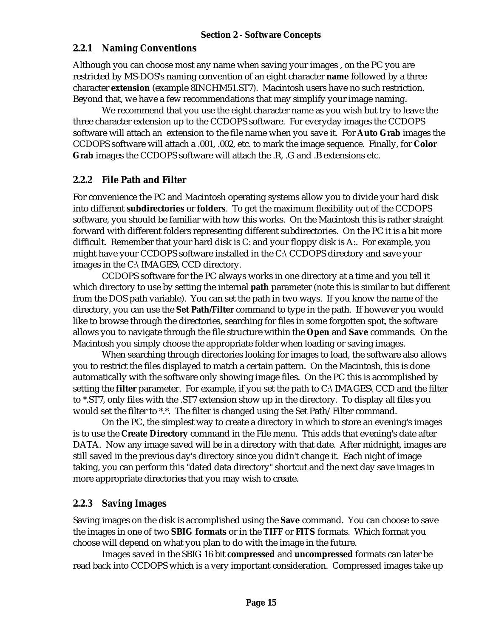#### **2.2.1 Naming Conventions**

Although you can choose most any name when saving your images , on the PC you are restricted by MS-DOS's naming convention of an eight character **name** followed by a three character **extension** (example 8INCHM51.ST7). Macintosh users have no such restriction. Beyond that, we have a few recommendations that may simplify your image naming.

We recommend that you use the eight character name as you wish but try to leave the three character extension up to the CCDOPS software. For everyday images the CCDOPS software will attach an extension to the file name when you save it. For **Auto Grab** images the CCDOPS software will attach a .001, .002, etc. to mark the image sequence. Finally, for **Color Grab** images the CCDOPS software will attach the .R, .G and .B extensions etc.

### **2.2.2 File Path and Filter**

For convenience the PC and Macintosh operating systems allow you to divide your hard disk into different **subdirectories** or **folders**. To get the maximum flexibility out of the CCDOPS software, you should be familiar with how this works. On the Macintosh this is rather straight forward with different folders representing different subdirectories. On the PC it is a bit more difficult. Remember that your hard disk is C: and your floppy disk is A:. For example, you might have your CCDOPS software installed in the C:\CCDOPS directory and save your images in the C:\IMAGES\CCD directory.

CCDOPS software for the PC always works in one directory at a time and you tell it which directory to use by setting the internal **path** parameter (note this is similar to but different from the DOS path variable). You can set the path in two ways. If you know the name of the directory, you can use the **Set Path/Filter** command to type in the path. If however you would like to browse through the directories, searching for files in some forgotten spot, the software allows you to navigate through the file structure within the **Open** and **Save** commands. On the Macintosh you simply choose the appropriate folder when loading or saving images.

When searching through directories looking for images to load, the software also allows you to restrict the files displayed to match a certain pattern. On the Macintosh, this is done automatically with the software only showing image files. On the PC this is accomplished by setting the **filter** parameter. For example, if you set the path to C:\IMAGES\CCD and the filter to \*.ST7, only files with the .ST7 extension show up in the directory. To display all files you would set the filter to \*.\*. The filter is changed using the Set Path/Filter command.

On the PC, the simplest way to create a directory in which to store an evening's images is to use the **Create Directory** command in the File menu. This adds that evening's date after DATA. Now any image saved will be in a directory with that date. After midnight, images are still saved in the previous day's directory since you didn't change it. Each night of image taking, you can perform this "dated data directory" shortcut and the next day save images in more appropriate directories that you may wish to create.

### **2.2.3 Saving Images**

Saving images on the disk is accomplished using the **Save** command. You can choose to save the images in one of two **SBIG formats** or in the **TIFF** or **FITS** formats. Which format you choose will depend on what you plan to do with the image in the future.

Images saved in the SBIG 16 bit **compressed** and **uncompressed** formats can later be read back into CCDOPS which is a very important consideration. Compressed images take up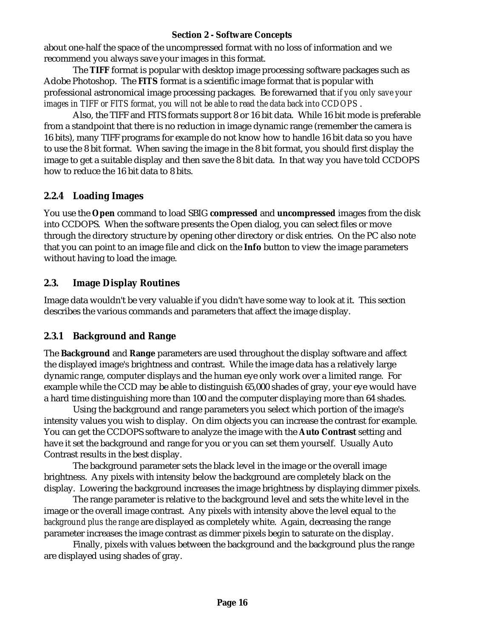about one-half the space of the uncompressed format with no loss of information and we recommend you always save your images in this format.

The **TIFF** format is popular with desktop image processing software packages such as Adobe Photoshop. The **FITS** format is a scientific image format that is popular with professional astronomical image processing packages. Be forewarned that *if you only save your images in TIFF or FITS format, you will not be able to read the data back into CCDOPS* .

Also, the TIFF and FITS formats support 8 or 16 bit data. While 16 bit mode is preferable from a standpoint that there is no reduction in image dynamic range (remember the camera is 16 bits), many TIFF programs for example do not know how to handle 16 bit data so you have to use the 8 bit format. When saving the image in the 8 bit format, you should first display the image to get a suitable display and then save the 8 bit data. In that way you have told CCDOPS how to reduce the 16 bit data to 8 bits.

### **2.2.4 Loading Images**

You use the **Open** command to load SBIG **compressed** and **uncompressed** images from the disk into CCDOPS. When the software presents the Open dialog, you can select files or move through the directory structure by opening other directory or disk entries. On the PC also note that you can point to an image file and click on the **Info** button to view the image parameters without having to load the image.

### **2.3. Image Display Routines**

Image data wouldn't be very valuable if you didn't have some way to look at it. This section describes the various commands and parameters that affect the image display.

### **2.3.1 Background and Range**

The **Background** and **Range** parameters are used throughout the display software and affect the displayed image's brightness and contrast. While the image data has a relatively large dynamic range, computer displays and the human eye only work over a limited range. For example while the CCD may be able to distinguish 65,000 shades of gray, your eye would have a hard time distinguishing more than 100 and the computer displaying more than 64 shades.

Using the background and range parameters you select which portion of the image's intensity values you wish to display. On dim objects you can increase the contrast for example. You can get the CCDOPS software to analyze the image with the **Auto Contrast** setting and have it set the background and range for you or you can set them yourself. Usually Auto Contrast results in the best display.

The background parameter sets the black level in the image or the overall image brightness. Any pixels with intensity below the background are completely black on the display. Lowering the background increases the image brightness by displaying dimmer pixels.

The range parameter is relative to the background level and sets the white level in the image or the overall image contrast. Any pixels with intensity above the level equal to *the background plus the range* are displayed as completely white. Again, decreasing the range parameter increases the image contrast as dimmer pixels begin to saturate on the display.

Finally, pixels with values between the background and the background plus the range are displayed using shades of gray.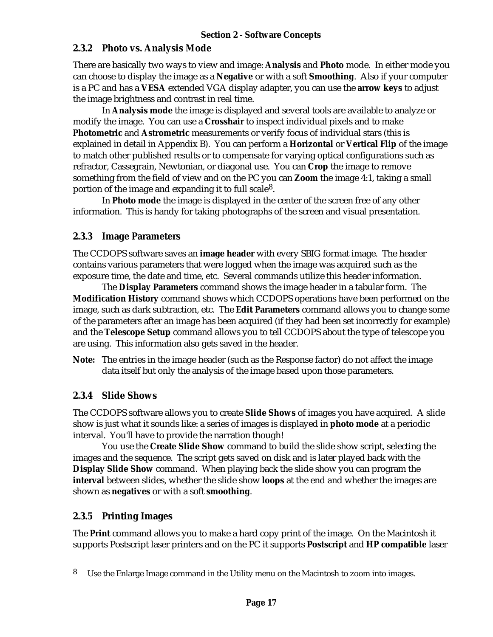### **2.3.2 Photo vs. Analysis Mode**

There are basically two ways to view and image: **Analysis** and **Photo** mode. In either mode you can choose to display the image as a **Negative** or with a soft **Smoothing**. Also if your computer is a PC and has a **VESA** extended VGA display adapter, you can use the **arrow keys** to adjust the image brightness and contrast in real time.

In **Analysis mode** the image is displayed and several tools are available to analyze or modify the image. You can use a **Crosshair** to inspect individual pixels and to make **Photometric** and **Astrometric** measurements or verify focus of individual stars (this is explained in detail in Appendix B). You can perform a **Horizontal** or **Vertical Flip** of the image to match other published results or to compensate for varying optical configurations such as refractor, Cassegrain, Newtonian, or diagonal use. You can **Crop** the image to remove something from the field of view and on the PC you can **Zoom** the image 4:1, taking a small portion of the image and expanding it to full scale8.

In **Photo mode** the image is displayed in the center of the screen free of any other information. This is handy for taking photographs of the screen and visual presentation.

### **2.3.3 Image Parameters**

The CCDOPS software saves an **image header** with every SBIG format image. The header contains various parameters that were logged when the image was acquired such as the exposure time, the date and time, etc. Several commands utilize this header information.

The **Display Parameters** command shows the image header in a tabular form. The **Modification History** command shows which CCDOPS operations have been performed on the image, such as dark subtraction, etc. The **Edit Parameters** command allows you to change some of the parameters after an image has been acquired (if they had been set incorrectly for example) and the **Telescope Setup** command allows you to tell CCDOPS about the type of telescope you are using. This information also gets saved in the header.

**Note:** The entries in the image header (such as the Response factor) do not affect the image data itself but only the analysis of the image based upon those parameters.

### **2.3.4 Slide Shows**

The CCDOPS software allows you to create **Slide Shows** of images you have acquired. A slide show is just what it sounds like: a series of images is displayed in **photo mode** at a periodic interval. You'll have to provide the narration though!

You use the **Create Slide Show** command to build the slide show script, selecting the images and the sequence. The script gets saved on disk and is later played back with the **Display Slide Show** command. When playing back the slide show you can program the **interval** between slides, whether the slide show **loops** at the end and whether the images are shown as **negatives** or with a soft **smoothing**.

### **2.3.5 Printing Images**

The **Print** command allows you to make a hard copy print of the image. On the Macintosh it supports Postscript laser printers and on the PC it supports **Postscript** and **HP compatible** laser

<sup>8</sup> Use the Enlarge Image command in the Utility menu on the Macintosh to zoom into images.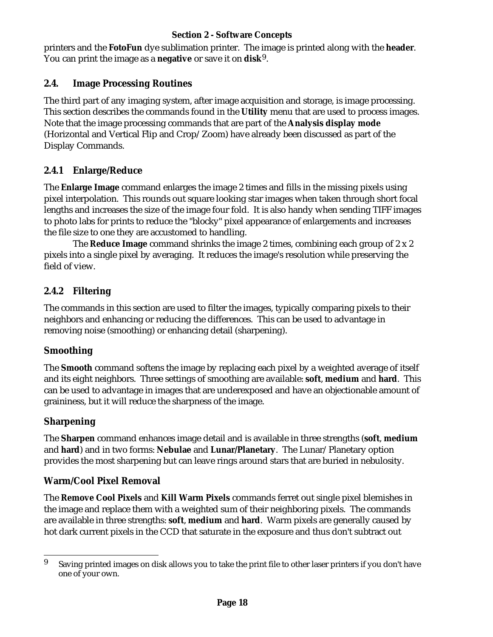printers and the **FotoFun** dye sublimation printer. The image is printed along with the **header**. You can print the image as a **negative** or save it on **disk**9.

### **2.4. Image Processing Routines**

The third part of any imaging system, after image acquisition and storage, is image processing. This section describes the commands found in the **Utility** menu that are used to process images. Note that the image processing commands that are part of the **Analysis display mode** (Horizontal and Vertical Flip and Crop/Zoom) have already been discussed as part of the Display Commands.

# **2.4.1 Enlarge/Reduce**

The **Enlarge Image** command enlarges the image 2 times and fills in the missing pixels using pixel interpolation. This rounds out square looking star images when taken through short focal lengths and increases the size of the image four fold. It is also handy when sending TIFF images to photo labs for prints to reduce the "blocky" pixel appearance of enlargements and increases the file size to one they are accustomed to handling.

The **Reduce Image** command shrinks the image 2 times, combining each group of 2 x 2 pixels into a single pixel by averaging. It reduces the image's resolution while preserving the field of view.

# **2.4.2 Filtering**

The commands in this section are used to filter the images, typically comparing pixels to their neighbors and enhancing or reducing the differences. This can be used to advantage in removing noise (smoothing) or enhancing detail (sharpening).

### **Smoothing**

The **Smooth** command softens the image by replacing each pixel by a weighted average of itself and its eight neighbors. Three settings of smoothing are available: **soft**, **medium** and **hard**. This can be used to advantage in images that are underexposed and have an objectionable amount of graininess, but it will reduce the sharpness of the image.

# **Sharpening**

The **Sharpen** command enhances image detail and is available in three strengths (**soft**, **medium** and **hard**) and in two forms: **Nebulae** and **Lunar/Planetary**. The Lunar/Planetary option provides the most sharpening but can leave rings around stars that are buried in nebulosity.

### **Warm/Cool Pixel Removal**

The **Remove Cool Pixels** and **Kill Warm Pixels** commands ferret out single pixel blemishes in the image and replace them with a weighted sum of their neighboring pixels. The commands are available in three strengths: **soft**, **medium** and **hard**. Warm pixels are generally caused by hot dark current pixels in the CCD that saturate in the exposure and thus don't subtract out

<sup>&</sup>lt;sup>9</sup> Saving printed images on disk allows you to take the print file to other laser printers if you don't have one of your own.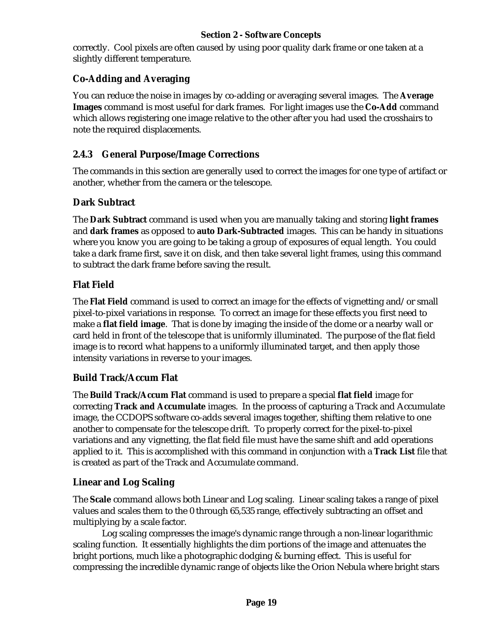correctly. Cool pixels are often caused by using poor quality dark frame or one taken at a slightly different temperature.

### **Co-Adding and Averaging**

You can reduce the noise in images by co-adding or averaging several images. The **Average Images** command is most useful for dark frames. For light images use the **Co-Add** command which allows registering one image relative to the other after you had used the crosshairs to note the required displacements.

# **2.4.3 General Purpose/Image Corrections**

The commands in this section are generally used to correct the images for one type of artifact or another, whether from the camera or the telescope.

### **Dark Subtract**

The **Dark Subtract** command is used when you are manually taking and storing **light frames** and **dark frames** as opposed to **auto Dark-Subtracted** images. This can be handy in situations where you know you are going to be taking a group of exposures of equal length. You could take a dark frame first, save it on disk, and then take several light frames, using this command to subtract the dark frame before saving the result.

# **Flat Field**

The **Flat Field** command is used to correct an image for the effects of vignetting and/or small pixel-to-pixel variations in response. To correct an image for these effects you first need to make a **flat field image**. That is done by imaging the inside of the dome or a nearby wall or card held in front of the telescope that is uniformly illuminated. The purpose of the flat field image is to record what happens to a uniformly illuminated target, and then apply those intensity variations in reverse to your images.

### **Build Track/Accum Flat**

The **Build Track/Accum Flat** command is used to prepare a special **flat field** image for correcting **Track and Accumulate** images. In the process of capturing a Track and Accumulate image, the CCDOPS software co-adds several images together, shifting them relative to one another to compensate for the telescope drift. To properly correct for the pixel-to-pixel variations and any vignetting, the flat field file must have the same shift and add operations applied to it. This is accomplished with this command in conjunction with a **Track List** file that is created as part of the Track and Accumulate command.

### **Linear and Log Scaling**

The **Scale** command allows both Linear and Log scaling. Linear scaling takes a range of pixel values and scales them to the 0 through 65,535 range, effectively subtracting an offset and multiplying by a scale factor.

Log scaling compresses the image's dynamic range through a non-linear logarithmic scaling function. It essentially highlights the dim portions of the image and attenuates the bright portions, much like a photographic dodging & burning effect. This is useful for compressing the incredible dynamic range of objects like the Orion Nebula where bright stars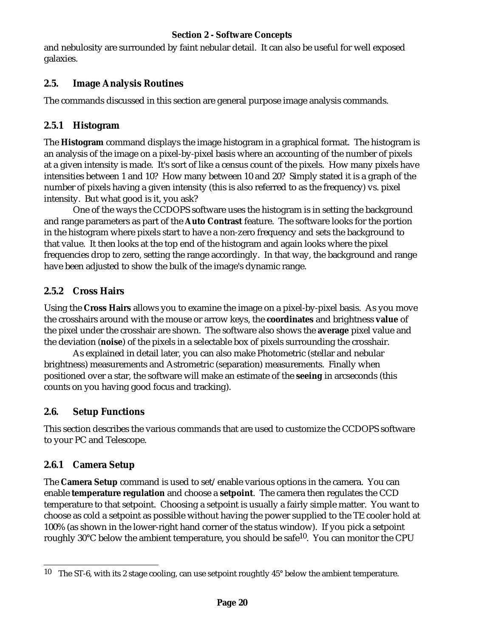and nebulosity are surrounded by faint nebular detail. It can also be useful for well exposed galaxies.

### **2.5. Image Analysis Routines**

The commands discussed in this section are general purpose image analysis commands.

# **2.5.1 Histogram**

The **Histogram** command displays the image histogram in a graphical format. The histogram is an analysis of the image on a pixel-by-pixel basis where an accounting of the number of pixels at a given intensity is made. It's sort of like a census count of the pixels. How many pixels have intensities between 1 and 10? How many between 10 and 20? Simply stated it is a graph of the number of pixels having a given intensity (this is also referred to as the frequency) vs. pixel intensity. But what good is it, you ask?

One of the ways the CCDOPS software uses the histogram is in setting the background and range parameters as part of the **Auto Contrast** feature. The software looks for the portion in the histogram where pixels start to have a non-zero frequency and sets the background to that value. It then looks at the top end of the histogram and again looks where the pixel frequencies drop to zero, setting the range accordingly. In that way, the background and range have been adjusted to show the bulk of the image's dynamic range.

# **2.5.2 Cross Hairs**

Using the **Cross Hairs** allows you to examine the image on a pixel-by-pixel basis. As you move the crosshairs around with the mouse or arrow keys, the **coordinates** and brightness **value** of the pixel under the crosshair are shown. The software also shows the **average** pixel value and the deviation (**noise**) of the pixels in a selectable box of pixels surrounding the crosshair.

As explained in detail later, you can also make Photometric (stellar and nebular brightness) measurements and Astrometric (separation) measurements. Finally when positioned over a star, the software will make an estimate of the **seeing** in arcseconds (this counts on you having good focus and tracking).

### **2.6. Setup Functions**

This section describes the various commands that are used to customize the CCDOPS software to your PC and Telescope.

# **2.6.1 Camera Setup**

The **Camera Setup** command is used to set/enable various options in the camera. You can enable **temperature regulation** and choose a **setpoint**. The camera then regulates the CCD temperature to that setpoint. Choosing a setpoint is usually a fairly simple matter. You want to choose as cold a setpoint as possible without having the power supplied to the TE cooler hold at 100% (as shown in the lower-right hand corner of the status window). If you pick a setpoint roughly  $30^{\circ}$ C below the ambient temperature, you should be safe<sup>10</sup>. You can monitor the CPU

<sup>&</sup>lt;sup>10</sup> The ST-6, with its 2 stage cooling, can use setpoint roughtly  $45^{\circ}$  below the ambient temperature.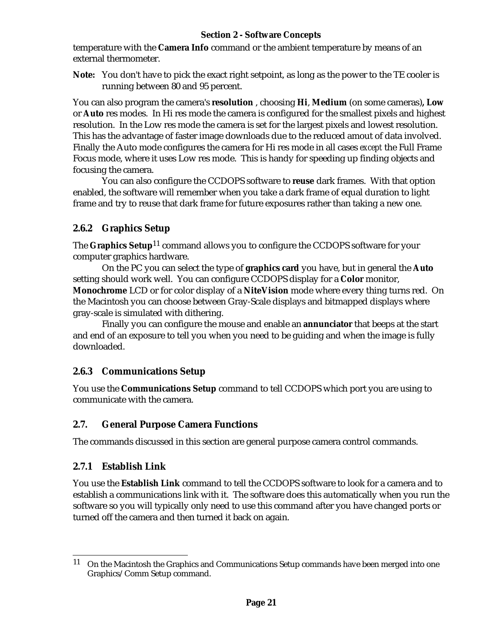temperature with the **Camera Info** command or the ambient temperature by means of an external thermometer.

**Note:** You don't have to pick the exact right setpoint, as long as the power to the TE cooler is running between 80 and 95 percent.

You can also program the camera's **resolution** , choosing **Hi**, **Medium** (on some cameras)**, Low** or **Auto** res modes. In Hi res mode the camera is configured for the smallest pixels and highest resolution. In the Low res mode the camera is set for the largest pixels and lowest resolution. This has the advantage of faster image downloads due to the reduced amout of data involved. Finally the Auto mode configures the camera for Hi res mode in all cases *except* the Full Frame Focus mode, where it uses Low res mode. This is handy for speeding up finding objects and focusing the camera.

You can also configure the CCDOPS software to **reuse** dark frames. With that option enabled, the software will remember when you take a dark frame of equal duration to light frame and try to reuse that dark frame for future exposures rather than taking a new one.

# **2.6.2 Graphics Setup**

The **Graphics Setup**11 command allows you to configure the CCDOPS software for your computer graphics hardware.

On the PC you can select the type of **graphics card** you have, but in general the **Auto** setting should work well. You can configure CCDOPS display for a **Color** monitor, **Monochrome** LCD or for color display of a **NiteVision** mode where every thing turns red. On the Macintosh you can choose between Gray-Scale displays and bitmapped displays where gray-scale is simulated with dithering.

Finally you can configure the mouse and enable an **annunciator** that beeps at the start and end of an exposure to tell you when you need to be guiding and when the image is fully downloaded.

# **2.6.3 Communications Setup**

You use the **Communications Setup** command to tell CCDOPS which port you are using to communicate with the camera.

# **2.7. General Purpose Camera Functions**

The commands discussed in this section are general purpose camera control commands.

# **2.7.1 Establish Link**

You use the **Establish Link** command to tell the CCDOPS software to look for a camera and to establish a communications link with it. The software does this automatically when you run the software so you will typically only need to use this command after you have changed ports or turned off the camera and then turned it back on again.

<sup>&</sup>lt;sup>11</sup> On the Macintosh the Graphics and Communications Setup commands have been merged into one Graphics/Comm Setup command.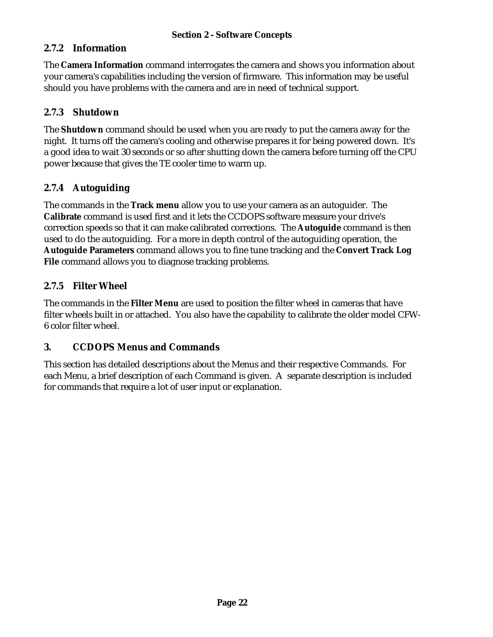### **2.7.2 Information**

The **Camera Information** command interrogates the camera and shows you information about your camera's capabilities including the version of firmware. This information may be useful should you have problems with the camera and are in need of technical support.

#### **2.7.3 Shutdown**

The **Shutdown** command should be used when you are ready to put the camera away for the night. It turns off the camera's cooling and otherwise prepares it for being powered down. It's a good idea to wait 30 seconds or so after shutting down the camera before turning off the CPU power because that gives the TE cooler time to warm up.

### **2.7.4 Autoguiding**

The commands in the **Track menu** allow you to use your camera as an autoguider. The **Calibrate** command is used first and it lets the CCDOPS software measure your drive's correction speeds so that it can make calibrated corrections. The **Autoguide** command is then used to do the autoguiding. For a more in depth control of the autoguiding operation, the **Autoguide Parameters** command allows you to fine tune tracking and the **Convert Track Log File** command allows you to diagnose tracking problems.

#### **2.7.5 Filter Wheel**

The commands in the **Filter Menu** are used to position the filter wheel in cameras that have filter wheels built in or attached. You also have the capability to calibrate the older model CFW-6 color filter wheel.

### **3. CCDOPS Menus and Commands**

This section has detailed descriptions about the Menus and their respective Commands. For each Menu, a brief description of each Command is given. A separate description is included for commands that require a lot of user input or explanation.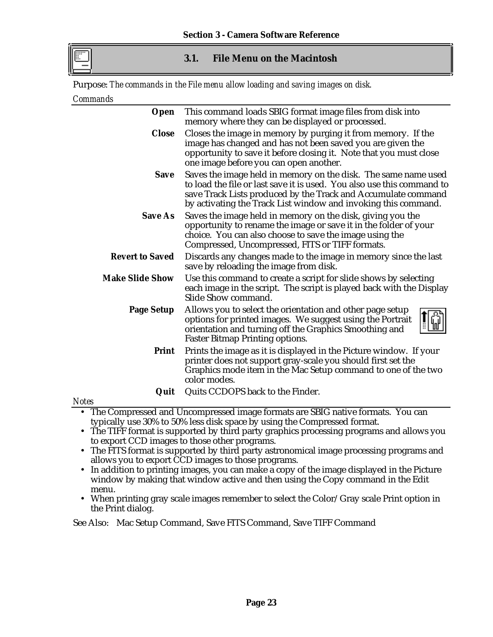

#### **3.1. File Menu on the Macintosh**

Purpose: *The commands in the File menu allow loading and saving images on disk.*

#### *Commands*

| Open                   | This command loads SBIG format image files from disk into<br>memory where they can be displayed or processed.                                                                                                                                                               |  |
|------------------------|-----------------------------------------------------------------------------------------------------------------------------------------------------------------------------------------------------------------------------------------------------------------------------|--|
| <b>Close</b>           | Closes the image in memory by purging it from memory. If the<br>image has changed and has not been saved you are given the<br>opportunity to save it before closing it. Note that you must close<br>one image before you can open another.                                  |  |
| <b>Save</b>            | Saves the image held in memory on the disk. The same name used<br>to load the file or last save it is used. You also use this command to<br>save Track Lists produced by the Track and Accumulate command<br>by activating the Track List window and invoking this command. |  |
| <b>Save As</b>         | Saves the image held in memory on the disk, giving you the<br>opportunity to rename the image or save it in the folder of your<br>choice. You can also choose to save the image using the<br>Compressed, Uncompressed, FITS or TIFF formats.                                |  |
| <b>Revert to Saved</b> | Discards any changes made to the image in memory since the last<br>save by reloading the image from disk.                                                                                                                                                                   |  |
| <b>Make Slide Show</b> | Use this command to create a script for slide shows by selecting<br>each image in the script. The script is played back with the Display<br>Slide Show command.                                                                                                             |  |
| <b>Page Setup</b>      | Allows you to select the orientation and other page setup<br>options for printed images. We suggest using the Portrait<br>orientation and turning off the Graphics Smoothing and<br><b>Faster Bitmap Printing options.</b>                                                  |  |
| <b>Print</b>           | Prints the image as it is displayed in the Picture window. If your<br>printer does not support gray-scale you should first set the<br>Graphics mode item in the Mac Setup command to one of the two<br>color modes.                                                         |  |
| Quit                   | Quits CCDOPS back to the Finder.                                                                                                                                                                                                                                            |  |

*Notes*

• The Compressed and Uncompressed image formats are SBIG native formats. You can typically use 30% to 50% less disk space by using the Compressed format.

- The TIFF format is supported by third party graphics processing programs and allows you to export CCD images to those other programs.
- The FITS format is supported by third party astronomical image processing programs and allows you to export CCD images to those programs.
- In addition to printing images, you can make a copy of the image displayed in the Picture window by making that window active and then using the Copy command in the Edit menu.
- When printing gray scale images remember to select the Color/Gray scale Print option in the Print dialog.

See Also: Mac Setup Command, Save FITS Command, Save TIFF Command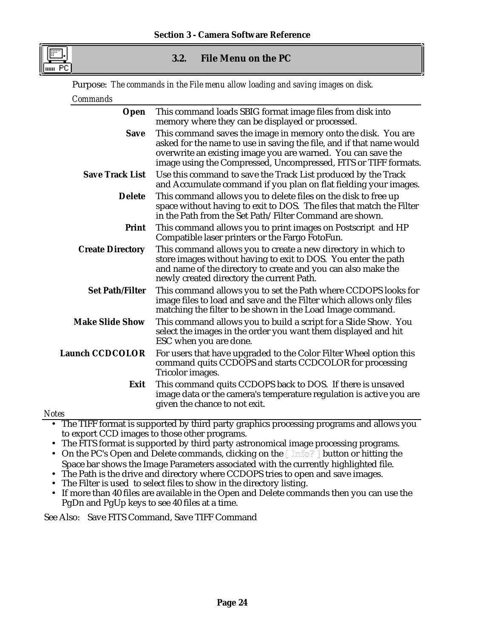

#### **3.2. File Menu on the PC**

Purpose: *The commands in the File menu allow loading and saving images on disk.*

| Commands                |                                                                                                                                                                                                                                                                          |
|-------------------------|--------------------------------------------------------------------------------------------------------------------------------------------------------------------------------------------------------------------------------------------------------------------------|
| <b>Open</b>             | This command loads SBIG format image files from disk into<br>memory where they can be displayed or processed.                                                                                                                                                            |
| <b>Save</b>             | This command saves the image in memory onto the disk. You are<br>asked for the name to use in saving the file, and if that name would<br>overwrite an existing image you are warned. You can save the<br>image using the Compressed, Uncompressed, FITS or TIFF formats. |
| <b>Save Track List</b>  | Use this command to save the Track List produced by the Track<br>and Accumulate command if you plan on flat fielding your images.                                                                                                                                        |
| <b>Delete</b>           | This command allows you to delete files on the disk to free up<br>space without having to exit to DOS. The files that match the Filter<br>in the Path from the Set Path/Filter Command are shown.                                                                        |
| <b>Print</b>            | This command allows you to print images on Postscript and HP<br>Compatible laser printers or the Fargo FotoFun.                                                                                                                                                          |
| <b>Create Directory</b> | This command allows you to create a new directory in which to<br>store images without having to exit to DOS. You enter the path<br>and name of the directory to create and you can also make the<br>newly created directory the current Path.                            |
| <b>Set Path/Filter</b>  | This command allows you to set the Path where CCDOPS looks for<br>image files to load and save and the Filter which allows only files<br>matching the filter to be shown in the Load Image command.                                                                      |
| <b>Make Slide Show</b>  | This command allows you to build a script for a Slide Show. You<br>select the images in the order you want them displayed and hit<br>ESC when you are done.                                                                                                              |
| <b>Launch CCDCOLOR</b>  | For users that have upgraded to the Color Filter Wheel option this<br>command quits CCDOPS and starts CCDCOLOR for processing<br>Tricolor images.                                                                                                                        |
| Exit                    | This command quits CCDOPS back to DOS. If there is unsaved<br>image data or the camera's temperature regulation is active you are<br>given the chance to not exit.                                                                                                       |
| <b>Notes</b>            |                                                                                                                                                                                                                                                                          |
|                         | • The TIFF format is supported by third party graphics processing programs and allows you                                                                                                                                                                                |

- to export CCD images to those other programs.
- The FITS format is supported by third party astronomical image processing programs.
- On the PC's Open and Delete commands, clicking on the [ Imfo? ] button or hitting the Space bar shows the Image Parameters associated with the currently highlighted file.
- The Path is the drive and directory where CCDOPS tries to open and save images.
- The Filter is used to select files to show in the directory listing.
- If more than 40 files are available in the Open and Delete commands then you can use the PgDn and PgUp keys to see 40 files at a time.

See Also: Save FITS Command, Save TIFF Command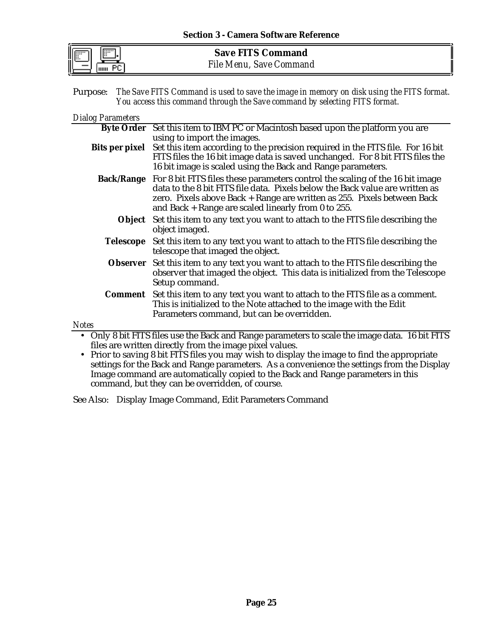**Save FITS Command** *File Menu, Save Command*

Purpose: *The Save FITS Command is used to save the image in memory on disk using the FITS format.*

*You access this command through the Save command by selecting FITS format.*

#### *Dialog Parameters*

|              | Byte Order Set this item to IBM PC or Macintosh based upon the platform you are                                                                                                                                                                                                                            |
|--------------|------------------------------------------------------------------------------------------------------------------------------------------------------------------------------------------------------------------------------------------------------------------------------------------------------------|
|              | using to import the images.                                                                                                                                                                                                                                                                                |
|              | Bits per pixel Set this item according to the precision required in the FITS file. For 16 bit<br>FITS files the 16 bit image data is saved unchanged. For 8 bit FITS files the<br>16 bit image is scaled using the Back and Range parameters.                                                              |
|              | Back/Range For 8 bit FITS files these parameters control the scaling of the 16 bit image<br>data to the 8 bit FITS file data. Pixels below the Back value are written as<br>zero. Pixels above Back + Range are written as 255. Pixels between Back<br>and Back + Range are scaled linearly from 0 to 255. |
|              | Object Set this item to any text you want to attach to the FITS file describing the<br>object imaged.                                                                                                                                                                                                      |
| Telescope    | Set this item to any text you want to attach to the FITS file describing the<br>telescope that imaged the object.                                                                                                                                                                                          |
|              | <b>Observer</b> Set this item to any text you want to attach to the FITS file describing the<br>observer that imaged the object. This data is initialized from the Telescope<br>Setup command.                                                                                                             |
|              | <b>Comment</b> Set this item to any text you want to attach to the FITS file as a comment.<br>This is initialized to the Note attached to the image with the Edit<br>Parameters command, but can be overridden.                                                                                            |
| <b>Notes</b> |                                                                                                                                                                                                                                                                                                            |
|              | Only 8 bit FITS files use the Back and Range parameters to scale the image data. 16 bit FITS                                                                                                                                                                                                               |

files are written directly from the image pixel values.

• Prior to saving 8 bit FITS files you may wish to display the image to find the appropriate settings for the Back and Range parameters. As a convenience the settings from the Display Image command are automatically copied to the Back and Range parameters in this command, but they can be overridden, of course.

See Also: Display Image Command, Edit Parameters Command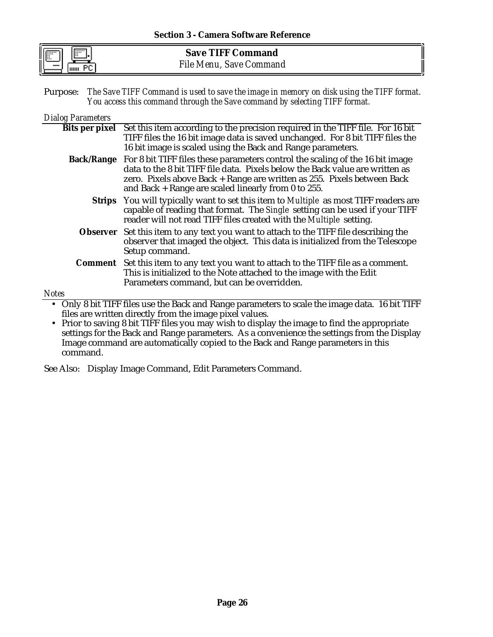| <b>Save TIFF Command</b> |  |
|--------------------------|--|
| File Menu, Save Command  |  |

Purpose: *The Save TIFF Command is used to save the image in memory on disk using the TIFF format. You access this command through the Save command by selecting TIFF format.*

#### *Dialog Parameters*

|              | Bits per pixel Set this item according to the precision required in the TIFF file. For 16 bit   |
|--------------|-------------------------------------------------------------------------------------------------|
|              | TIFF files the 16 bit image data is saved unchanged. For 8 bit TIFF files the                   |
|              | 16 bit image is scaled using the Back and Range parameters.                                     |
|              | <b>Back/Range</b> For 8 bit TIFF files these parameters control the scaling of the 16 bit image |
|              | data to the 8 bit TIFF file data. Pixels below the Back value are written as                    |
|              | zero. Pixels above Back + Range are written as 255. Pixels between Back                         |
|              | and Back $+$ Range are scaled linearly from 0 to 255.                                           |
|              | <b>Strips</b> You will typically want to set this item to Multiple as most TIFF readers are     |
|              | capable of reading that format. The Single setting can be used if your TIFF                     |
|              | reader will not read TIFF files created with the Multiple setting.                              |
|              | Observer Set this item to any text you want to attach to the TIFF file describing the           |
|              | observer that imaged the object. This data is initialized from the Telescope                    |
|              | Setup command.                                                                                  |
|              | <b>Comment</b> Set this item to any text you want to attach to the TIFF file as a comment.      |
|              | This is initialized to the Note attached to the image with the Edit                             |
|              | Parameters command, but can be overridden.                                                      |
| <b>Notes</b> |                                                                                                 |
|              |                                                                                                 |
|              | Only 8 bit TIFF files use the Back and Range parameters to scale the image data. 16 bit TIFF    |
|              | files are written directly from the image pixel values.                                         |

• Prior to saving 8 bit TIFF files you may wish to display the image to find the appropriate settings for the Back and Range parameters. As a convenience the settings from the Display Image command are automatically copied to the Back and Range parameters in this command.

See Also: Display Image Command, Edit Parameters Command.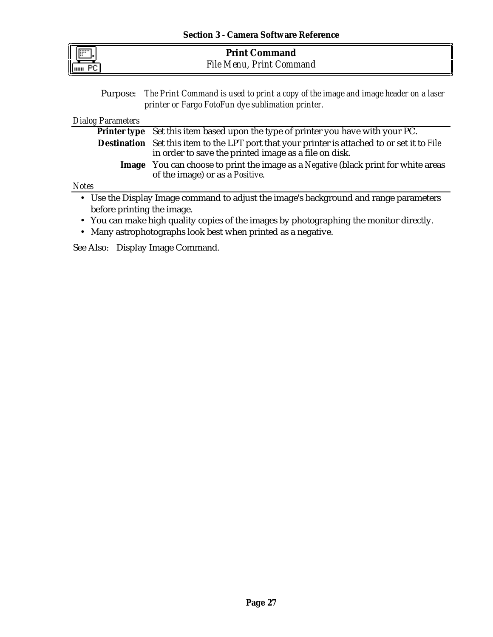| п |  |
|---|--|

| <b>Print Command</b>     |  |
|--------------------------|--|
| File Menu, Print Command |  |

Purpose: *The Print Command is used to print a copy of the image and image header on a laser printer or Fargo FotoFun dye sublimation printer.*

*Dialog Parameters*

|      | <b>Printer type</b> Set this item based upon the type of printer you have with your PC.                                                                      |
|------|--------------------------------------------------------------------------------------------------------------------------------------------------------------|
|      |                                                                                                                                                              |
|      | <b>Destination</b> Set this item to the LPT port that your printer is attached to or set it to File<br>in order to save the printed image as a file on disk. |
|      | <b>Image</b> You can choose to print the image as a Negative (black print for white areas<br>of the image) or as a Positive.                                 |
| otes |                                                                                                                                                              |
|      | • Use the Display Image command to adjust the image's background and range parameters                                                                        |

- *Notes*
	- before printing the image.
	- You can make high quality copies of the images by photographing the monitor directly.
	- Many astrophotographs look best when printed as a negative.

See Also: Display Image Command.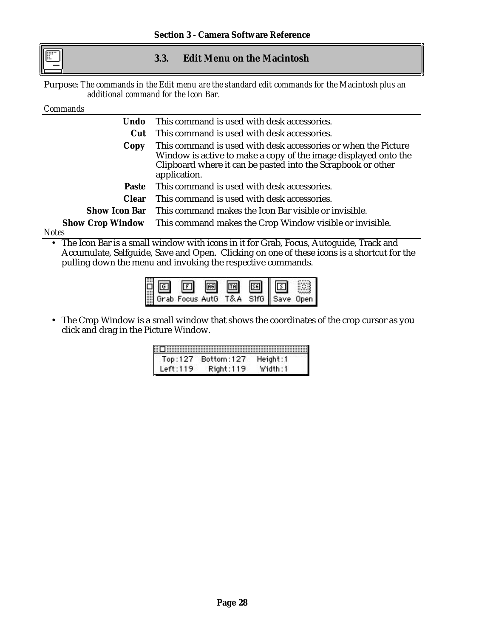#### **3.3. Edit Menu on the Macintosh**

Purpose: *The commands in the Edit menu are the standard edit commands for the Macintosh plus an additional command for the Icon Bar.*

#### *Commands*

| Undo         | This command is used with desk accessories.                                                                                                                                                                       |  |
|--------------|-------------------------------------------------------------------------------------------------------------------------------------------------------------------------------------------------------------------|--|
| <b>Cut</b>   | This command is used with desk accessories.                                                                                                                                                                       |  |
| Copy         | This command is used with desk accessories or when the Picture<br>Window is active to make a copy of the image displayed onto the<br>Clipboard where it can be pasted into the Scrapbook or other<br>application. |  |
|              | Paste This command is used with desk accessories.                                                                                                                                                                 |  |
| <b>Clear</b> | This command is used with desk accessories.                                                                                                                                                                       |  |
|              | <b>Show Icon Bar</b> This command makes the Icon Bar visible or invisible.                                                                                                                                        |  |
|              | <b>Show Crop Window</b> This command makes the Crop Window visible or invisible.                                                                                                                                  |  |
| Notes        |                                                                                                                                                                                                                   |  |

• The Icon Bar is a small window with icons in it for Grab, Focus, Autoguide, Track and Accumulate, Selfguide, Save and Open. Clicking on one of these icons is a shortcut for the pulling down the menu and invoking the respective commands.

• The Crop Window is a small window that shows the coordinates of the crop cursor as you click and drag in the Picture Window.

| ii Diiliiliiliilii |            |          |
|--------------------|------------|----------|
| Top:127            | Bottom:127 | Height:1 |
| Left:119           | Right:119  | Width:1  |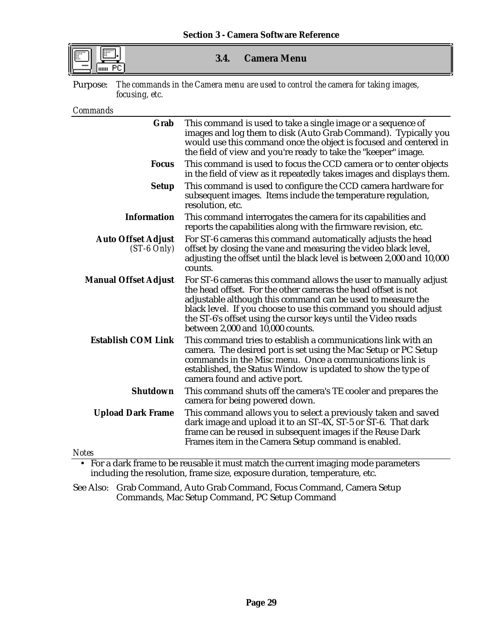| I |  |
|---|--|

#### **3.4. Camera Menu**

Purpose: *The commands in the Camera menu are used to control the camera for taking images, focusing, etc.*

*Commands*

| Grab                                       | This command is used to take a single image or a sequence of<br>images and log them to disk (Auto Grab Command). Typically you<br>would use this command once the object is focused and centered in<br>the field of view and you're ready to take the "keeper" image.                                                                                                     |
|--------------------------------------------|---------------------------------------------------------------------------------------------------------------------------------------------------------------------------------------------------------------------------------------------------------------------------------------------------------------------------------------------------------------------------|
| <b>Focus</b>                               | This command is used to focus the CCD camera or to center objects<br>in the field of view as it repeatedly takes images and displays them.                                                                                                                                                                                                                                |
| <b>Setup</b>                               | This command is used to configure the CCD camera hardware for<br>subsequent images. Items include the temperature regulation,<br>resolution, etc.                                                                                                                                                                                                                         |
| <b>Information</b>                         | This command interrogates the camera for its capabilities and<br>reports the capabilities along with the firmware revision, etc.                                                                                                                                                                                                                                          |
| <b>Auto Offset Adjust</b><br>$(ST-6 Only)$ | For ST-6 cameras this command automatically adjusts the head<br>offset by closing the vane and measuring the video black level,<br>adjusting the offset until the black level is between 2,000 and 10,000<br>counts.                                                                                                                                                      |
| <b>Manual Offset Adjust</b>                | For ST-6 cameras this command allows the user to manually adjust<br>the head offset. For the other cameras the head offset is not<br>adjustable although this command can be used to measure the<br>black level. If you choose to use this command you should adjust<br>the ST-6's offset using the cursor keys until the Video reads<br>between 2,000 and 10,000 counts. |
| <b>Establish COM Link</b>                  | This command tries to establish a communications link with an<br>camera. The desired port is set using the Mac Setup or PC Setup<br>commands in the Misc menu. Once a communications link is<br>established, the Status Window is updated to show the type of<br>camera found and active port.                                                                            |
| <b>Shutdown</b>                            | This command shuts off the camera's TE cooler and prepares the<br>camera for being powered down.                                                                                                                                                                                                                                                                          |
| <b>Upload Dark Frame</b>                   | This command allows you to select a previously taken and saved<br>dark image and upload it to an ST-4X, ST-5 or ST-6. That dark<br>frame can be reused in subsequent images if the Reuse Dark<br>Frames item in the Camera Setup command is enabled.                                                                                                                      |
| <b>Notes</b>                               |                                                                                                                                                                                                                                                                                                                                                                           |
|                                            | • For a dark frame to be reusable it must match the current imaging mode parameters                                                                                                                                                                                                                                                                                       |

• For a dark frame to be reusable it must match the current imaging mode parameters including the resolution, frame size, exposure duration, temperature, etc.

See Also: Grab Command, Auto Grab Command, Focus Command, Camera Setup Commands, Mac Setup Command, PC Setup Command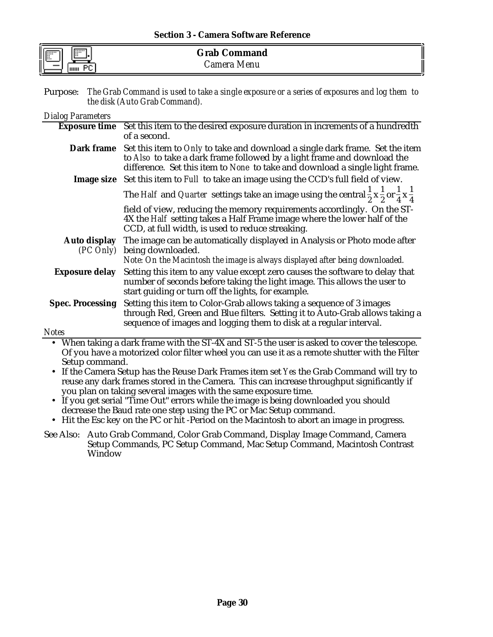#### **Section 3 - Camera Software Reference**

| IF I<br>IE   | <b>Grab Command</b> |   |
|--------------|---------------------|---|
| -<br>1111111 | amera:<br>Menu      | н |

Purpose: *The Grab Command is used to take a single exposure or a series of exposures and log them to the disk (Auto Grab Command).*

#### *Dialog Parameters*

|                         | Exposure time Set this item to the desired exposure duration in increments of a hundredth                                                                                                                                                                 |
|-------------------------|-----------------------------------------------------------------------------------------------------------------------------------------------------------------------------------------------------------------------------------------------------------|
|                         | of a second.                                                                                                                                                                                                                                              |
|                         | <b>Dark frame</b> Set this item to Only to take and download a single dark frame. Set the item<br>to Also to take a dark frame followed by a light frame and download the<br>difference. Set this item to None to take and download a single light frame. |
|                         | Image size Set this item to Full to take an image using the CCD's full field of view.                                                                                                                                                                     |
|                         | The Half and Quarter settings take an image using the central $\frac{1}{2}x\frac{1}{2}$ or $\frac{1}{4}x\frac{1}{4}$                                                                                                                                      |
|                         | field of view, reducing the memory requirements accordingly. On the ST-<br>4X the Half setting takes a Half Frame image where the lower half of the<br>CCD, at full width, is used to reduce streaking.                                                   |
| (PC Only)               | Auto display The image can be automatically displayed in Analysis or Photo mode after<br>being downloaded.                                                                                                                                                |
|                         | Note: On the Macintosh the image is always displayed after being downloaded.                                                                                                                                                                              |
| <b>Exposure delay</b>   | Setting this item to any value except zero causes the software to delay that<br>number of seconds before taking the light image. This allows the user to<br>start guiding or turn off the lights, for example.                                            |
| <b>Spec. Processing</b> | Setting this item to Color-Grab allows taking a sequence of 3 images<br>through Red, Green and Blue filters. Setting it to Auto-Grab allows taking a<br>sequence of images and logging them to disk at a regular interval.                                |
| <b>Notes</b>            |                                                                                                                                                                                                                                                           |
|                         | • When taking a dark frame with the ST-4X and ST-5 the user is asked to cover the telescope.                                                                                                                                                              |

- When taking a dark frame with the ST-4X and ST-5 the user is asked to cover the telescope. Of you have a motorized color filter wheel you can use it as a remote shutter with the Filter Setup command.
- If the Camera Setup has the Reuse Dark Frames item set *Yes* the Grab Command will try to reuse any dark frames stored in the Camera. This can increase throughput significantly if you plan on taking several images with the same exposure time.
- If you get serial "Time Out" errors while the image is being downloaded you should decrease the Baud rate one step using the PC or Mac Setup command.
- Hit the Esc key on the PC or hit -Period on the Macintosh to abort an image in progress.
- See Also: Auto Grab Command, Color Grab Command, Display Image Command, Camera Setup Commands, PC Setup Command, Mac Setup Command, Macintosh Contrast Window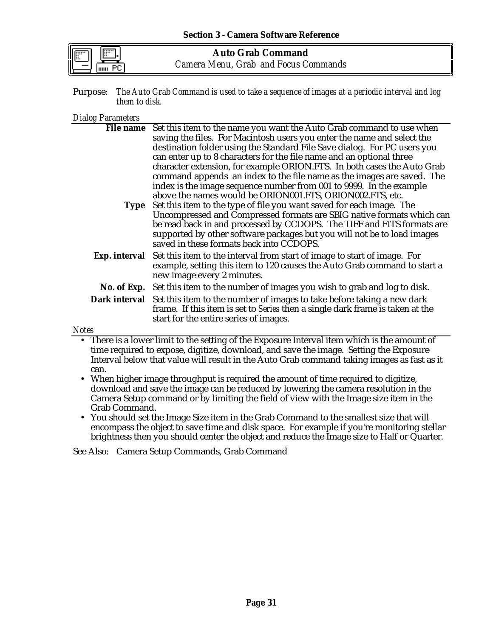| I |  |
|---|--|
|   |  |

**Auto Grab Command** *Camera Menu, Grab and Focus Commands*

Purpose: *The Auto Grab Command is used to take a sequence of images at a periodic interval and log them to disk.*

#### *Dialog Parameters*

|                                                                      | File name Set this item to the name you want the Auto Grab command to use when                        |  |
|----------------------------------------------------------------------|-------------------------------------------------------------------------------------------------------|--|
|                                                                      | saving the files. For Macintosh users you enter the name and select the                               |  |
|                                                                      | destination folder using the Standard File Save dialog. For PC users you                              |  |
| can enter up to 8 characters for the file name and an optional three |                                                                                                       |  |
|                                                                      | character extension, for example ORION.FTS. In both cases the Auto Grab                               |  |
|                                                                      | command appends an index to the file name as the images are saved. The                                |  |
|                                                                      | index is the image sequence number from 001 to 9999. In the example                                   |  |
|                                                                      | above the names would be ORION001.FTS, ORION002.FTS, etc.                                             |  |
|                                                                      | Type Set this item to the type of file you want saved for each image. The                             |  |
|                                                                      | Uncompressed and Compressed formats are SBIG native formats which can                                 |  |
|                                                                      | be read back in and processed by CCDOPS. The TIFF and FITS formats are                                |  |
|                                                                      | supported by other software packages but you will not be to load images                               |  |
|                                                                      | saved in these formats back into CCDOPS.                                                              |  |
|                                                                      | <b>Exp. interval</b> Set this item to the interval from start of image to start of image. For         |  |
|                                                                      | example, setting this item to 120 causes the Auto Grab command to start a                             |  |
|                                                                      | new image every 2 minutes.                                                                            |  |
|                                                                      | No. of Exp. Set this item to the number of images you wish to grab and log to disk.                   |  |
|                                                                      | Dark interval Set this item to the number of images to take before taking a new dark                  |  |
|                                                                      | frame. If this item is set to Series then a single dark frame is taken at the                         |  |
|                                                                      | start for the entire series of images.                                                                |  |
| <b>Notes</b>                                                         |                                                                                                       |  |
|                                                                      | <b>A</b> There is a lawer limit to the setting of the Experience Interval item which is the emount of |  |

- There is a lower limit to the setting of the Exposure Interval item which is the amount of time required to expose, digitize, download, and save the image. Setting the Exposure Interval below that value will result in the Auto Grab command taking images as fast as it can.
- When higher image throughput is required the amount of time required to digitize, download and save the image can be reduced by lowering the camera resolution in the Camera Setup command or by limiting the field of view with the Image size item in the Grab Command.
- You should set the Image Size item in the Grab Command to the smallest size that will encompass the object to save time and disk space. For example if you're monitoring stellar brightness then you should center the object and reduce the Image size to Half or Quarter.

See Also: Camera Setup Commands, Grab Command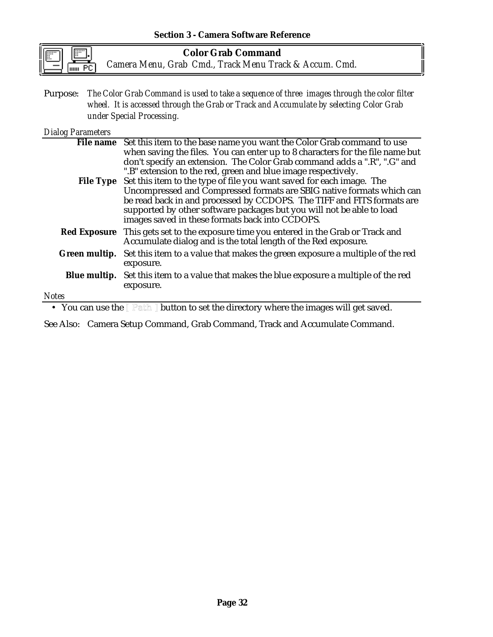#### **Section 3 - Camera Software Reference**

**Color Grab Command** *Camera Menu, Grab Cmd., Track Menu Track & Accum. Cmd.*

Purpose: *The Color Grab Command is used to take a sequence of three images through the color filter wheel. It is accessed through the Grab or Track and Accumulate by selecting Color Grab under Special Processing.*

#### *Dialog Parameters*

|                                                                                                                                       | File name Set this item to the base name you want the Color Grab command to use                                                                                                                                                                                             |  |
|---------------------------------------------------------------------------------------------------------------------------------------|-----------------------------------------------------------------------------------------------------------------------------------------------------------------------------------------------------------------------------------------------------------------------------|--|
|                                                                                                                                       | when saving the files. You can enter up to 8 characters for the file name but                                                                                                                                                                                               |  |
|                                                                                                                                       | don't specify an extension. The Color Grab command adds a ".R", ".G" and                                                                                                                                                                                                    |  |
|                                                                                                                                       | ".B" extension to the red, green and blue image respectively.                                                                                                                                                                                                               |  |
|                                                                                                                                       | File Type Set this item to the type of file you want saved for each image. The                                                                                                                                                                                              |  |
|                                                                                                                                       | Uncompressed and Compressed formats are SBIG native formats which can<br>be read back in and processed by CCDOPS. The TIFF and FITS formats are<br>supported by other software packages but you will not be able to load<br>images saved in these formats back into CCDOPS. |  |
|                                                                                                                                       | <b>Red Exposure</b> This gets set to the exposure time you entered in the Grab or Track and<br>Accumulate dialog and is the total length of the Red exposure.                                                                                                               |  |
|                                                                                                                                       | Green multip. Set this item to a value that makes the green exposure a multiple of the red<br>exposure.                                                                                                                                                                     |  |
|                                                                                                                                       | <b>Blue multip.</b> Set this item to a value that makes the blue exposure a multiple of the red<br>exposure.                                                                                                                                                                |  |
| <b>Notes</b>                                                                                                                          |                                                                                                                                                                                                                                                                             |  |
| • Vay can use the $\mathbb{D}_{\mathbb{Q}}$ the $\mathbb{D}_{\mathbb{Q}}$ button to set the directory where the images will get sayed |                                                                                                                                                                                                                                                                             |  |

• You can use the  $[$  Path  $]$  button to set the directory where the images will get saved.

See Also: Camera Setup Command, Grab Command, Track and Accumulate Command.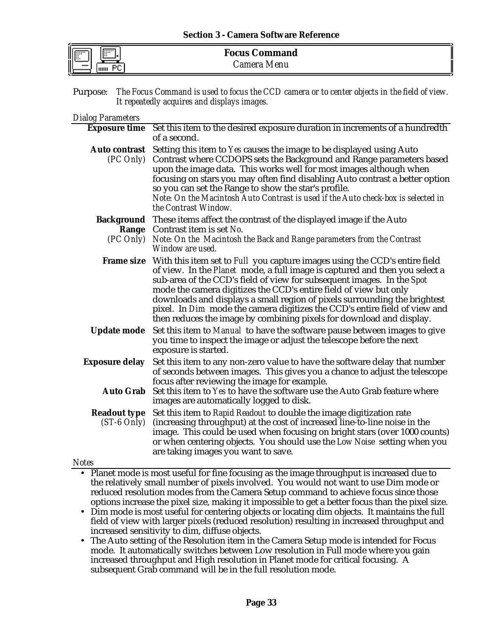| l |  |
|---|--|

| <b>Focus Command</b> |
|----------------------|
| Camera Menu          |

Purpose: *The Focus Command is used to focus the CCD camera or to center objects in the field of view. It repeatedly acquires and displays images.*

#### *Dialog Parameters*

|                                      | <b>Exposure time</b> Set this item to the desired exposure duration in increments of a hundredth<br>of a second.                                                                                                                                                                                                                                                                                                                                                                                                                                       |  |
|--------------------------------------|--------------------------------------------------------------------------------------------------------------------------------------------------------------------------------------------------------------------------------------------------------------------------------------------------------------------------------------------------------------------------------------------------------------------------------------------------------------------------------------------------------------------------------------------------------|--|
| <b>Auto contrast</b><br>(PC Only)    | Setting this item to Yes causes the image to be displayed using Auto<br>Contrast where CCDOPS sets the Background and Range parameters based<br>upon the image data. This works well for most images although when<br>focusing on stars you may often find disabling Auto contrast a better option<br>so you can set the Range to show the star's profile.<br>Note: On the Macintosh Auto Contrast is used if the Auto check-box is selected in<br>the Contrast Window.                                                                                |  |
| <b>Background</b>                    | These items affect the contrast of the displayed image if the Auto                                                                                                                                                                                                                                                                                                                                                                                                                                                                                     |  |
| Range                                | Contrast item is set No.                                                                                                                                                                                                                                                                                                                                                                                                                                                                                                                               |  |
| (PC Only)                            | Note: On the Macintosh the Back and Range parameters from the Contrast<br>Window are used.                                                                                                                                                                                                                                                                                                                                                                                                                                                             |  |
|                                      | Frame size With this item set to Full you capture images using the CCD's entire field<br>of view. In the Planet mode, a full image is captured and then you select a<br>sub-area of the CCD's field of view for subsequent images. In the Spot<br>mode the camera digitizes the CCD's entire field of view but only<br>downloads and displays a small region of pixels surrounding the brightest<br>pixel. In Dim mode the camera digitizes the CCD's entire field of view and<br>then reduces the image by combining pixels for download and display. |  |
| <b>Update mode</b>                   | Set this item to Manual to have the software pause between images to give<br>you time to inspect the image or adjust the telescope before the next<br>exposure is started.                                                                                                                                                                                                                                                                                                                                                                             |  |
| <b>Exposure delay</b>                | Set this item to any non-zero value to have the software delay that number<br>of seconds between images. This gives you a chance to adjust the telescope<br>focus after reviewing the image for example.                                                                                                                                                                                                                                                                                                                                               |  |
| <b>Auto Grab</b>                     | Set this item to Yes to have the software use the Auto Grab feature where<br>images are automatically logged to disk.                                                                                                                                                                                                                                                                                                                                                                                                                                  |  |
| <b>Readout type</b><br>$(ST-6 Only)$ | Set this item to Rapid Readout to double the image digitization rate<br>(increasing throughput) at the cost of increased line-to-line noise in the<br>image. This could be used when focusing on bright stars (over 1000 counts)<br>or when centering objects. You should use the Low Noise setting when you<br>are taking images you want to save.                                                                                                                                                                                                    |  |

#### *Notes*

• Planet mode is most useful for fine focusing as the image throughput is increased due to the relatively small number of pixels involved. You would not want to use Dim mode or reduced resolution modes from the Camera Setup command to achieve focus since those options increase the pixel size, making it impossible to get a better focus than the pixel size.

- Dim mode is most useful for centering objects or locating dim objects. It maintains the full field of view with larger pixels (reduced resolution) resulting in increased throughput and increased sensitivity to dim, diffuse objects.
- The Auto setting of the Resolution item in the Camera Setup mode is intended for Focus mode. It automatically switches between Low resolution in Full mode where you gain increased throughput and High resolution in Planet mode for critical focusing. A subsequent Grab command will be in the full resolution mode.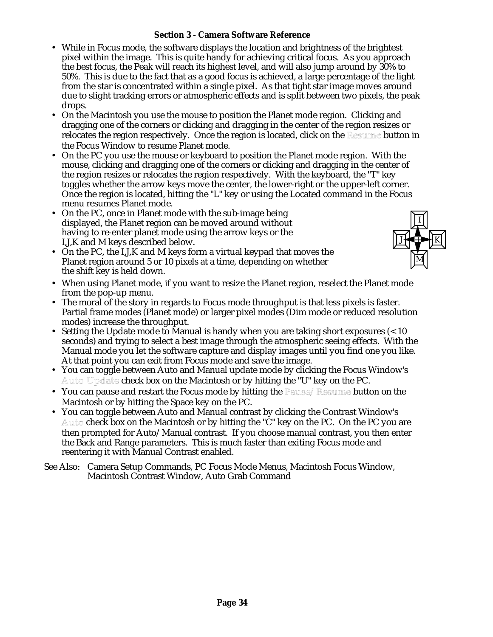#### **Section 3 - Camera Software Reference**

- While in Focus mode, the software displays the location and brightness of the brightest pixel within the image. This is quite handy for achieving critical focus. As you approach the best focus, the Peak will reach its highest level, and will also jump around by 30% to 50%. This is due to the fact that as a good focus is achieved, a large percentage of the light from the star is concentrated within a single pixel. As that tight star image moves around due to slight tracking errors or atmospheric effects and is split between two pixels, the peak drops.
- On the Macintosh you use the mouse to position the Planet mode region. Clicking and dragging one of the corners or clicking and dragging in the center of the region resizes or relocates the region respectively. Once the region is located, click on the Resume button in the Focus Window to resume Planet mode.
- On the PC you use the mouse or keyboard to position the Planet mode region. With the mouse, clicking and dragging one of the corners or clicking and dragging in the center of the region resizes or relocates the region respectively. With the keyboard, the "T" key toggles whether the arrow keys move the center, the lower-right or the upper-left corner. Once the region is located, hitting the "L" key or using the Located command in the Focus menu resumes Planet mode.
- On the PC, once in Planet mode with the sub-image being displayed, the Planet region can be moved around without having to re-enter planet mode using the arrow keys or the I,J,K and M keys described below.
- On the PC, the I,J,K and M keys form a virtual keypad that moves the Planet region around 5 or 10 pixels at a time, depending on whether the shift key is held down.



- When using Planet mode, if you want to resize the Planet region, reselect the Planet mode from the pop-up menu.
- The moral of the story in regards to Focus mode throughput is that less pixels is faster. Partial frame modes (Planet mode) or larger pixel modes (Dim mode or reduced resolution modes) increase the throughput.
- Setting the Update mode to Manual is handy when you are taking short exposures (< 10 seconds) and trying to select a best image through the atmospheric seeing effects. With the Manual mode you let the software capture and display images until you find one you like. At that point you can exit from Focus mode and save the image.
- You can toggle between Auto and Manual update mode by clicking the Focus Window's Auto Update check box on the Macintosh or by hitting the "U" key on the PC.
- You can pause and restart the Focus mode by hitting the Pause/Resume button on the Macintosh or by hitting the Space key on the PC.
- You can toggle between Auto and Manual contrast by clicking the Contrast Window's Auto check box on the Macintosh or by hitting the "C" key on the PC. On the PC you are then prompted for Auto/Manual contrast. If you choose manual contrast, you then enter the Back and Range parameters. This is much faster than exiting Focus mode and reentering it with Manual Contrast enabled.
- See Also: Camera Setup Commands, PC Focus Mode Menus, Macintosh Focus Window, Macintosh Contrast Window, Auto Grab Command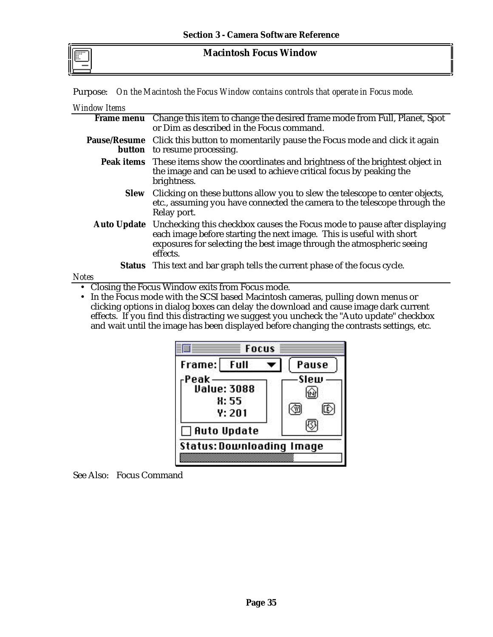**Macintosh Focus Window**

Purpose: *On the Macintosh the Focus Window contains controls that operate in Focus mode.*

| <b>Window Items</b> |  |
|---------------------|--|
|---------------------|--|

| Frame menu Change this item to change the desired frame mode from Full, Planet, Spot<br>or Dim as described in the Focus command.                                                                                                                 |
|---------------------------------------------------------------------------------------------------------------------------------------------------------------------------------------------------------------------------------------------------|
| Pause/Resume Click this button to momentarily pause the Focus mode and click it again<br>button to resume processing.                                                                                                                             |
| <b>Peak items</b> These items show the coordinates and brightness of the brightest object in<br>the image and can be used to achieve critical focus by peaking the<br>brightness.                                                                 |
| Slew Clicking on these buttons allow you to slew the telescope to center objects,<br>etc., assuming you have connected the camera to the telescope through the<br>Relay port.                                                                     |
| Auto Update Unchecking this checkbox causes the Focus mode to pause after displaying<br>each image before starting the next image. This is useful with short<br>exposures for selecting the best image through the atmospheric seeing<br>effects. |
| <b>Status</b> This text and bar graph tells the current phase of the focus cycle.                                                                                                                                                                 |
|                                                                                                                                                                                                                                                   |

#### *Notes*

• Closing the Focus Window exits from Focus mode.

• In the Focus mode with the SCSI based Macintosh cameras, pulling down menus or clicking options in dialog boxes can delay the download and cause image dark current effects. If you find this distracting we suggest you uncheck the "Auto update" checkbox and wait until the image has been displayed before changing the contrasts settings, etc.



See Also: Focus Command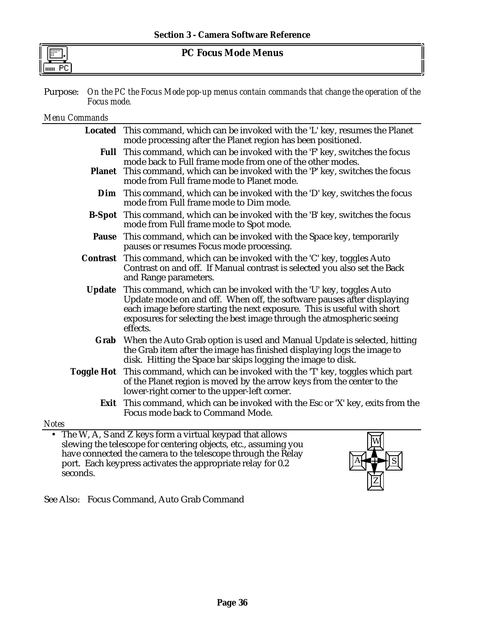# **PC Focus Mode Menus**

Purpose: *On the PC the Focus Mode pop-up menus contain commands that change the operation of the Focus mode.*

*Menu Commands*

|               | Located This command, which can be invoked with the 'L' key, resumes the Planet<br>mode processing after the Planet region has been positioned.                                                                                                                                                             |
|---------------|-------------------------------------------------------------------------------------------------------------------------------------------------------------------------------------------------------------------------------------------------------------------------------------------------------------|
|               | Full This command, which can be invoked with the 'F' key, switches the focus<br>mode back to Full frame mode from one of the other modes.                                                                                                                                                                   |
| <b>Planet</b> | This command, which can be invoked with the 'P' key, switches the focus<br>mode from Full frame mode to Planet mode.                                                                                                                                                                                        |
|               | Dim This command, which can be invoked with the 'D' key, switches the focus<br>mode from Full frame mode to Dim mode.                                                                                                                                                                                       |
|               | <b>B-Spot</b> This command, which can be invoked with the 'B' key, switches the focus<br>mode from Full frame mode to Spot mode.                                                                                                                                                                            |
| <b>Pause</b>  | This command, which can be invoked with the Space key, temporarily<br>pauses or resumes Focus mode processing.                                                                                                                                                                                              |
|               | <b>Contrast</b> This command, which can be invoked with the 'C' key, toggles Auto<br>Contrast on and off. If Manual contrast is selected you also set the Back<br>and Range parameters.                                                                                                                     |
| <b>Update</b> | This command, which can be invoked with the 'U' key, toggles Auto<br>Update mode on and off. When off, the software pauses after displaying<br>each image before starting the next exposure. This is useful with short<br>exposures for selecting the best image through the atmospheric seeing<br>effects. |
| Grab          | When the Auto Grab option is used and Manual Update is selected, hitting<br>the Grab item after the image has finished displaying logs the image to<br>disk. Hitting the Space bar skips logging the image to disk.                                                                                         |
|               | Toggle Hot This command, which can be invoked with the 'T' key, toggles which part<br>of the Planet region is moved by the arrow keys from the center to the<br>lower-right corner to the upper-left corner.                                                                                                |
|               | <b>Exit</b> This command, which can be invoked with the Esc or 'X' key, exits from the<br>Focus mode back to Command Mode.                                                                                                                                                                                  |
| otes          |                                                                                                                                                                                                                                                                                                             |
|               | • The W, A, S and Z keys form a virtual keypad that allows<br>$\overline{w}$                                                                                                                                                                                                                                |

*Notes* slewing the telescope for centering objects, etc., assuming you have connected the camera to the telescope through the Relay port. Each keypress activates the appropriate relay for 0.2 seconds.



See Also: Focus Command, Auto Grab Command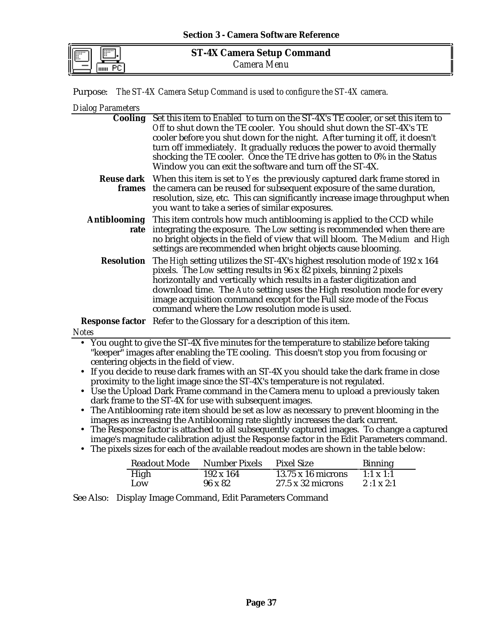Purpose: *The ST-4X Camera Setup Command is used to configure the ST-4X camera.*

*Dialog Parameters*

| $P_{\text{r}}$ and $P_{\text{r}}$                                                                                                                               |                                                                                                                                                                                                                                                                                                                                                                                                                                                                                                |  |  |
|-----------------------------------------------------------------------------------------------------------------------------------------------------------------|------------------------------------------------------------------------------------------------------------------------------------------------------------------------------------------------------------------------------------------------------------------------------------------------------------------------------------------------------------------------------------------------------------------------------------------------------------------------------------------------|--|--|
|                                                                                                                                                                 | Cooling Set this item to Enabled to turn on the ST-4X's TE cooler, or set this item to<br>Off to shut down the TE cooler. You should shut down the ST-4X's TE<br>cooler before you shut down for the night. After turning it off, it doesn't<br>turn off immediately. It gradually reduces the power to avoid thermally<br>shocking the TE cooler. Once the TE drive has gotten to 0% in the Status<br>Window you can exit the software and turn off the ST-4X.                                |  |  |
| frames                                                                                                                                                          | <b>Reuse dark</b> When this item is set to Yes the previously captured dark frame stored in<br>the camera can be reused for subsequent exposure of the same duration,<br>resolution, size, etc. This can significantly increase image throughput when<br>you want to take a series of similar exposures.                                                                                                                                                                                       |  |  |
| <b>Antiblooming</b><br>rate                                                                                                                                     | This item controls how much antiblooming is applied to the CCD while<br>integrating the exposure. The Low setting is recommended when there are<br>no bright objects in the field of view that will bloom. The Medium and High<br>settings are recommended when bright objects cause blooming.                                                                                                                                                                                                 |  |  |
| <b>Resolution</b>                                                                                                                                               | The High setting utilizes the ST-4X's highest resolution mode of 192 x 164<br>pixels. The Low setting results in 96 x 82 pixels, binning 2 pixels<br>horizontally and vertically which results in a faster digitization and<br>download time. The Auto setting uses the High resolution mode for every<br>image acquisition command except for the Full size mode of the Focus<br>command where the Low resolution mode is used.                                                               |  |  |
|                                                                                                                                                                 | <b>Response factor</b> Refer to the Glossary for a description of this item.                                                                                                                                                                                                                                                                                                                                                                                                                   |  |  |
| <b>Notes</b>                                                                                                                                                    |                                                                                                                                                                                                                                                                                                                                                                                                                                                                                                |  |  |
| $\bullet$<br>$\bullet$                                                                                                                                          | • You ought to give the ST-4X five minutes for the temperature to stabilize before taking<br>"keeper" images after enabling the TE cooling. This doesn't stop you from focusing or<br>centering objects in the field of view.<br>If you decide to reuse dark frames with an ST-4X you should take the dark frame in close<br>proximity to the light image since the ST-4X's temperature is not regulated.<br>Use the Upload Dark Frame command in the Camera menu to upload a previously taken |  |  |
| dark frame to the ST-4X for use with subsequent images.<br>The Antiblooming rate item should be set as low as necessary to prevent blooming in the<br>$\bullet$ |                                                                                                                                                                                                                                                                                                                                                                                                                                                                                                |  |  |
|                                                                                                                                                                 | images as increasing the Antiblooming rate slightly increases the dark current.                                                                                                                                                                                                                                                                                                                                                                                                                |  |  |
| • The Response factor is attached to all subsequently captured images. To change a captured                                                                     |                                                                                                                                                                                                                                                                                                                                                                                                                                                                                                |  |  |

- The Response factor is attached to all subsequently captured images. To change a captured image's magnitude calibration adjust the Response factor in the Edit Parameters command.
- The pixels sizes for each of the available readout modes are shown in the table below:

| <b>Readout Mode</b> | Number Pixels    | <b>Pixel Size</b>         | <b>Binning</b>   |
|---------------------|------------------|---------------------------|------------------|
| High                | $192 \times 164$ | $13.75 \times 16$ microns | $1:1 \times 1:1$ |
| Low                 | $96 \times 82$   | $27.5 \times 32$ microns  | $2:1 \times 2:1$ |

See Also: Display Image Command, Edit Parameters Command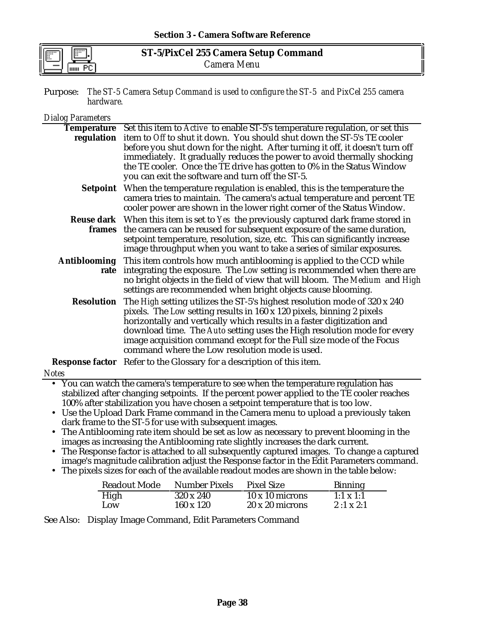| г.<br>  <br>  <br> |  |
|--------------------|--|
|                    |  |

**ST-5/PixCel 255 Camera Setup Command** *Camera Menu*

Purpose: *The ST-5 Camera Setup Command is used to configure the ST-5 and PixCel 255 camera hardware.*

### *Dialog Parameters* **Temperature** Set this item to *Active* to enable ST-5's temperature regulation, or set this **regulation** item to *Off* to shut it down. You should shut down the ST-5's TE cooler before you shut down for the night. After turning it off, it doesn't turn off immediately. It gradually reduces the power to avoid thermally shocking the TE cooler. Once the TE drive has gotten to 0% in the Status Window you can exit the software and turn off the ST-5. **Setpoint** When the temperature regulation is enabled, this is the temperature the camera tries to maintain. The camera's actual temperature and percent TE cooler power are shown in the lower right corner of the Status Window. **Reuse dark** When this item is set to *Yes* the previously captured dark frame stored in **frames** the camera can be reused for subsequent exposure of the same duration, setpoint temperature, resolution, size, etc. This can significantly increase image throughput when you want to take a series of similar exposures. **Antiblooming** This item controls how much antiblooming is applied to the CCD while **rate** integrating the exposure. The *Low* setting is recommended when there are no bright objects in the field of view that will bloom. The *Medium* and *High* settings are recommended when bright objects cause blooming. **Resolution** The *High* setting utilizes the ST-5's highest resolution mode of 320 x 240 pixels. The *Low* setting results in 160 x 120 pixels, binning 2 pixels horizontally and vertically which results in a faster digitization and download time. The *Auto* setting uses the High resolution mode for every image acquisition command except for the Full size mode of the Focus command where the Low resolution mode is used. **Response factor** Refer to the Glossary for a description of this item. *Notes* • You can watch the camera's temperature to see when the temperature regulation has stabilized after changing setpoints. If the percent power applied to the TE cooler reaches

- 100% after stabilization you have chosen a setpoint temperature that is too low.
- Use the Upload Dark Frame command in the Camera menu to upload a previously taken dark frame to the ST-5 for use with subsequent images.
- The Antiblooming rate item should be set as low as necessary to prevent blooming in the images as increasing the Antiblooming rate slightly increases the dark current.
- The Response factor is attached to all subsequently captured images. To change a captured image's magnitude calibration adjust the Response factor in the Edit Parameters command.
- The pixels sizes for each of the available readout modes are shown in the table below:

| <b>Readout Mode</b> | <b>Number Pixels</b> | <b>Pixel Size</b>      | <b>Binning</b>   |
|---------------------|----------------------|------------------------|------------------|
| High                | 320 x 240            | $10 \times 10$ microns | $1:1 \times 1:1$ |
| Low                 | 160 x 120            | $20 \times 20$ microns | $2:1 \times 2:1$ |

See Also: Display Image Command, Edit Parameters Command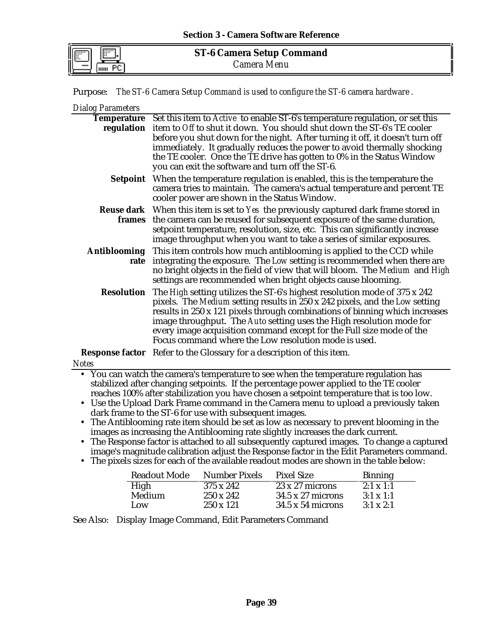Purpose: *The ST-6 Camera Setup Command is used to configure the ST-6 camera hardware .*

*Dialog Parameters*

|                   | Temperature Set this item to Active to enable ST-6's temperature regulation, or set this                                                                 |
|-------------------|----------------------------------------------------------------------------------------------------------------------------------------------------------|
|                   | regulation item to Off to shut it down. You should shut down the ST-6's TE cooler                                                                        |
|                   | before you shut down for the night. After turning it off, it doesn't turn off                                                                            |
|                   | immediately. It gradually reduces the power to avoid thermally shocking                                                                                  |
|                   | the TE cooler. Once the TE drive has gotten to 0% in the Status Window<br>you can exit the software and turn off the ST-6.                               |
|                   | <b>Setpoint</b> When the temperature regulation is enabled, this is the temperature the                                                                  |
|                   | camera tries to maintain. The camera's actual temperature and percent TE                                                                                 |
|                   | cooler power are shown in the Status Window.                                                                                                             |
|                   | <b>Reuse dark</b> When this item is set to Yes the previously captured dark frame stored in                                                              |
|                   | frames the camera can be reused for subsequent exposure of the same duration,                                                                            |
|                   | setpoint temperature, resolution, size, etc. This can significantly increase                                                                             |
|                   | image throughput when you want to take a series of similar exposures.                                                                                    |
|                   | Antiblooming This item controls how much antiblooming is applied to the CCD while                                                                        |
| rate              | integrating the exposure. The Low setting is recommended when there are                                                                                  |
|                   | no bright objects in the field of view that will bloom. The Medium and High                                                                              |
|                   | settings are recommended when bright objects cause blooming.                                                                                             |
| <b>Resolution</b> | The High setting utilizes the ST-6's highest resolution mode of 375 x 242<br>pixels. The Medium setting results in 250 x 242 pixels, and the Low setting |
|                   | results in 250 x 121 pixels through combinations of binning which increases                                                                              |
|                   | image throughput. The Auto setting uses the High resolution mode for                                                                                     |
|                   | every image acquisition command except for the Full size mode of the                                                                                     |
|                   | Focus command where the Low resolution mode is used.                                                                                                     |
|                   | Response factor Refer to the Glossary for a description of this item.                                                                                    |
| <b>Notes</b>      |                                                                                                                                                          |
|                   | • You can watch the camera's temperature to see when the temperature regulation has                                                                      |
|                   | stabilized after changing setpoints. If the percentage power applied to the TE cooler                                                                    |
|                   | reaches 100% after stabilization you have chosen a setpoint temperature that is too low.                                                                 |

- Use the Upload Dark Frame command in the Camera menu to upload a previously taken dark frame to the ST-6 for use with subsequent images.
- The Antiblooming rate item should be set as low as necessary to prevent blooming in the images as increasing the Antiblooming rate slightly increases the dark current.
- The Response factor is attached to all subsequently captured images. To change a captured image's magnitude calibration adjust the Response factor in the Edit Parameters command.
- The pixels sizes for each of the available readout modes are shown in the table below:

| <b>Readout Mode</b> | <b>Number Pixels</b> | <b>Pixel Size</b>        | <b>Binning</b>   |
|---------------------|----------------------|--------------------------|------------------|
| High                | 375 x 242            | $23 \times 27$ microns   | $2:1 \times 1:1$ |
| Medium              | $250 \times 242$     | $34.5 \times 27$ microns | $3:1 \times 1:1$ |
| Low.                | $250 \times 121$     | $34.5 \times 54$ microns | $3:1 \times 2:1$ |

See Also: Display Image Command, Edit Parameters Command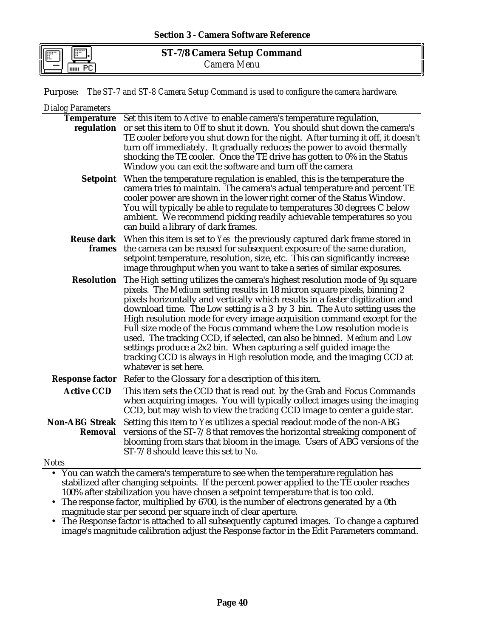Purpose: *The ST-7 and ST-8 Camera Setup Command is used to configure the camera hardware.*

| <b>Dialog Parameters</b>         |                                                                                                                                                                                                                                                                                                                                                                                                                                                                                                                                                                                                                                                                                                                              |
|----------------------------------|------------------------------------------------------------------------------------------------------------------------------------------------------------------------------------------------------------------------------------------------------------------------------------------------------------------------------------------------------------------------------------------------------------------------------------------------------------------------------------------------------------------------------------------------------------------------------------------------------------------------------------------------------------------------------------------------------------------------------|
| <b>Temperature</b>               | Set this item to Active to enable camera's temperature regulation,<br>regulation or set this item to Off to shut it down. You should shut down the camera's<br>TE cooler before you shut down for the night. After turning it off, it doesn't<br>turn off immediately. It gradually reduces the power to avoid thermally<br>shocking the TE cooler. Once the TE drive has gotten to 0% in the Status<br>Window you can exit the software and turn off the camera                                                                                                                                                                                                                                                             |
|                                  | Setpoint When the temperature regulation is enabled, this is the temperature the<br>camera tries to maintain. The camera's actual temperature and percent TE<br>cooler power are shown in the lower right corner of the Status Window.<br>You will typically be able to regulate to temperatures 30 degrees C below<br>ambient. We recommend picking readily achievable temperatures so you<br>can build a library of dark frames.                                                                                                                                                                                                                                                                                           |
|                                  | Reuse dark When this item is set to Yes the previously captured dark frame stored in<br>frames the camera can be reused for subsequent exposure of the same duration,<br>setpoint temperature, resolution, size, etc. This can significantly increase<br>image throughput when you want to take a series of similar exposures.                                                                                                                                                                                                                                                                                                                                                                                               |
| <b>Resolution</b>                | The High setting utilizes the camera's highest resolution mode of 9µ square<br>pixels. The Medium setting results in 18 micron square pixels, binning 2<br>pixels horizontally and vertically which results in a faster digitization and<br>download time. The Low setting is a 3 by 3 bin. The Auto setting uses the<br>High resolution mode for every image acquisition command except for the<br>Full size mode of the Focus command where the Low resolution mode is<br>used. The tracking CCD, if selected, can also be binned. Medium and Low<br>settings produce a 2x2 bin. When capturing a self guided image the<br>tracking CCD is always in High resolution mode, and the imaging CCD at<br>whatever is set here. |
| <b>Response factor</b>           | Refer to the Glossary for a description of this item.                                                                                                                                                                                                                                                                                                                                                                                                                                                                                                                                                                                                                                                                        |
| <b>Active CCD</b>                | This item sets the CCD that is read out by the Grab and Focus Commands<br>when acquiring images. You will typically collect images using the imaging<br>CCD, but may wish to view the tracking CCD image to center a guide star.                                                                                                                                                                                                                                                                                                                                                                                                                                                                                             |
| <b>Non-ABG Streak</b><br>Removal | Setting this item to Yes utilizes a special readout mode of the non-ABG<br>versions of the ST-7/8 that removes the horizontal streaking component of<br>blooming from stars that bloom in the image. Users of ABG versions of the<br>ST-7/8 should leave this set to No.                                                                                                                                                                                                                                                                                                                                                                                                                                                     |

*Notes*

• You can watch the camera's temperature to see when the temperature regulation has stabilized after changing setpoints. If the percent power applied to the TE cooler reaches 100% after stabilization you have chosen a setpoint temperature that is too cold.

- The response factor, multiplied by 6700, is the number of electrons generated by a 0th magnitude star per second per square inch of clear aperture.
- The Response factor is attached to all subsequently captured images. To change a captured image's magnitude calibration adjust the Response factor in the Edit Parameters command.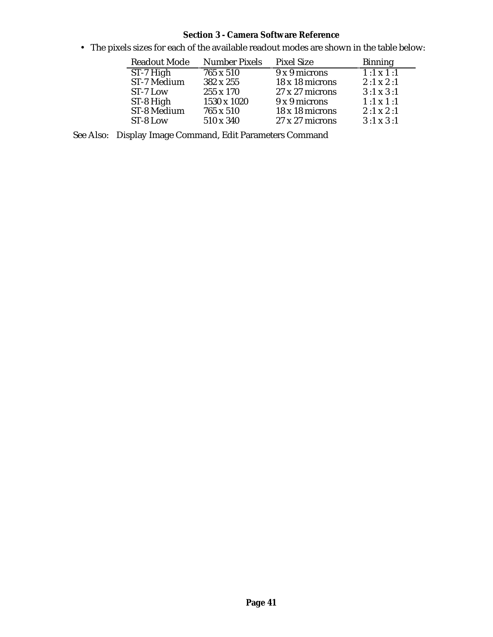• The pixels sizes for each of the available readout modes are shown in the table below:

| <b>Readout Mode</b> | <b>Number Pixels</b> | <b>Pixel Size</b>      | <b>Binning</b>   |
|---------------------|----------------------|------------------------|------------------|
| ST-7 High           | 765 x 510            | 9 x 9 microns          | $1:1 \times 1:1$ |
| <b>ST-7 Medium</b>  | 382 x 255            | 18 x 18 microns        | $2:1 \times 2:1$ |
| $ST-7$ Low          | 255 x 170            | $27 \times 27$ microns | $3:1 \times 3:1$ |
| ST-8 High           | 1530 x 1020          | 9 x 9 microns          | $1:1 \times 1:1$ |
| ST-8 Medium         | 765 x 510            | 18 x 18 microns        | $2:1 \times 2:1$ |
| ST-8 Low            | 510 x 340            | $27 \times 27$ microns | $3:1 \times 3:1$ |

See Also: Display Image Command, Edit Parameters Command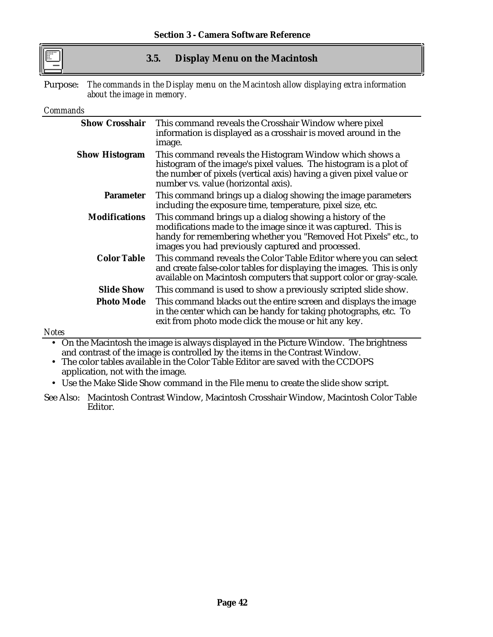## **3.5. Display Menu on the Macintosh**

Purpose: *The commands in the Display menu on the Macintosh allow displaying extra information about the image in memory.*

### *Commands*

*Notes*

|                       | Show Crosshair This command reveals the Crosshair Window where pixel<br>information is displayed as a crosshair is moved around in the<br>image.                                                                                                   |
|-----------------------|----------------------------------------------------------------------------------------------------------------------------------------------------------------------------------------------------------------------------------------------------|
| <b>Show Histogram</b> | This command reveals the Histogram Window which shows a<br>histogram of the image's pixel values. The histogram is a plot of<br>the number of pixels (vertical axis) having a given pixel value or<br>number vs. value (horizontal axis).          |
| <b>Parameter</b>      | This command brings up a dialog showing the image parameters<br>including the exposure time, temperature, pixel size, etc.                                                                                                                         |
| <b>Modifications</b>  | This command brings up a dialog showing a history of the<br>modifications made to the image since it was captured. This is<br>handy for remembering whether you "Removed Hot Pixels" etc., to<br>images you had previously captured and processed. |
| <b>Color Table</b>    | This command reveals the Color Table Editor where you can select<br>and create false-color tables for displaying the images. This is only<br>available on Macintosh computers that support color or gray-scale.                                    |
| <b>Slide Show</b>     | This command is used to show a previously scripted slide show.                                                                                                                                                                                     |
| <b>Photo Mode</b>     | This command blacks out the entire screen and displays the image<br>in the center which can be handy for taking photographs, etc. To<br>exit from photo mode click the mouse or hit any key.                                                       |

• On the Macintosh the image is always displayed in the Picture Window. The brightness and contrast of the image is controlled by the items in the Contrast Window.

• The color tables available in the Color Table Editor are saved with the CCDOPS application, not with the image.

• Use the Make Slide Show command in the File menu to create the slide show script.

See Also: Macintosh Contrast Window, Macintosh Crosshair Window, Macintosh Color Table Editor.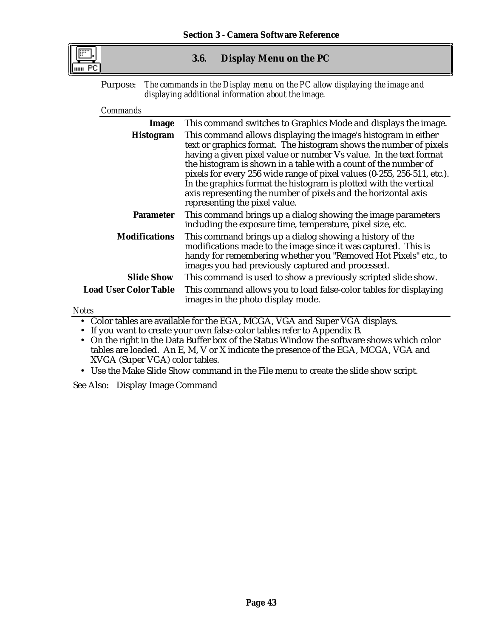

## **3.6. Display Menu on the PC**

Purpose: *The commands in the Display menu on the PC allow displaying the image and displaying additional information about the image.*

#### *Commands*

| Image                        | This command switches to Graphics Mode and displays the image.                                                                                                                                                                                                                                                                                                                                                                                                                                                                 |
|------------------------------|--------------------------------------------------------------------------------------------------------------------------------------------------------------------------------------------------------------------------------------------------------------------------------------------------------------------------------------------------------------------------------------------------------------------------------------------------------------------------------------------------------------------------------|
| <b>Histogram</b>             | This command allows displaying the image's histogram in either<br>text or graphics format. The histogram shows the number of pixels<br>having a given pixel value or number Vs value. In the text format<br>the histogram is shown in a table with a count of the number of<br>pixels for every 256 wide range of pixel values (0-255, 256-511, etc.).<br>In the graphics format the histogram is plotted with the vertical<br>axis representing the number of pixels and the horizontal axis<br>representing the pixel value. |
| <b>Parameter</b>             | This command brings up a dialog showing the image parameters<br>including the exposure time, temperature, pixel size, etc.                                                                                                                                                                                                                                                                                                                                                                                                     |
| <b>Modifications</b>         | This command brings up a dialog showing a history of the<br>modifications made to the image since it was captured. This is<br>handy for remembering whether you "Removed Hot Pixels" etc., to<br>images you had previously captured and processed.                                                                                                                                                                                                                                                                             |
| <b>Slide Show</b>            | This command is used to show a previously scripted slide show.                                                                                                                                                                                                                                                                                                                                                                                                                                                                 |
| <b>Load User Color Table</b> | This command allows you to load false-color tables for displaying<br>images in the photo display mode.                                                                                                                                                                                                                                                                                                                                                                                                                         |
| <b>Notes</b>                 |                                                                                                                                                                                                                                                                                                                                                                                                                                                                                                                                |
|                              | • Color tables are available for the EGA, MCGA, VGA and Super VGA displays.                                                                                                                                                                                                                                                                                                                                                                                                                                                    |

• If you want to create your own false-color tables refer to Appendix B.

• On the right in the Data Buffer box of the Status Window the software shows which color tables are loaded. An E, M, V or X indicate the presence of the EGA, MCGA, VGA and XVGA (Super VGA) color tables.

• Use the Make Slide Show command in the File menu to create the slide show script.

See Also: Display Image Command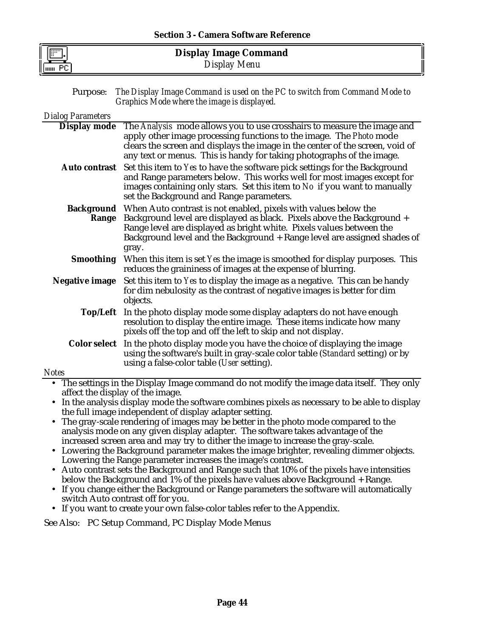| E  | <b>Display Image Command</b> |  |
|----|------------------------------|--|
| PC | Display Menu                 |  |

| <b>Purpose:</b> The Display Image Command is used on the PC to switch from Command Mode to |
|--------------------------------------------------------------------------------------------|
| Graphics Mode where the image is displayed.                                                |

| <b>Dialog Parameters</b>                                                                                                     |                                                                                                                                                                                                                                                                                                                   |
|------------------------------------------------------------------------------------------------------------------------------|-------------------------------------------------------------------------------------------------------------------------------------------------------------------------------------------------------------------------------------------------------------------------------------------------------------------|
| <b>Display mode</b>                                                                                                          | The Analysis mode allows you to use crosshairs to measure the image and<br>apply other image processing functions to the image. The Photo mode<br>clears the screen and displays the image in the center of the screen, void of<br>any text or menus. This is handy for taking photographs of the image.          |
| <b>Auto contrast</b>                                                                                                         | Set this item to Yes to have the software pick settings for the Background<br>and Range parameters below. This works well for most images except for<br>images containing only stars. Set this item to No if you want to manually<br>set the Background and Range parameters.                                     |
| Range                                                                                                                        | Background When Auto contrast is not enabled, pixels with values below the<br>Background level are displayed as black. Pixels above the Background +<br>Range level are displayed as bright white. Pixels values between the<br>Background level and the Background + Range level are assigned shades of<br>gray. |
|                                                                                                                              | <b>Smoothing</b> When this item is set Yes the image is smoothed for display purposes. This<br>reduces the graininess of images at the expense of blurring.                                                                                                                                                       |
| <b>Negative image</b>                                                                                                        | Set this item to Yes to display the image as a negative. This can be handy<br>for dim nebulosity as the contrast of negative images is better for dim<br>objects.                                                                                                                                                 |
|                                                                                                                              | Top/Left In the photo display mode some display adapters do not have enough<br>resolution to display the entire image. These items indicate how many<br>pixels off the top and off the left to skip and not display.                                                                                              |
|                                                                                                                              | <b>Color select</b> In the photo display mode you have the choice of displaying the image<br>using the software's built in gray-scale color table (Standard setting) or by<br>using a false-color table (User setting).                                                                                           |
| <b>Notes</b>                                                                                                                 |                                                                                                                                                                                                                                                                                                                   |
| The settings in the Display Image command do not modify the image data itself. They only<br>affect the display of the image. |                                                                                                                                                                                                                                                                                                                   |

- In the analysis display mode the software combines pixels as necessary to be able to display the full image independent of display adapter setting.
- The gray-scale rendering of images may be better in the photo mode compared to the analysis mode on any given display adapter. The software takes advantage of the increased screen area and may try to dither the image to increase the gray-scale.
- Lowering the Background parameter makes the image brighter, revealing dimmer objects. Lowering the Range parameter increases the image's contrast.
- Auto contrast sets the Background and Range such that 10% of the pixels have intensities below the Background and 1% of the pixels have values above Background + Range.
- If you change either the Background or Range parameters the software will automatically switch Auto contrast off for you.
- If you want to create your own false-color tables refer to the Appendix.

See Also: PC Setup Command, PC Display Mode Menus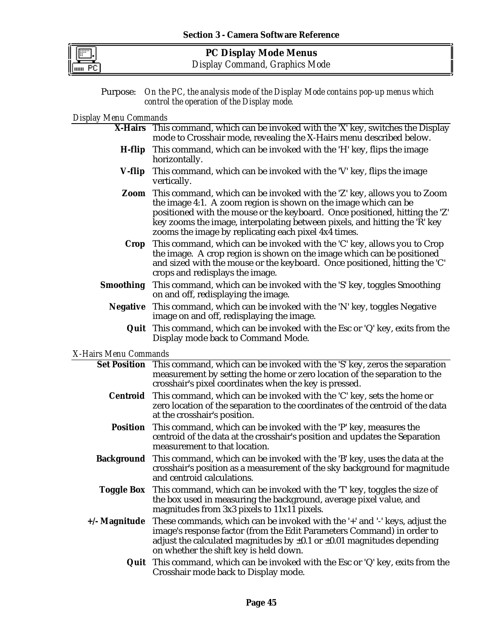

**PC Display Mode Menus** *Display Command, Graphics Mode*

Purpose: *On the PC, the analysis mode of the Display Mode contains pop-up menus which control the operation of the Display mode.*

## *Display Menu Commands*

|                       | X-Hairs This command, which can be invoked with the 'X' key, switches the Display<br>mode to Crosshair mode, revealing the X-Hairs menu described below.                                                                                                                                                                                                                    |
|-----------------------|-----------------------------------------------------------------------------------------------------------------------------------------------------------------------------------------------------------------------------------------------------------------------------------------------------------------------------------------------------------------------------|
| H-flip                | This command, which can be invoked with the 'H' key, flips the image<br>horizontally.                                                                                                                                                                                                                                                                                       |
| V-flip                | This command, which can be invoked with the 'V' key, flips the image<br>vertically.                                                                                                                                                                                                                                                                                         |
|                       | <b>Zoom</b> This command, which can be invoked with the 'Z' key, allows you to Zoom<br>the image 4:1. A zoom region is shown on the image which can be<br>positioned with the mouse or the keyboard. Once positioned, hitting the 'Z'<br>key zooms the image, interpolating between pixels, and hitting the 'R' key<br>zooms the image by replicating each pixel 4x4 times. |
| Crop                  | This command, which can be invoked with the 'C' key, allows you to Crop<br>the image. A crop region is shown on the image which can be positioned<br>and sized with the mouse or the keyboard. Once positioned, hitting the 'C'<br>crops and redisplays the image.                                                                                                          |
| <b>Smoothing</b>      | This command, which can be invoked with the 'S' key, toggles Smoothing<br>on and off, redisplaying the image.                                                                                                                                                                                                                                                               |
|                       | <b>Negative</b> This command, which can be invoked with the 'N' key, toggles Negative<br>image on and off, redisplaying the image.                                                                                                                                                                                                                                          |
|                       | <b>Quit</b> This command, which can be invoked with the Esc or 'Q' key, exits from the<br>Display mode back to Command Mode.                                                                                                                                                                                                                                                |
| X-Hairs Menu Commands |                                                                                                                                                                                                                                                                                                                                                                             |
|                       | Set Position This command, which can be invoked with the 'S' key, zeros the separation<br>measurement by setting the home or zero location of the separation to the<br>crosshair's pixel coordinates when the key is pressed.                                                                                                                                               |
| Centroid              | This command, which can be invoked with the 'C' key, sets the home or<br>zero location of the separation to the coordinates of the centroid of the data<br>at the crosshair's position.                                                                                                                                                                                     |
| <b>Position</b>       | This command, which can be invoked with the 'P' key, measures the<br>centroid of the data at the crosshair's position and updates the Separation<br>measurement to that location.                                                                                                                                                                                           |
| <b>Background</b>     | This command, which can be invoked with the 'B' key, uses the data at the<br>crosshair's position as a measurement of the sky background for magnitude<br>and centroid calculations.                                                                                                                                                                                        |
|                       | Toggle Box This command, which can be invoked with the 'T' key, toggles the size of<br>the box used in measuring the background, average pixel value, and<br>magnitudes from 3x3 pixels to 11x11 pixels.                                                                                                                                                                    |
| +/- Magnitude         | These commands, which can be invoked with the '+' and '-' keys, adjust the<br>image's response factor (from the Edit Parameters Command) in order to<br>adjust the calculated magnitudes by $\pm 0.1$ or $\pm 0.01$ magnitudes depending<br>on whether the shift key is held down.                                                                                          |
|                       | <b>Quit</b> This command, which can be invoked with the Esc or 'Q' key, exits from the<br>Crosshair mode back to Display mode.                                                                                                                                                                                                                                              |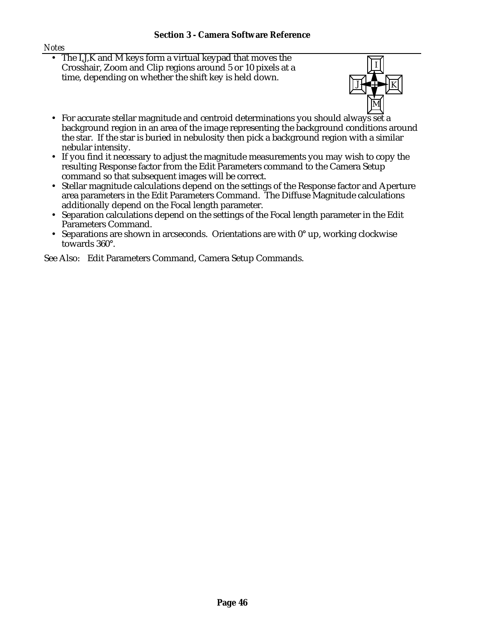#### *Notes*

• The I,J,K and M keys form a virtual keypad that moves the Crosshair, Zoom and Clip regions around 5 or 10 pixels at a time, depending on whether the shift key is held down.



- For accurate stellar magnitude and centroid determinations you should always set a background region in an area of the image representing the background conditions around the star. If the star is buried in nebulosity then pick a background region with a similar nebular intensity.
- If you find it necessary to adjust the magnitude measurements you may wish to copy the resulting Response factor from the Edit Parameters command to the Camera Setup command so that subsequent images will be correct.
- Stellar magnitude calculations depend on the settings of the Response factor and Aperture area parameters in the Edit Parameters Command. The Diffuse Magnitude calculations additionally depend on the Focal length parameter.
- Separation calculations depend on the settings of the Focal length parameter in the Edit Parameters Command.
- Separations are shown in arcseconds. Orientations are with  $0^{\circ}$  up, working clockwise towards 360°.

See Also: Edit Parameters Command, Camera Setup Commands.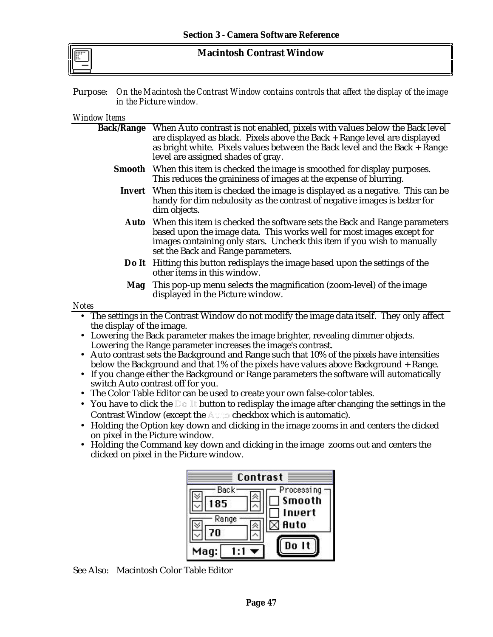### **Macintosh Contrast Window**

Purpose: *On the Macintosh the Contrast Window contains controls that affect the display of the image in the Picture window.*

#### *Window Items*

|                                                                                            | Back/Range When Auto contrast is not enabled, pixels with values below the Back level<br>are displayed as black. Pixels above the Back + Range level are displayed<br>as bright white. Pixels values between the Back level and the Back + Range<br>level are assigned shades of gray. |  |
|--------------------------------------------------------------------------------------------|----------------------------------------------------------------------------------------------------------------------------------------------------------------------------------------------------------------------------------------------------------------------------------------|--|
|                                                                                            | Smooth When this item is checked the image is smoothed for display purposes.<br>This reduces the graininess of images at the expense of blurring.                                                                                                                                      |  |
|                                                                                            | Invert When this item is checked the image is displayed as a negative. This can be<br>handy for dim nebulosity as the contrast of negative images is better for<br>dim objects.                                                                                                        |  |
| Auto                                                                                       | When this item is checked the software sets the Back and Range parameters<br>based upon the image data. This works well for most images except for<br>images containing only stars. Uncheck this item if you wish to manually<br>set the Back and Range parameters.                    |  |
|                                                                                            | Do It Hitting this button redisplays the image based upon the settings of the<br>other items in this window.                                                                                                                                                                           |  |
| Mag                                                                                        | This pop-up menu selects the magnification (zoom-level) of the image<br>displayed in the Picture window.                                                                                                                                                                               |  |
| <b>Notes</b>                                                                               |                                                                                                                                                                                                                                                                                        |  |
| the display of the image.                                                                  | • The settings in the Contrast Window do not modify the image data itself. They only affect<br>Lowering the Back parameter makes the image brighter, revealing dimmer objects.                                                                                                         |  |
| Lowering the Range parameter increases the image's contrast.                               |                                                                                                                                                                                                                                                                                        |  |
| • Auto contrast sets the Background and Range such that 10% of the pixels have intensities |                                                                                                                                                                                                                                                                                        |  |
| below the Background and that 1% of the pixels have values above Background + Range.       |                                                                                                                                                                                                                                                                                        |  |
|                                                                                            | If you change either the Background or Range parameters the software will automatically                                                                                                                                                                                                |  |
|                                                                                            | switch Auto contrast off for you.<br>$\bullet$ The Color Table Editor can be used to create your own false-color tables                                                                                                                                                                |  |

- The Color Table Editor can be used to create your own false-color tables.
- You have to click the  $\mathbb{D} \circ \mathbb{I}$  button to redisplay the image after changing the settings in the Contrast Window (except the Auto checkbox which is automatic).
- Holding the Option key down and clicking in the image zooms in and centers the clicked on pixel in the Picture window.
- Holding the Command key down and clicking in the image zooms out and centers the clicked on pixel in the Picture window.

| Contrast                           |                                               |
|------------------------------------|-----------------------------------------------|
| Back<br>185<br>Range<br>70<br>Mag: | Processing<br><b>Smooth</b><br>Invert<br>Auto |

See Also: Macintosh Color Table Editor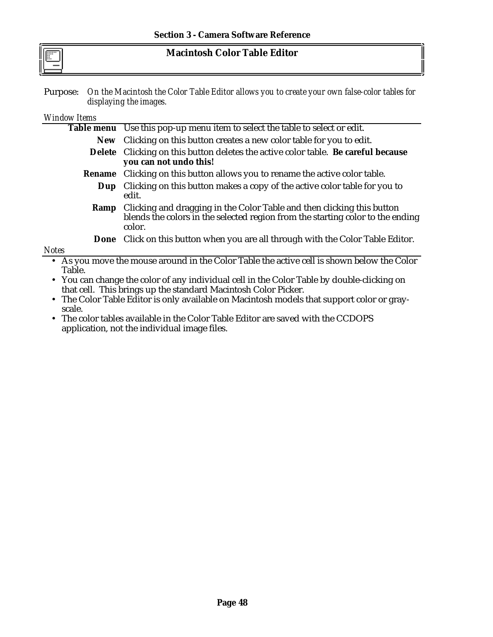| $\boxed{m}$ | <b>Macintosh Color Table Editor</b> |
|-------------|-------------------------------------|
|             |                                     |

Purpose: *On the Macintosh the Color Table Editor allows you to create your own false-color tables for displaying the images.*

#### *Window Items*

|<br>|<br>|

|                                                                                            | Table menu Use this pop-up menu item to select the table to select or edit.                                                                                                    |
|--------------------------------------------------------------------------------------------|--------------------------------------------------------------------------------------------------------------------------------------------------------------------------------|
|                                                                                            | New Clicking on this button creates a new color table for you to edit.                                                                                                         |
|                                                                                            | Delete Clicking on this button deletes the active color table. Be careful because<br>you can not undo this!                                                                    |
| Rename                                                                                     | Clicking on this button allows you to rename the active color table.                                                                                                           |
| Dup                                                                                        | Clicking on this button makes a copy of the active color table for you to<br>edit.                                                                                             |
|                                                                                            | <b>Ramp</b> Clicking and dragging in the Color Table and then clicking this button<br>blends the colors in the selected region from the starting color to the ending<br>color. |
|                                                                                            | <b>Done</b> Click on this button when you are all through with the Color Table Editor.                                                                                         |
| <b>Notes</b>                                                                               |                                                                                                                                                                                |
|                                                                                            | • As you move the mouse around in the Color Table the active cell is shown below the Color                                                                                     |
| Table.                                                                                     |                                                                                                                                                                                |
| • You can change the color of any individual cell in the Color Table by double-clicking on |                                                                                                                                                                                |
| that cell. This brings up the standard Macintosh Color Picker.                             |                                                                                                                                                                                |

• The Color Table Editor is only available on Macintosh models that support color or grayscale.

• The color tables available in the Color Table Editor are saved with the CCDOPS application, not the individual image files.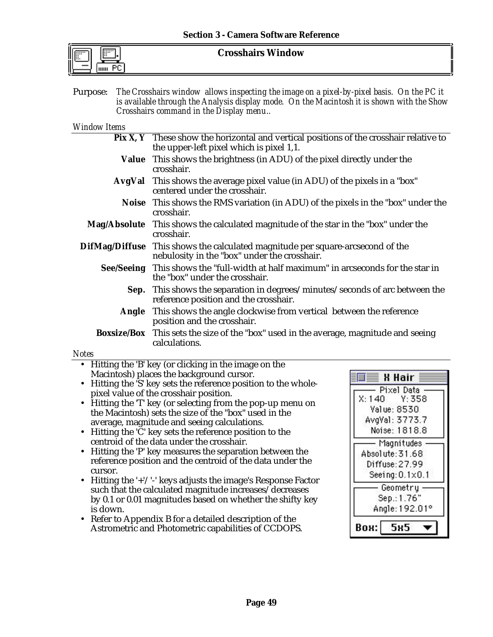| <br> |  |
|------|--|
|      |  |

**Crosshairs Window**

Purpose: *The Crosshairs window allows inspecting the image on a pixel-by-pixel basis. On the PC it is available through the Analysis display mode. On the Macintosh it is shown with the Show Crosshairs command in the Display menu..*

#### *Window Items*

- **Pix X, Y** These show the horizontal and vertical positions of the crosshair relative to the upper-left pixel which is pixel 1,1.
- **Value** This shows the brightness (in ADU) of the pixel directly under the crosshair.
- **AvgVal** This shows the average pixel value (in ADU) of the pixels in a "box" centered under the crosshair.
	- **Noise** This shows the RMS variation (in ADU) of the pixels in the "box" under the crosshair.
- **Mag/Absolute** This shows the calculated magnitude of the star in the "box" under the crosshair.
- **DifMag/Diffuse** This shows the calculated magnitude per square-arcsecond of the nebulosity in the "box" under the crosshair.
	- **See/Seeing** This shows the "full-width at half maximum" in arcseconds for the star in the "box" under the crosshair.
		- **Sep.** This shows the separation in degrees/minutes/seconds of arc between the reference position and the crosshair.
		- **Angle** This shows the angle clockwise from vertical between the reference position and the crosshair.

**Boxsize/Box** This sets the size of the "box" used in the average, magnitude and seeing calculations.

#### *Notes*

- Hitting the 'B' key (or clicking in the image on the Macintosh) places the background cursor.
- Hitting the 'S' key sets the reference position to the wholepixel value of the crosshair position.
- Hitting the 'T' key (or selecting from the pop-up menu on the Macintosh) sets the size of the "box" used in the average, magnitude and seeing calculations.
- Hitting the 'C' key sets the reference position to the centroid of the data under the crosshair.
- Hitting the 'P' key measures the separation between the reference position and the centroid of the data under the cursor.
- Hitting the '+'/'-' keys adjusts the image's Response Factor such that the calculated magnitude increases/decreases by 0.1 or 0.01 magnitudes based on whether the shifty key is down.
- Refer to Appendix B for a detailed description of the Astrometric and Photometric capabilities of CCDOPS.

| X Hair                               |  |  |
|--------------------------------------|--|--|
| Pixel Data<br>Y: 358<br>X:140        |  |  |
| Value: 8530                          |  |  |
| AvgVal: 3773.7<br>Noise: 1818.8      |  |  |
| Magnitudes                           |  |  |
| Absolute: 31.68                      |  |  |
| Diffuse:27.99                        |  |  |
| $Seeing: 0.1 \times 0.1$<br>Geometry |  |  |
| Sep.: 1.76"                          |  |  |
| Angle: 192.01°                       |  |  |
| Вон:<br>5                            |  |  |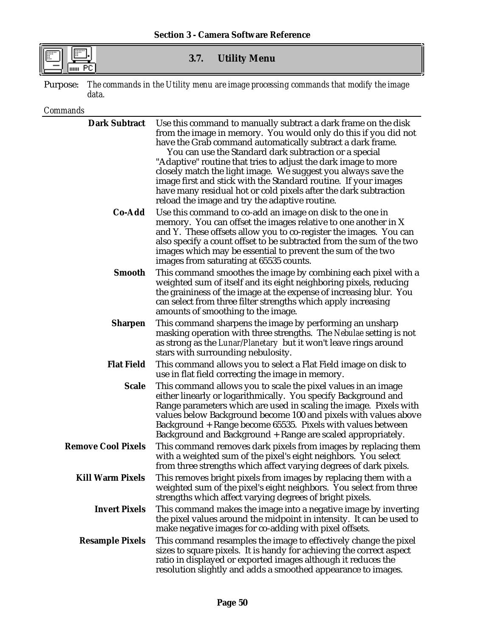## **3.7. Utility Menu**

Purpose: *The commands in the Utility menu are image processing commands that modify the image data.*

### *Commands*

| <b>Dark Subtract</b>      | Use this command to manually subtract a dark frame on the disk<br>from the image in memory. You would only do this if you did not<br>have the Grab command automatically subtract a dark frame.<br>You can use the Standard dark subtraction or a special<br>"Adaptive" routine that tries to adjust the dark image to more<br>closely match the light image. We suggest you always save the<br>image first and stick with the Standard routine. If your images<br>have many residual hot or cold pixels after the dark subtraction<br>reload the image and try the adaptive routine. |
|---------------------------|---------------------------------------------------------------------------------------------------------------------------------------------------------------------------------------------------------------------------------------------------------------------------------------------------------------------------------------------------------------------------------------------------------------------------------------------------------------------------------------------------------------------------------------------------------------------------------------|
| Co-Add                    | Use this command to co-add an image on disk to the one in<br>memory. You can offset the images relative to one another in X<br>and Y. These offsets allow you to co-register the images. You can<br>also specify a count offset to be subtracted from the sum of the two<br>images which may be essential to prevent the sum of the two<br>images from saturating at 65535 counts.                                                                                                                                                                                                    |
| <b>Smooth</b>             | This command smoothes the image by combining each pixel with a<br>weighted sum of itself and its eight neighboring pixels, reducing<br>the graininess of the image at the expense of increasing blur. You<br>can select from three filter strengths which apply increasing<br>amounts of smoothing to the image.                                                                                                                                                                                                                                                                      |
| <b>Sharpen</b>            | This command sharpens the image by performing an unsharp<br>masking operation with three strengths. The Nebulae setting is not<br>as strong as the Lunar/Planetary but it won't leave rings around<br>stars with surrounding nebulosity.                                                                                                                                                                                                                                                                                                                                              |
| <b>Flat Field</b>         | This command allows you to select a Flat Field image on disk to<br>use in flat field correcting the image in memory.                                                                                                                                                                                                                                                                                                                                                                                                                                                                  |
| <b>Scale</b>              | This command allows you to scale the pixel values in an image<br>either linearly or logarithmically. You specify Background and<br>Range parameters which are used in scaling the image. Pixels with<br>values below Background become 100 and pixels with values above<br>Background + Range become 65535. Pixels with values between<br>Background and Background + Range are scaled appropriately.                                                                                                                                                                                 |
| <b>Remove Cool Pixels</b> | This command removes dark pixels from images by replacing them<br>with a weighted sum of the pixel's eight neighbors. You select<br>from three strengths which affect varying degrees of dark pixels.                                                                                                                                                                                                                                                                                                                                                                                 |
| <b>Kill Warm Pixels</b>   | This removes bright pixels from images by replacing them with a<br>weighted sum of the pixel's eight neighbors. You select from three<br>strengths which affect varying degrees of bright pixels.                                                                                                                                                                                                                                                                                                                                                                                     |
| <b>Invert Pixels</b>      | This command makes the image into a negative image by inverting<br>the pixel values around the midpoint in intensity. It can be used to<br>make negative images for co-adding with pixel offsets.                                                                                                                                                                                                                                                                                                                                                                                     |
| <b>Resample Pixels</b>    | This command resamples the image to effectively change the pixel<br>sizes to square pixels. It is handy for achieving the correct aspect<br>ratio in displayed or exported images although it reduces the<br>resolution slightly and adds a smoothed appearance to images.                                                                                                                                                                                                                                                                                                            |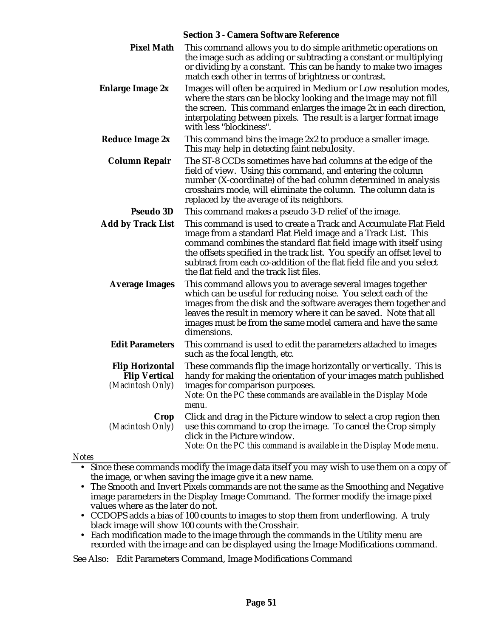|                                                                    | <b>Section 3 - Camera Software Reference</b>                                                                                                                                                                                                                                                                                                                                                         |
|--------------------------------------------------------------------|------------------------------------------------------------------------------------------------------------------------------------------------------------------------------------------------------------------------------------------------------------------------------------------------------------------------------------------------------------------------------------------------------|
| <b>Pixel Math</b>                                                  | This command allows you to do simple arithmetic operations on<br>the image such as adding or subtracting a constant or multiplying<br>or dividing by a constant. This can be handy to make two images<br>match each other in terms of brightness or contrast.                                                                                                                                        |
| <b>Enlarge Image 2x</b>                                            | Images will often be acquired in Medium or Low resolution modes,<br>where the stars can be blocky looking and the image may not fill<br>the screen. This command enlarges the image 2x in each direction,<br>interpolating between pixels. The result is a larger format image<br>with less "blockiness".                                                                                            |
| <b>Reduce Image 2x</b>                                             | This command bins the image 2x2 to produce a smaller image.<br>This may help in detecting faint nebulosity.                                                                                                                                                                                                                                                                                          |
| <b>Column Repair</b>                                               | The ST-8 CCDs sometimes have bad columns at the edge of the<br>field of view. Using this command, and entering the column<br>number (X-coordinate) of the bad column determined in analysis<br>crosshairs mode, will eliminate the column. The column data is<br>replaced by the average of its neighbors.                                                                                           |
| <b>Pseudo 3D</b>                                                   | This command makes a pseudo 3-D relief of the image.                                                                                                                                                                                                                                                                                                                                                 |
| <b>Add by Track List</b>                                           | This command is used to create a Track and Accumulate Flat Field<br>image from a standard Flat Field image and a Track List. This<br>command combines the standard flat field image with itself using<br>the offsets specified in the track list. You specify an offset level to<br>subtract from each co-addition of the flat field file and you select<br>the flat field and the track list files. |
| <b>Average Images</b>                                              | This command allows you to average several images together<br>which can be useful for reducing noise. You select each of the<br>images from the disk and the software averages them together and<br>leaves the result in memory where it can be saved. Note that all<br>images must be from the same model camera and have the same<br>dimensions.                                                   |
| <b>Edit Parameters</b>                                             | This command is used to edit the parameters attached to images<br>such as the focal length, etc.                                                                                                                                                                                                                                                                                                     |
| <b>Flip Horizontal</b><br><b>Flip Vertical</b><br>(Macintosh Only) | These commands flip the image horizontally or vertically. This is<br>handy for making the orientation of your images match published<br>images for comparison purposes.<br>Note: On the PC these commands are available in the Display Mode<br>menu.                                                                                                                                                 |
| Crop<br>(Macintosh Only)                                           | Click and drag in the Picture window to select a crop region then<br>use this command to crop the image. To cancel the Crop simply<br>click in the Picture window.<br>Note: On the PC this command is available in the Display Mode menu.                                                                                                                                                            |
|                                                                    |                                                                                                                                                                                                                                                                                                                                                                                                      |

*Notes*

- Since these commands modify the image data itself you may wish to use them on a copy of the image, or when saving the image give it a new name.
- The Smooth and Invert Pixels commands are not the same as the Smoothing and Negative image parameters in the Display Image Command. The former modify the image pixel values where as the later do not.
- CCDOPS adds a bias of 100 counts to images to stop them from underflowing. A truly black image will show 100 counts with the Crosshair.
- Each modification made to the image through the commands in the Utility menu are recorded with the image and can be displayed using the Image Modifications command.

See Also: Edit Parameters Command, Image Modifications Command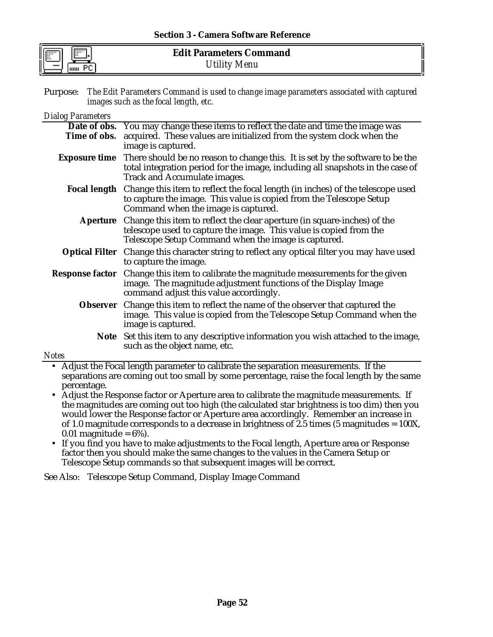Purpose: *The Edit Parameters Command is used to change image parameters associated with captured images such as the focal length, etc.*

#### *Dialog Parameters*

|                           | Date of obs. You may change these items to reflect the date and time the image was                                                                                                                                          |
|---------------------------|-----------------------------------------------------------------------------------------------------------------------------------------------------------------------------------------------------------------------------|
| Time of obs.              | acquired. These values are initialized from the system clock when the                                                                                                                                                       |
|                           | image is captured.                                                                                                                                                                                                          |
|                           | <b>Exposure time</b> There should be no reason to change this. It is set by the software to be the<br>total integration period for the image, including all snapshots in the case of<br><b>Track and Accumulate images.</b> |
|                           | <b>Focal length</b> Change this item to reflect the focal length (in inches) of the telescope used<br>to capture the image. This value is copied from the Telescope Setup<br>Command when the image is captured.            |
| <b>Aperture</b>           | Change this item to reflect the clear aperture (in square-inches) of the<br>telescope used to capture the image. This value is copied from the<br>Telescope Setup Command when the image is captured.                       |
|                           | <b>Optical Filter</b> Change this character string to reflect any optical filter you may have used<br>to capture the image.                                                                                                 |
| <b>Response factor</b>    | Change this item to calibrate the magnitude measurements for the given<br>image. The magnitude adjustment functions of the Display Image<br>command adjust this value accordingly.                                          |
|                           | <b>Observer</b> Change this item to reflect the name of the observer that captured the<br>image. This value is copied from the Telescope Setup Command when the<br>image is captured.                                       |
|                           | Note Set this item to any descriptive information you wish attached to the image,<br>such as the object name, etc.                                                                                                          |
| otes                      |                                                                                                                                                                                                                             |
| $\overline{1}$<br>.<br>T. | $\overline{\cdots}$<br><b>1 L</b><br><b>TC .1</b><br>$\cdot$ .                                                                                                                                                              |

*Notes*

- Adjust the Focal length parameter to calibrate the separation measurements. If the separations are coming out too small by some percentage, raise the focal length by the same percentage.
- Adjust the Response factor or Aperture area to calibrate the magnitude measurements. If the magnitudes are coming out too high (the calculated star brightness is too dim) then you would lower the Response factor or Aperture area accordingly. Remember an increase in of 1.0 magnitude corresponds to a decrease in brightness of 2.5 times (5 magnitudes =  $100X$ , 0.01 magnitude =  $6\%$ ).
- If you find you have to make adjustments to the Focal length, Aperture area or Response factor then you should make the same changes to the values in the Camera Setup or Telescope Setup commands so that subsequent images will be correct.

See Also: Telescope Setup Command, Display Image Command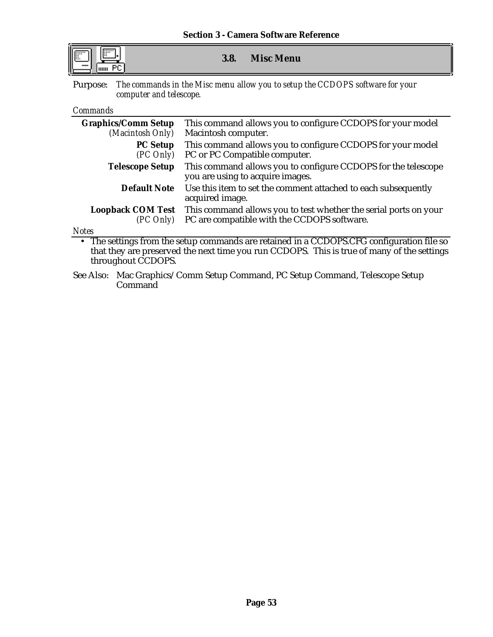| I |  |
|---|--|

## **3.8. Misc Menu**

Purpose: *The commands in the Misc menu allow you to setup the CCDOPS software for your computer and telescope.*

#### *Commands*

| <b>Graphics/Comm Setup</b> | This command allows you to configure CCDOPS for your model                                        |  |
|----------------------------|---------------------------------------------------------------------------------------------------|--|
| (Macintosh Only)           | Macintosh computer.                                                                               |  |
| <b>PC Setup</b>            | This command allows you to configure CCDOPS for your model                                        |  |
| (PC Only)                  | PC or PC Compatible computer.                                                                     |  |
| <b>Telescope Setup</b>     | This command allows you to configure CCDOPS for the telescope<br>you are using to acquire images. |  |
| <b>Default Note</b>        | Use this item to set the comment attached to each subsequently<br>acquired image.                 |  |
| <b>Loopback COM Test</b>   | This command allows you to test whether the serial ports on your                                  |  |
| (PC Only)                  | PC are compatible with the CCDOPS software.                                                       |  |
| Notes                      |                                                                                                   |  |

• The settings from the setup commands are retained in a CCDOPS.CFG configuration file so that they are preserved the next time you run CCDOPS. This is true of many of the settings throughout CCDOPS.

See Also: Mac Graphics/Comm Setup Command, PC Setup Command, Telescope Setup Command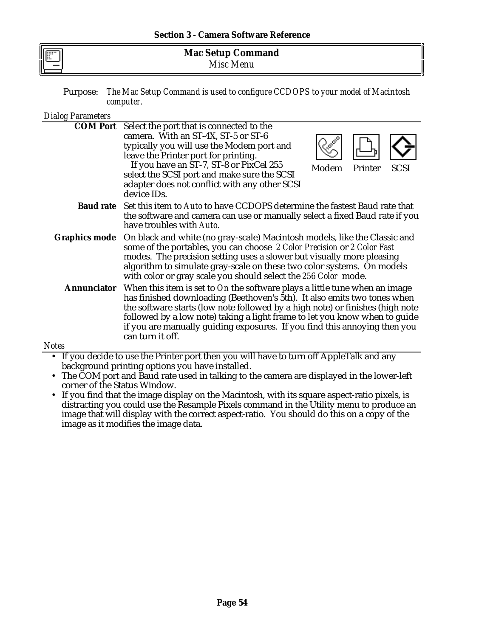| -- | <b>Mac Setup Command</b> |  |
|----|--------------------------|--|
| F  | Misc Menu                |  |

Purpose: *The Mac Setup Command is used to configure CCDOPS to your model of Macintosh computer.*

| <b>Dialog Parameters</b> |                                                                                                                                                                                                                                                                                                                                                                                                                        |       |         |             |
|--------------------------|------------------------------------------------------------------------------------------------------------------------------------------------------------------------------------------------------------------------------------------------------------------------------------------------------------------------------------------------------------------------------------------------------------------------|-------|---------|-------------|
| <b>COM Port</b>          | Select the port that is connected to the<br>camera. With an ST-4X, ST-5 or ST-6<br>typically you will use the Modem port and<br>leave the Printer port for printing.<br>If you have an ST-7, ST-8 or PixCel 255<br>select the SCSI port and make sure the SCSI<br>adapter does not conflict with any other SCSI<br>device IDs.                                                                                         | Modem | Printer | <b>SCSI</b> |
|                          | <b>Baud rate</b> Set this item to Auto to have CCDOPS determine the fastest Baud rate that<br>the software and camera can use or manually select a fixed Baud rate if you<br>have troubles with Auto.                                                                                                                                                                                                                  |       |         |             |
| <b>Graphics mode</b>     | On black and white (no gray-scale) Macintosh models, like the Classic and<br>some of the portables, you can choose 2 Color Precision or 2 Color Fast<br>modes. The precision setting uses a slower but visually more pleasing<br>algorithm to simulate gray-scale on these two color systems. On models<br>with color or gray scale you should select the 256 Color mode.                                              |       |         |             |
| <b>Annunciator</b>       | When this item is set to On the software plays a little tune when an image<br>has finished downloading (Beethoven's 5th). It also emits two tones when<br>the software starts (low note followed by a high note) or finishes (high note<br>followed by a low note) taking a light frame to let you know when to guide<br>if you are manually guiding exposures. If you find this annoying then you<br>can turn it off. |       |         |             |
| Notes                    |                                                                                                                                                                                                                                                                                                                                                                                                                        |       |         |             |

- If you decide to use the Printer port then you will have to turn off AppleTalk and any background printing options you have installed.
	- The COM port and Baud rate used in talking to the camera are displayed in the lower-left corner of the Status Window.
	- If you find that the image display on the Macintosh, with its square aspect-ratio pixels, is distracting you could use the Resample Pixels command in the Utility menu to produce an image that will display with the correct aspect-ratio. You should do this on a copy of the image as it modifies the image data.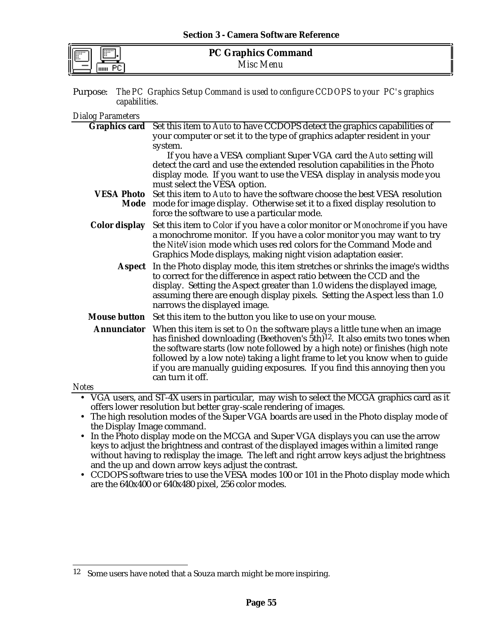| $\mathord{\parallel}$ |  |
|-----------------------|--|
|                       |  |

Purpose: *The PC Graphics Setup Command is used to configure CCDOPS to your PC's graphics capabilities.*

*Dialog Parameters*

|                            | <b>Graphics card</b> Set this item to Auto to have CCDOPS detect the graphics capabilities of<br>your computer or set it to the type of graphics adapter resident in your                                                                                                                                                                                                                                                             |
|----------------------------|---------------------------------------------------------------------------------------------------------------------------------------------------------------------------------------------------------------------------------------------------------------------------------------------------------------------------------------------------------------------------------------------------------------------------------------|
|                            | system.                                                                                                                                                                                                                                                                                                                                                                                                                               |
|                            | If you have a VESA compliant Super VGA card the Auto setting will<br>detect the card and use the extended resolution capabilities in the Photo<br>display mode. If you want to use the VESA display in analysis mode you                                                                                                                                                                                                              |
|                            | must select the VESA option.                                                                                                                                                                                                                                                                                                                                                                                                          |
| <b>VESA Photo</b>          | Set this item to Auto to have the software choose the best VESA resolution<br>Mode mode for image display. Otherwise set it to a fixed display resolution to<br>force the software to use a particular mode.                                                                                                                                                                                                                          |
| <b>Color display</b>       | Set this item to Color if you have a color monitor or Monochrome if you have<br>a monochrome monitor. If you have a color monitor you may want to try<br>the NiteVision mode which uses red colors for the Command Mode and<br>Graphics Mode displays, making night vision adaptation easier.                                                                                                                                         |
| <b>Aspect</b>              | In the Photo display mode, this item stretches or shrinks the image's widths<br>to correct for the difference in aspect ratio between the CCD and the<br>display. Setting the Aspect greater than 1.0 widens the displayed image,<br>assuming there are enough display pixels. Setting the Aspect less than 1.0<br>narrows the displayed image.                                                                                       |
|                            | Mouse button Set this item to the button you like to use on your mouse.                                                                                                                                                                                                                                                                                                                                                               |
| <b>Annunciator</b>         | When this item is set to On the software plays a little tune when an image<br>has finished downloading (Beethoven's 5th) <sup>12</sup> . It also emits two tones when<br>the software starts (low note followed by a high note) or finishes (high note<br>followed by a low note) taking a light frame to let you know when to guide<br>if you are manually guiding exposures. If you find this annoying then you<br>can turn it off. |
| <b>Notes</b>               |                                                                                                                                                                                                                                                                                                                                                                                                                                       |
|                            | • VGA users, and ST-4X users in particular, may wish to select the MCGA graphics card as it                                                                                                                                                                                                                                                                                                                                           |
|                            | offers lower resolution but better gray-scale rendering of images.                                                                                                                                                                                                                                                                                                                                                                    |
| $\bullet$                  | The high resolution modes of the Super VGA boards are used in the Photo display mode of                                                                                                                                                                                                                                                                                                                                               |
| the Display Image command. |                                                                                                                                                                                                                                                                                                                                                                                                                                       |
| $\bullet$                  | In the Photo display mode on the MCGA and Super VGA displays you can use the arrow<br>keys to adjust the brightness and contrast of the displayed images within a limited range                                                                                                                                                                                                                                                       |

- keys to adjust the brightness and contrast of the displayed images within a limited range without having to redisplay the image. The left and right arrow keys adjust the brightness and the up and down arrow keys adjust the contrast.
- CCDOPS software tries to use the VESA modes 100 or 101 in the Photo display mode which are the 640x400 or 640x480 pixel, 256 color modes.

<sup>12</sup> Some users have noted that a Souza march might be more inspiring.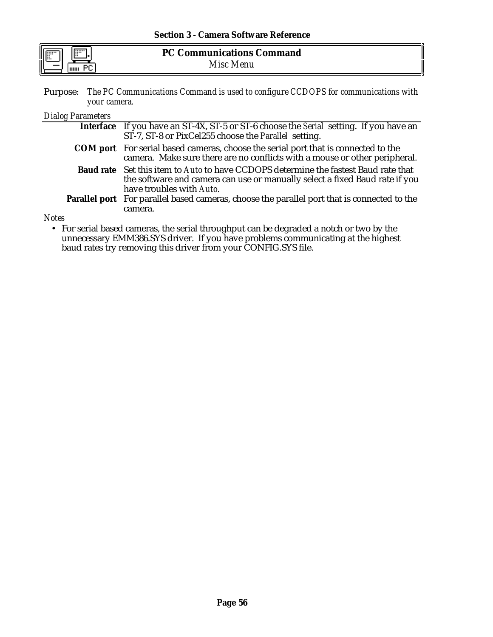| IF<br> | <b>PC Communications Command</b> |  |
|--------|----------------------------------|--|
| шш     | Misc<br>Menu                     |  |

Purpose: *The PC Communications Command is used to configure CCDOPS for communications with your camera.*

### *Dialog Parameters*

| Interface If you have an ST-4X, ST-5 or ST-6 choose the Serial setting. If you have an<br>ST-7, ST-8 or PixCel255 choose the Parallel setting.                                                        |
|-------------------------------------------------------------------------------------------------------------------------------------------------------------------------------------------------------|
| <b>COM</b> port For serial based cameras, choose the serial port that is connected to the<br>camera. Make sure there are no conflicts with a mouse or other peripheral.                               |
| <b>Baud rate</b> Set this item to Auto to have CCDOPS determine the fastest Baud rate that<br>the software and camera can use or manually select a fixed Baud rate if you<br>have troubles with Auto. |
| <b>Parallel port</b> For parallel based cameras, choose the parallel port that is connected to the<br>camera.                                                                                         |
|                                                                                                                                                                                                       |

*Notes*

• For serial based cameras, the serial throughput can be degraded a notch or two by the unnecessary EMM386.SYS driver. If you have problems communicating at the highest baud rates try removing this driver from your CONFIG.SYS file.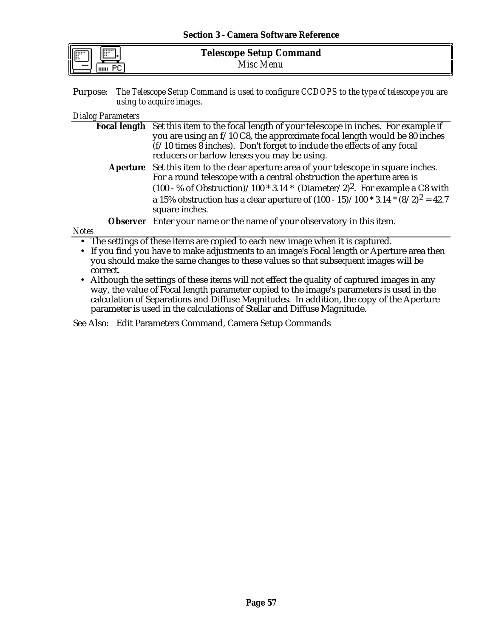| $\mathord{\parallel}$ |  |
|-----------------------|--|
|                       |  |

Purpose: *The Telescope Setup Command is used to configure CCDOPS to the type of telescope you are using to acquire images.*

### *Dialog Parameters*

|              | Focal length Set this item to the focal length of your telescope in inches. For example if                                                                     |
|--------------|----------------------------------------------------------------------------------------------------------------------------------------------------------------|
|              |                                                                                                                                                                |
|              | you are using an f/10 C8, the approximate focal length would be 80 inches                                                                                      |
|              | $(f/10$ times 8 inches). Don't forget to include the effects of any focal                                                                                      |
|              | reducers or barlow lenses you may be using.                                                                                                                    |
|              | Aperture Set this item to the clear aperture area of your telescope in square inches.<br>For a round telescope with a central obstruction the aperture area is |
|              |                                                                                                                                                                |
|              | $(100 - %$ of Obstruction)/100 * 3.14 * (Diameter/2) <sup>2</sup> . For example a C8 with                                                                      |
|              | a 15% obstruction has a clear aperture of $(100 - 15)/100 * 3.14 * (8/2)^2 = 42.7$<br>square inches.                                                           |
|              |                                                                                                                                                                |
|              | <b>Observer</b> Enter your name or the name of your observatory in this item.                                                                                  |
| <b>Notes</b> |                                                                                                                                                                |
|              | • The settings of these items are copied to each new image when it is captured.                                                                                |
|              | $\mathbf{r}$ , and $\mathbf{r}$ , and $\mathbf{r}$ , and $\mathbf{r}$ , and $\mathbf{r}$ , and $\mathbf{r}$                                                    |

- If you find you have to make adjustments to an image's Focal length or Aperture area then you should make the same changes to these values so that subsequent images will be correct.
- Although the settings of these items will not effect the quality of captured images in any way, the value of Focal length parameter copied to the image's parameters is used in the calculation of Separations and Diffuse Magnitudes. In addition, the copy of the Aperture parameter is used in the calculations of Stellar and Diffuse Magnitude.

See Also: Edit Parameters Command, Camera Setup Commands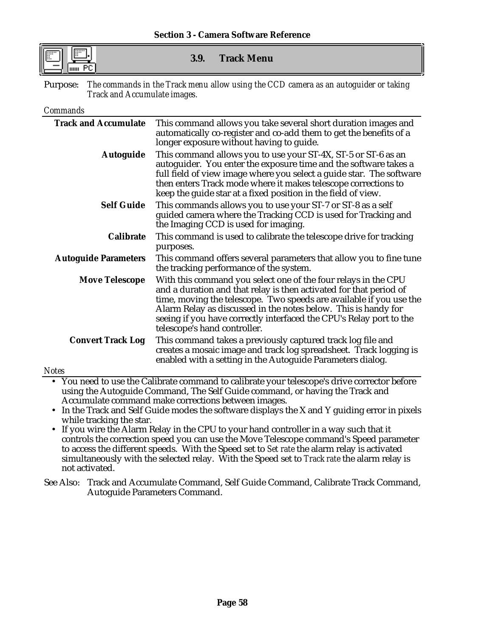**3.9. Track Menu**

Purpose: *The commands in the Track menu allow using the CCD camera as an autoguider or taking Track and Accumulate images.*

## *Commands*

| <b>Track and Accumulate</b> | This command allows you take several short duration images and<br>automatically co-register and co-add them to get the benefits of a<br>longer exposure without having to guide.                                                                                                                                                                                                     |
|-----------------------------|--------------------------------------------------------------------------------------------------------------------------------------------------------------------------------------------------------------------------------------------------------------------------------------------------------------------------------------------------------------------------------------|
| <b>Autoguide</b>            | This command allows you to use your ST-4X, ST-5 or ST-6 as an<br>autoguider. You enter the exposure time and the software takes a<br>full field of view image where you select a guide star. The software<br>then enters Track mode where it makes telescope corrections to<br>keep the guide star at a fixed position in the field of view.                                         |
| <b>Self Guide</b>           | This commands allows you to use your ST-7 or ST-8 as a self<br>guided camera where the Tracking CCD is used for Tracking and<br>the Imaging CCD is used for imaging.                                                                                                                                                                                                                 |
| <b>Calibrate</b>            | This command is used to calibrate the telescope drive for tracking<br>purposes.                                                                                                                                                                                                                                                                                                      |
| <b>Autoguide Parameters</b> | This command offers several parameters that allow you to fine tune<br>the tracking performance of the system.                                                                                                                                                                                                                                                                        |
| <b>Move Telescope</b>       | With this command you select one of the four relays in the CPU<br>and a duration and that relay is then activated for that period of<br>time, moving the telescope. Two speeds are available if you use the<br>Alarm Relay as discussed in the notes below. This is handy for<br>seeing if you have correctly interfaced the CPU's Relay port to the<br>telescope's hand controller. |
| <b>Convert Track Log</b>    | This command takes a previously captured track log file and<br>creates a mosaic image and track log spreadsheet. Track logging is<br>enabled with a setting in the Autoguide Parameters dialog.                                                                                                                                                                                      |
| $I \alpha$ toc              |                                                                                                                                                                                                                                                                                                                                                                                      |

*Notes*

- You need to use the Calibrate command to calibrate your telescope's drive corrector before using the Autoguide Command, The Self Guide command, or having the Track and Accumulate command make corrections between images.
- In the Track and Self Guide modes the software displays the X and Y guiding error in pixels while tracking the star.
- If you wire the Alarm Relay in the CPU to your hand controller in a way such that it controls the correction speed you can use the Move Telescope command's Speed parameter to access the different speeds. With the Speed set to *Set rate* the alarm relay is activated simultaneously with the selected relay. With the Speed set to *Track rate* the alarm relay is not activated.
- See Also: Track and Accumulate Command, Self Guide Command, Calibrate Track Command, Autoguide Parameters Command.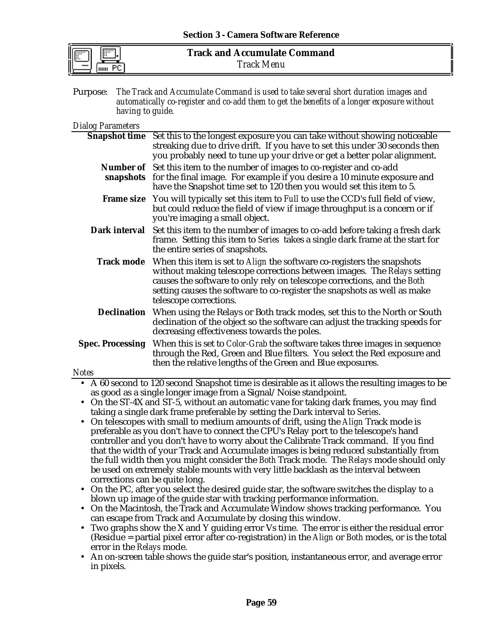| ш<br>  <br>  <br> |  |
|-------------------|--|
|                   |  |

Purpose: *The Track and Accumulate Command is used to take several short duration images and automatically co-register and co-add them to get the benefits of a longer exposure without having to guide.*

## *Dialog Parameters*

| $P_1$ unog 1 arameters                                                                                                                            |                                                                                                                                                                                                                                                                                                                                    |  |  |
|---------------------------------------------------------------------------------------------------------------------------------------------------|------------------------------------------------------------------------------------------------------------------------------------------------------------------------------------------------------------------------------------------------------------------------------------------------------------------------------------|--|--|
|                                                                                                                                                   | Snapshot time Set this to the longest exposure you can take without showing noticeable<br>streaking due to drive drift. If you have to set this under 30 seconds then<br>you probably need to tune up your drive or get a better polar alignment.                                                                                  |  |  |
|                                                                                                                                                   | Number of Set this item to the number of images to co-register and co-add<br><b>snapshots</b> for the final image. For example if you desire a 10 minute exposure and<br>have the Snapshot time set to 120 then you would set this item to 5.                                                                                      |  |  |
|                                                                                                                                                   | Frame size You will typically set this item to Full to use the CCD's full field of view,<br>but could reduce the field of view if image throughput is a concern or if<br>you're imaging a small object.                                                                                                                            |  |  |
| Dark interval                                                                                                                                     | Set this item to the number of images to co-add before taking a fresh dark<br>frame. Setting this item to Series takes a single dark frame at the start for<br>the entire series of snapshots.                                                                                                                                     |  |  |
| <b>Track mode</b>                                                                                                                                 | When this item is set to Align the software co-registers the snapshots<br>without making telescope corrections between images. The Relays setting<br>causes the software to only rely on telescope corrections, and the Both<br>setting causes the software to co-register the snapshots as well as make<br>telescope corrections. |  |  |
|                                                                                                                                                   | <b>Declination</b> When using the Relays or Both track modes, set this to the North or South<br>declination of the object so the software can adjust the tracking speeds for<br>decreasing effectiveness towards the poles.                                                                                                        |  |  |
| <b>Spec. Processing</b>                                                                                                                           | When this is set to <i>Color-Grab</i> the software takes three images in sequence<br>through the Red, Green and Blue filters. You select the Red exposure and<br>then the relative lengths of the Green and Blue exposures.                                                                                                        |  |  |
| <b>Notes</b>                                                                                                                                      |                                                                                                                                                                                                                                                                                                                                    |  |  |
|                                                                                                                                                   | • A 60 second to 120 second Snapshot time is desirable as it allows the resulting images to be                                                                                                                                                                                                                                     |  |  |
|                                                                                                                                                   | as good as a single longer image from a Signal/Noise standpoint.                                                                                                                                                                                                                                                                   |  |  |
|                                                                                                                                                   | • On the ST-4X and ST-5, without an automatic vane for taking dark frames, you may find                                                                                                                                                                                                                                            |  |  |
|                                                                                                                                                   | taking a single dark frame preferable by setting the Dark interval to Series.                                                                                                                                                                                                                                                      |  |  |
|                                                                                                                                                   | On telescopes with small to medium amounts of drift, using the Align Track mode is                                                                                                                                                                                                                                                 |  |  |
|                                                                                                                                                   | preferable as you don't have to connect the CPU's Relay port to the telescope's hand                                                                                                                                                                                                                                               |  |  |
|                                                                                                                                                   | controller and you don't have to worry about the Calibrate Track command. If you find                                                                                                                                                                                                                                              |  |  |
|                                                                                                                                                   | that the width of your Track and Accumulate images is being reduced substantially from                                                                                                                                                                                                                                             |  |  |
|                                                                                                                                                   | the full width then you might consider the Both Track mode. The Relays mode should only                                                                                                                                                                                                                                            |  |  |
|                                                                                                                                                   | be used on extremely stable mounts with very little backlash as the interval between                                                                                                                                                                                                                                               |  |  |
| corrections can be quite long.                                                                                                                    |                                                                                                                                                                                                                                                                                                                                    |  |  |
|                                                                                                                                                   | On the PC, after you select the desired guide star, the software switches the display to a                                                                                                                                                                                                                                         |  |  |
| blown up image of the guide star with tracking performance information.                                                                           |                                                                                                                                                                                                                                                                                                                                    |  |  |
| On the Macintosh, the Track and Accumulate Window shows tracking performance. You<br>can escape from Track and Accumulate by closing this window. |                                                                                                                                                                                                                                                                                                                                    |  |  |
|                                                                                                                                                   | • Two graphs show the X and Y guiding error Vs time. The error is either the residual error                                                                                                                                                                                                                                        |  |  |
| error in the Relays mode.                                                                                                                         | (Residue = partial pixel error after co-registration) in the Align or Both modes, or is the total                                                                                                                                                                                                                                  |  |  |
|                                                                                                                                                   | An on-screen table shows the guide star's position, instantaneous error, and average error                                                                                                                                                                                                                                         |  |  |
| in pixels.                                                                                                                                        |                                                                                                                                                                                                                                                                                                                                    |  |  |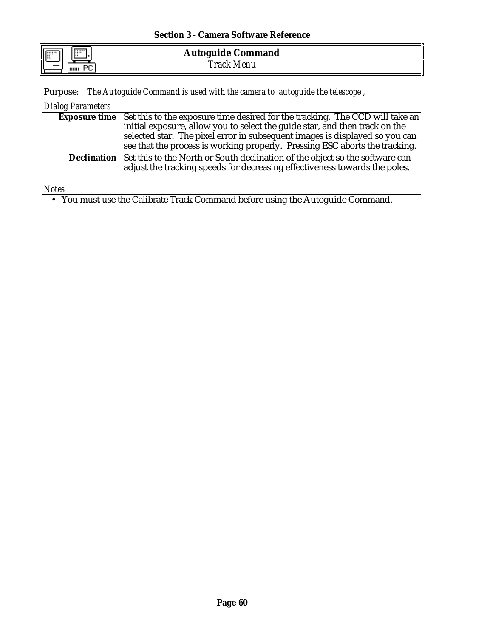|    | <b>Section 3 - Camera Software Reference</b> |  |
|----|----------------------------------------------|--|
| ]. | <b>Autoguide Command</b>                     |  |

Purpose: *The Autoguide Command is used with the camera to autoguide the telescope ,*

| Dialog Parameters |                                                                                                   |
|-------------------|---------------------------------------------------------------------------------------------------|
|                   | <b>Exposure time</b> Set this to the exposure time desired for the tracking. The CCD will take an |
|                   | initial exposure, allow you to select the guide star, and then track on the                       |
|                   | selected star. The pixel error in subsequent images is displayed so you can                       |
|                   | see that the process is working properly. Pressing ESC aborts the tracking.                       |

**Declination** Set this to the North or South declination of the object so the software can adjust the tracking speeds for decreasing effectiveness towards the poles.

*Notes*

 $\overline{a}$ 

uuu PC

• You must use the Calibrate Track Command before using the Autoguide Command.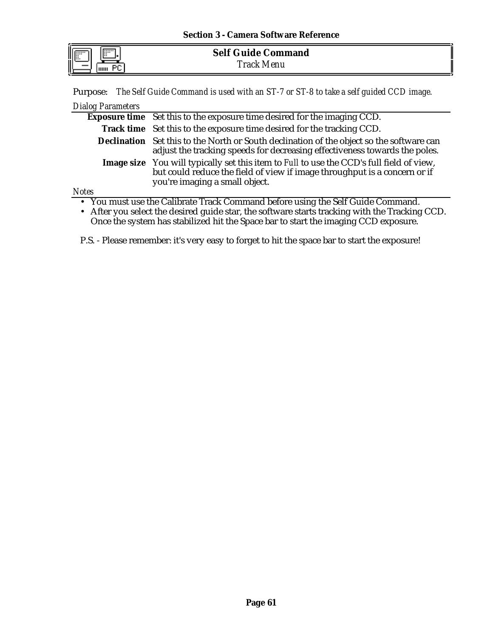|--|

**Self Guide Command** *Track Menu*

Purpose: *The Self Guide Command is used with an ST-7 or ST-8 to take a self guided CCD image.*

| Dialog Parameters |                                                                                                                                                                                                                |
|-------------------|----------------------------------------------------------------------------------------------------------------------------------------------------------------------------------------------------------------|
|                   | Exposure time Set this to the exposure time desired for the imaging CCD.                                                                                                                                       |
|                   | Track time Set this to the exposure time desired for the tracking CCD.                                                                                                                                         |
|                   | Declination Set this to the North or South declination of the object so the software can<br>adjust the tracking speeds for decreasing effectiveness towards the poles.                                         |
|                   | <b>Image size</b> You will typically set this item to Full to use the CCD's full field of view,<br>but could reduce the field of view if image throughput is a concern or if<br>you're imaging a small object. |
| <b>Notes</b>      |                                                                                                                                                                                                                |
|                   | • You must use the Calibrate Track Command before using the Self Guide Command.                                                                                                                                |

• After you select the desired guide star, the software starts tracking with the Tracking CCD. Once the system has stabilized hit the Space bar to start the imaging CCD exposure.

P.S. - Please remember: it's very easy to forget to hit the space bar to start the exposure!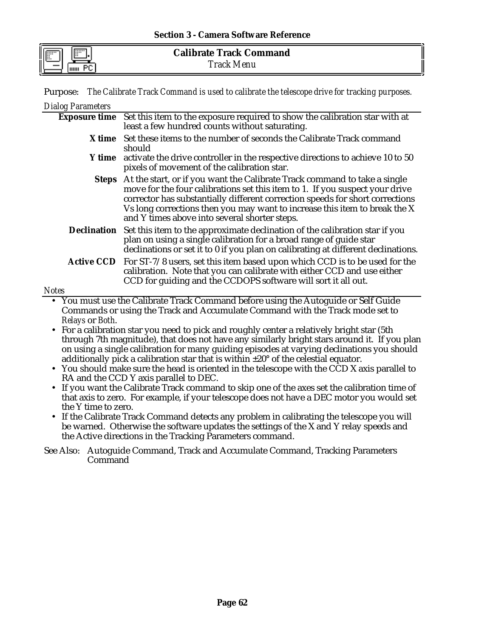|  | Purpose: The Calibrate Track Command is used to calibrate the telescope drive for tracking purposes. |  |  |  |  |  |  |  |  |
|--|------------------------------------------------------------------------------------------------------|--|--|--|--|--|--|--|--|
|--|------------------------------------------------------------------------------------------------------|--|--|--|--|--|--|--|--|

| <b>Dialog Parameters</b> |                                                                                                                                                                                                                                                                                                                                                                                 |
|--------------------------|---------------------------------------------------------------------------------------------------------------------------------------------------------------------------------------------------------------------------------------------------------------------------------------------------------------------------------------------------------------------------------|
|                          | Exposure time Set this item to the exposure required to show the calibration star with at<br>least a few hundred counts without saturating.                                                                                                                                                                                                                                     |
|                          | X time Set these items to the number of seconds the Calibrate Track command<br>should                                                                                                                                                                                                                                                                                           |
|                          | Y time activate the drive controller in the respective directions to achieve 10 to 50<br>pixels of movement of the calibration star.                                                                                                                                                                                                                                            |
|                          | Steps At the start, or if you want the Calibrate Track command to take a single<br>move for the four calibrations set this item to 1. If you suspect your drive<br>corrector has substantially different correction speeds for short corrections<br>Vs long corrections then you may want to increase this item to break the X<br>and Y times above into several shorter steps. |
|                          | <b>Declination</b> Set this item to the approximate declination of the calibration star if you<br>plan on using a single calibration for a broad range of guide star<br>declinations or set it to 0 if you plan on calibrating at different declinations.                                                                                                                       |
|                          | Active CCD For ST-7/8 users, set this item based upon which CCD is to be used for the<br>calibration. Note that you can calibrate with either CCD and use either<br>CCD for guiding and the CCDOPS software will sort it all out.                                                                                                                                               |
| <b>Notes</b>             |                                                                                                                                                                                                                                                                                                                                                                                 |

• You must use the Calibrate Track Command before using the Autoguide or Self Guide Commands or using the Track and Accumulate Command with the Track mode set to *Relays* or *Both*.

- For a calibration star you need to pick and roughly center a relatively bright star (5th through 7th magnitude), that does not have any similarly bright stars around it. If you plan on using a single calibration for many guiding episodes at varying declinations you should additionally pick a calibration star that is within ±20° of the celestial equator.
- You should make sure the head is oriented in the telescope with the CCD X axis parallel to RA and the CCD Y axis parallel to DEC.
- If you want the Calibrate Track command to skip one of the axes set the calibration time of that axis to zero. For example, if your telescope does not have a DEC motor you would set the Y time to zero.
- If the Calibrate Track Command detects any problem in calibrating the telescope you will be warned. Otherwise the software updates the settings of the X and Y relay speeds and the Active directions in the Tracking Parameters command.
- See Also: Autoguide Command, Track and Accumulate Command, Tracking Parameters Command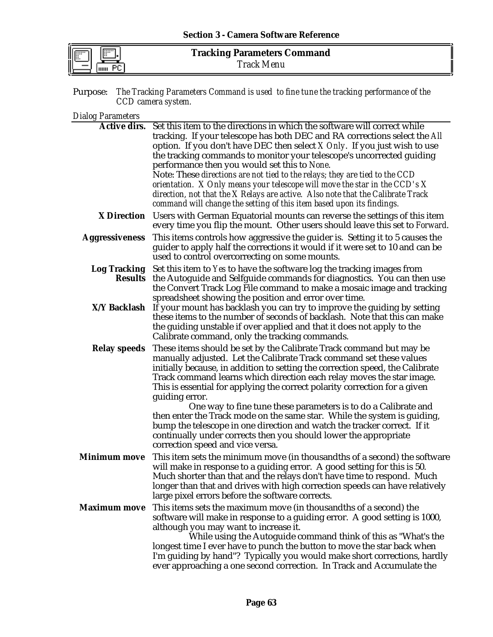| ш<br>  <br>  <br> |  |
|-------------------|--|
|                   |  |

|                    | <b>Purpose:</b> The Tracking Parameters Command is used to fine tune the tracking performance of the |
|--------------------|------------------------------------------------------------------------------------------------------|
| CCD camera system. |                                                                                                      |

## *Dialog Parameters*

|                       | Active dirs. Set this item to the directions in which the software will correct while                                                                     |
|-----------------------|-----------------------------------------------------------------------------------------------------------------------------------------------------------|
|                       | tracking. If your telescope has both DEC and RA corrections select the All                                                                                |
|                       | option. If you don't have DEC then select $X$ Only. If you just wish to use                                                                               |
|                       | the tracking commands to monitor your telescope's uncorrected guiding                                                                                     |
|                       | performance then you would set this to None.                                                                                                              |
|                       | Note: These directions are not tied to the relays; they are tied to the CCD                                                                               |
|                       | orientation. $X$ Only means your telescope will move the star in the CCD's $X$                                                                            |
|                       | direction, not that the X Relays are active. Also note that the Calibrate Track                                                                           |
|                       | command will change the setting of this item based upon its findings.                                                                                     |
| <b>X</b> Direction    | Users with German Equatorial mounts can reverse the settings of this item<br>every time you flip the mount. Other users should leave this set to Forward. |
| <b>Aggressiveness</b> | This items controls how aggressive the guider is. Setting it to 5 causes the                                                                              |
|                       | guider to apply half the corrections it would if it were set to 10 and can be                                                                             |
|                       | used to control overcorrecting on some mounts.                                                                                                            |
| <b>Log Tracking</b>   | Set this item to Yes to have the software log the tracking images from                                                                                    |
|                       | Results the Autoguide and Selfguide commands for diagnostics. You can then use                                                                            |
|                       | the Convert Track Log File command to make a mosaic image and tracking                                                                                    |
|                       | spreadsheet showing the position and error over time.                                                                                                     |
| X/Y Backlash          | If your mount has backlash you can try to improve the guiding by setting                                                                                  |
|                       | these items to the number of seconds of backlash. Note that this can make                                                                                 |
|                       | the guiding unstable if over applied and that it does not apply to the                                                                                    |
|                       | Calibrate command, only the tracking commands.                                                                                                            |
| <b>Relay speeds</b>   | These items should be set by the Calibrate Track command but may be                                                                                       |
|                       | manually adjusted. Let the Calibrate Track command set these values                                                                                       |
|                       | initially because, in addition to setting the correction speed, the Calibrate                                                                             |
|                       | Track command learns which direction each relay moves the star image.                                                                                     |
|                       | This is essential for applying the correct polarity correction for a given                                                                                |
|                       | guiding error.                                                                                                                                            |
|                       | One way to fine tune these parameters is to do a Calibrate and                                                                                            |
|                       | then enter the Track mode on the same star. While the system is guiding,<br>bump the telescope in one direction and watch the tracker correct. If it      |
|                       | continually under corrects then you should lower the appropriate                                                                                          |
|                       | correction speed and vice versa.                                                                                                                          |
| <b>Minimum move</b>   | This item sets the minimum move (in thousandths of a second) the software                                                                                 |
|                       | will make in response to a guiding error. A good setting for this is 50.                                                                                  |
|                       | Much shorter than that and the relays don't have time to respond. Much                                                                                    |
|                       | longer than that and drives with high correction speeds can have relatively                                                                               |
|                       | large pixel errors before the software corrects.                                                                                                          |
| <b>Maximum move</b>   | This items sets the maximum move (in thousandths of a second) the                                                                                         |
|                       | software will make in response to a guiding error. A good setting is 1000,                                                                                |
|                       | although you may want to increase it.                                                                                                                     |
|                       | While using the Autoguide command think of this as "What's the                                                                                            |
|                       | longest time I ever have to punch the button to move the star back when                                                                                   |
|                       | I'm guiding by hand"? Typically you would make short corrections, hardly                                                                                  |
|                       | ever approaching a one second correction. In Track and Accumulate the                                                                                     |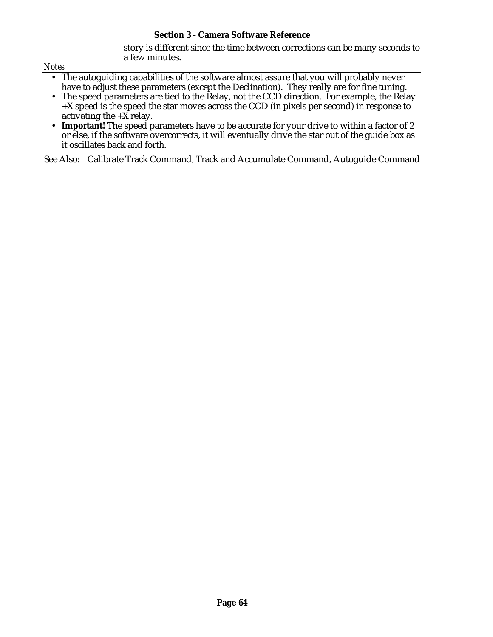story is different since the time between corrections can be many seconds to a few minutes.

*Notes*

- The autoguiding capabilities of the software almost assure that you will probably never have to adjust these parameters (except the Declination). They really are for fine tuning.
- The speed parameters are tied to the Relay, not the CCD direction. For example, the Relay +X speed is the speed the star moves across the CCD (in pixels per second) in response to activating the  $+\overline{X}$  relay.
- Important! The speed parameters have to be accurate for your drive to within a factor of 2 or else, if the software overcorrects, it will eventually drive the star out of the guide box as it oscillates back and forth.

See Also: Calibrate Track Command, Track and Accumulate Command, Autoguide Command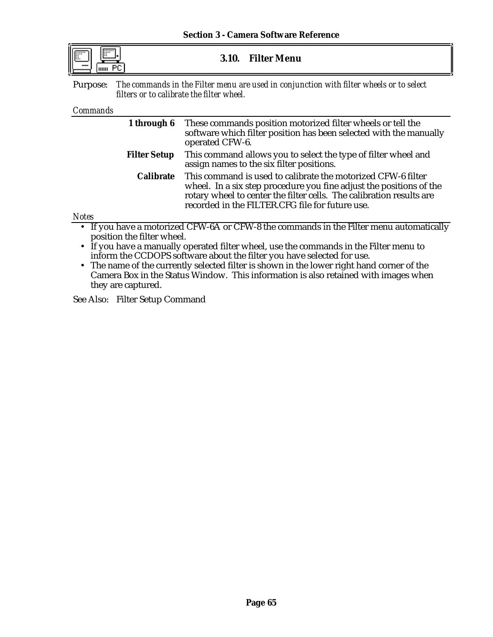| $\overline{\phantom{a}}$ |  |
|--------------------------|--|
|                          |  |

**3.10. Filter Menu**

Purpose: *The commands in the Filter menu are used in conjunction with filter wheels or to select filters or to calibrate the filter wheel.*

#### *Commands*

*Notes*

| 1 through 6         | These commands position motorized filter wheels or tell the<br>software which filter position has been selected with the manually<br>operated CFW-6.                                                                                                           |
|---------------------|----------------------------------------------------------------------------------------------------------------------------------------------------------------------------------------------------------------------------------------------------------------|
| <b>Filter Setup</b> | This command allows you to select the type of filter wheel and<br>assign names to the six filter positions.                                                                                                                                                    |
| <b>Calibrate</b>    | This command is used to calibrate the motorized CFW-6 filter<br>wheel. In a six step procedure you fine adjust the positions of the<br>rotary wheel to center the filter cells. The calibration results are<br>recorded in the FILTER.CFG file for future use. |

• If you have a motorized CFW-6A or CFW-8 the commands in the Filter menu automatically position the filter wheel.

• If you have a manually operated filter wheel, use the commands in the Filter menu to inform the CCDOPS software about the filter you have selected for use.

• The name of the currently selected filter is shown in the lower right hand corner of the Camera Box in the Status Window. This information is also retained with images when they are captured.

See Also: Filter Setup Command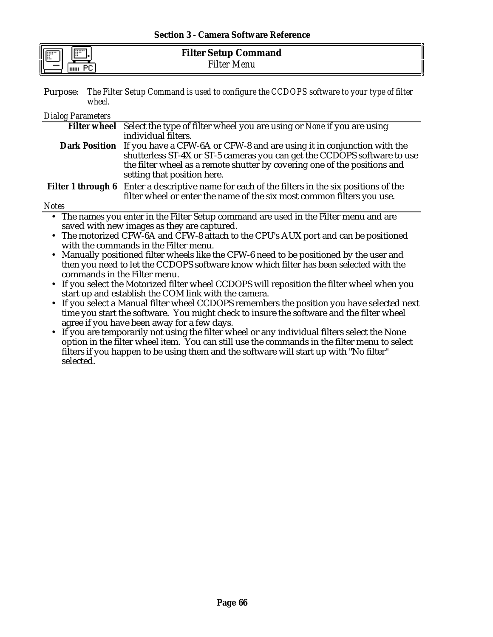| <b>Section 3 - Camera Software Reference</b> |  |
|----------------------------------------------|--|
|----------------------------------------------|--|

| $\overline{1}$<br>$\cdots$ | <b>Filter Setup Command</b> |  |
|----------------------------|-----------------------------|--|
| E<br>Dr.<br>THILL          | $F$ ilter<br>Menu           |  |

Purpose: *The Filter Setup Command is used to configure the CCDOPS software to your type of filter wheel.*

### *Dialog Parameters*

|                                                                                          | Filter wheel Select the type of filter wheel you are using or None if you are using                    |
|------------------------------------------------------------------------------------------|--------------------------------------------------------------------------------------------------------|
|                                                                                          | individual filters.                                                                                    |
|                                                                                          | Dark Position If you have a CFW-6A or CFW-8 and are using it in conjunction with the                   |
|                                                                                          | shutterless ST-4X or ST-5 cameras you can get the CCDOPS software to use                               |
|                                                                                          | the filter wheel as a remote shutter by covering one of the positions and                              |
|                                                                                          | setting that position here.                                                                            |
|                                                                                          | <b>Filter 1 through 6</b> Enter a descriptive name for each of the filters in the six positions of the |
|                                                                                          | filter wheel or enter the name of the six most common filters you use.                                 |
| <b>Notes</b>                                                                             |                                                                                                        |
|                                                                                          | • The names you enter in the Filter Setup command are used in the Filter menu and are                  |
|                                                                                          | saved with new images as they are captured.                                                            |
| • The motorized CFW-6A and CFW-8 attach to the CPU's AUX port and can be positioned      |                                                                                                        |
|                                                                                          | with the commands in the Filter menu.                                                                  |
| • Manually positioned filter wheels like the CFW-6 need to be positioned by the user and |                                                                                                        |
|                                                                                          | then you need to let the CCDOPS software know which filter has been selected with the                  |
| commands in the Filter menu.                                                             |                                                                                                        |
|                                                                                          | $\mathbf{r}$ , a comparable $\mathbf{r}$ . The contract of $\mathbf{r}$                                |

- If you select the Motorized filter wheel CCDOPS will reposition the filter wheel when you start up and establish the COM link with the camera.
- If you select a Manual filter wheel CCDOPS remembers the position you have selected next time you start the software. You might check to insure the software and the filter wheel agree if you have been away for a few days.
- If you are temporarily not using the filter wheel or any individual filters select the None option in the filter wheel item. You can still use the commands in the filter menu to select filters if you happen to be using them and the software will start up with "No filter" selected.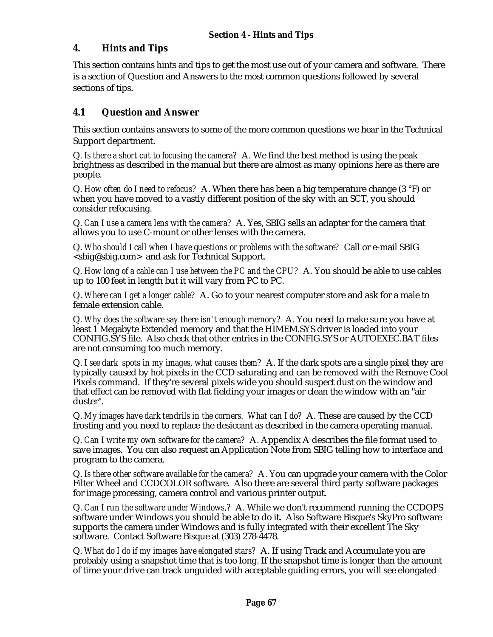## **4. Hints and Tips**

This section contains hints and tips to get the most use out of your camera and software. There is a section of Question and Answers to the most common questions followed by several sections of tips.

## **4.1 Question and Answer**

This section contains answers to some of the more common questions we hear in the Technical Support department.

Q. *Is there a short cut to focusing the camera?* A. We find the best method is using the peak brightness as described in the manual but there are almost as many opinions here as there are people.

Q. *How often do I need to refocus?* A. When there has been a big temperature change (3 °F) or when you have moved to a vastly different position of the sky with an SCT, you should consider refocusing.

Q. *Can I use a camera lens with the camera?* A. Yes, SBIG sells an adapter for the camera that allows you to use C-mount or other lenses with the camera.

Q. *Who should I call when I have questions or problems with the software?* Call or e-mail SBIG <sbig@sbig.com> and ask for Technical Support.

Q. *How long of a cable can I use between the PC and the CPU?* A. You should be able to use cables up to 100 feet in length but it will vary from PC to PC.

Q. *Where can I get a longer cable?* A. Go to your nearest computer store and ask for a male to female extension cable.

Q. *Why does the software say there isn't enough memory?* A. You need to make sure you have at least 1 Megabyte Extended memory and that the HIMEM.SYS driver is loaded into your CONFIG.SYS file. Also check that other entries in the CONFIG.SYS or AUTOEXEC.BAT files are not consuming too much memory.

Q. *I see dark spots in my images, what causes them?* A. If the dark spots are a single pixel they are typically caused by hot pixels in the CCD saturating and can be removed with the Remove Cool Pixels command. If they're several pixels wide you should suspect dust on the window and that effect can be removed with flat fielding your images or clean the window with an "air duster".

Q. *My images have dark tendrils in the corners. What can I do?* A. These are caused by the CCD frosting and you need to replace the desiccant as described in the camera operating manual.

Q. *Can I write my own software for the camera?* A. Appendix A describes the file format used to save images. You can also request an Application Note from SBIG telling how to interface and program to the camera.

Q. *Is there other software available for the camera?* A. You can upgrade your camera with the Color Filter Wheel and CCDCOLOR software. Also there are several third party software packages for image processing, camera control and various printer output.

Q. *Can I run the software under Windows,?* A. While we don't recommend running the CCDOPS software under Windows you should be able to do it. Also Software Bisque's SkyPro software supports the camera under Windows and is fully integrated with their excellent The Sky software. Contact Software Bisque at (303) 278-4478.

Q. *What do I do if my images have elongated stars?* A. If using Track and Accumulate you are probably using a snapshot time that is too long. If the snapshot time is longer than the amount of time your drive can track unguided with acceptable guiding errors, you will see elongated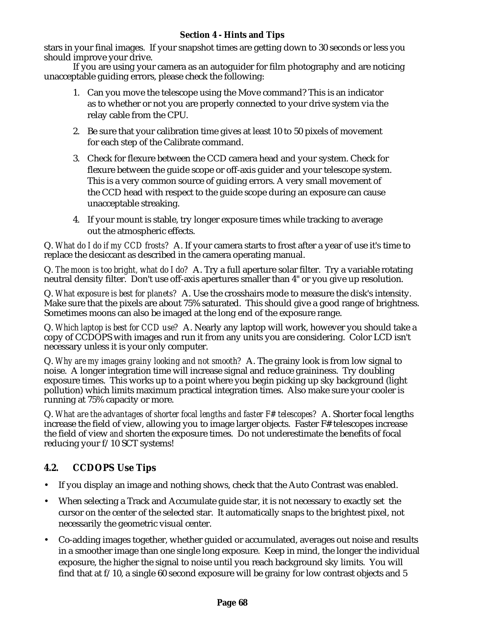stars in your final images. If your snapshot times are getting down to 30 seconds or less you should improve your drive.

If you are using your camera as an autoguider for film photography and are noticing unacceptable guiding errors, please check the following:

- 1. Can you move the telescope using the Move command? This is an indicator as to whether or not you are properly connected to your drive system via the relay cable from the CPU.
- 2. Be sure that your calibration time gives at least 10 to 50 pixels of movement for each step of the Calibrate command.
- 3. Check for flexure between the CCD camera head and your system. Check for flexure between the guide scope or off-axis guider and your telescope system. This is a very common source of guiding errors. A very small movement of the CCD head with respect to the guide scope during an exposure can cause unacceptable streaking.
- 4. If your mount is stable, try longer exposure times while tracking to average out the atmospheric effects.

Q. *What do I do if my CCD frosts?* A. If your camera starts to frost after a year of use it's time to replace the desiccant as described in the camera operating manual.

Q. *The moon is too bright, what do I do?* A. Try a full aperture solar filter. Try a variable rotating neutral density filter. Don't use off-axis apertures smaller than 4" or you give up resolution.

Q. *What exposure is best for planets?* A. Use the crosshairs mode to measure the disk's intensity. Make sure that the pixels are about 75% saturated. This should give a good range of brightness. Sometimes moons can also be imaged at the long end of the exposure range.

Q. *Which laptop is best for CCD use?* A. Nearly any laptop will work, however you should take a copy of CCDOPS with images and run it from any units you are considering. Color LCD isn't necessary unless it is your only computer.

Q. *Why are my images grainy looking and not smooth?* A. The grainy look is from low signal to noise. A longer integration time will increase signal and reduce graininess. Try doubling exposure times. This works up to a point where you begin picking up sky background (light pollution) which limits maximum practical integration times. Also make sure your cooler is running at 75% capacity or more.

Q. *What are the advantages of shorter focal lengths and faster F# telescopes?* A. Shorter focal lengths increase the field of view, allowing you to image larger objects. Faster F# telescopes increase the field of view *and* shorten the exposure times. Do not underestimate the benefits of focal reducing your f/10 SCT systems!

# **4.2. CCDOPS Use Tips**

- If you display an image and nothing shows, check that the Auto Contrast was enabled.
- When selecting a Track and Accumulate guide star, it is not necessary to exactly set the cursor on the center of the selected star. It automatically snaps to the brightest pixel, not necessarily the geometric visual center.
- Co-adding images together, whether guided or accumulated, averages out noise and results in a smoother image than one single long exposure. Keep in mind, the longer the individual exposure, the higher the signal to noise until you reach background sky limits. You will find that at  $f/10$ , a single 60 second exposure will be grainy for low contrast objects and 5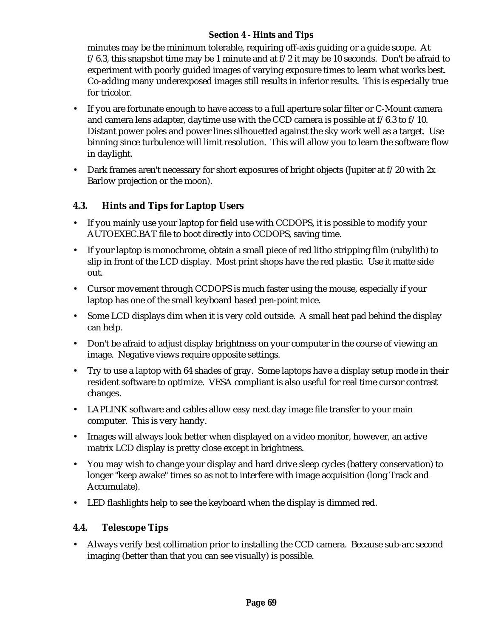## **Section 4 - Hints and Tips**

minutes may be the minimum tolerable, requiring off-axis guiding or a guide scope. At  $f/6.3$ , this snapshot time may be 1 minute and at  $f/2$  it may be 10 seconds. Don't be afraid to experiment with poorly guided images of varying exposure times to learn what works best. Co-adding many underexposed images still results in inferior results. This is especially true for tricolor.

- If you are fortunate enough to have access to a full aperture solar filter or C-Mount camera and camera lens adapter, daytime use with the CCD camera is possible at f/6.3 to f/10. Distant power poles and power lines silhouetted against the sky work well as a target. Use binning since turbulence will limit resolution. This will allow you to learn the software flow in daylight.
- Dark frames aren't necessary for short exposures of bright objects (Jupiter at  $f/20$  with  $2x$ Barlow projection or the moon).

## **4.3. Hints and Tips for Laptop Users**

- If you mainly use your laptop for field use with CCDOPS, it is possible to modify your AUTOEXEC.BAT file to boot directly into CCDOPS, saving time.
- If your laptop is monochrome, obtain a small piece of red litho stripping film (rubylith) to slip in front of the LCD display. Most print shops have the red plastic. Use it matte side out.
- Cursor movement through CCDOPS is much faster using the mouse, especially if your laptop has one of the small keyboard based pen-point mice.
- Some LCD displays dim when it is very cold outside. A small heat pad behind the display can help.
- Don't be afraid to adjust display brightness on your computer in the course of viewing an image. Negative views require opposite settings.
- Try to use a laptop with 64 shades of gray. Some laptops have a display setup mode in their resident software to optimize. VESA compliant is also useful for real time cursor contrast changes.
- LAPLINK software and cables allow easy next day image file transfer to your main computer. This is very handy.
- Images will always look better when displayed on a video monitor, however, an active matrix LCD display is pretty close except in brightness.
- You may wish to change your display and hard drive sleep cycles (battery conservation) to longer "keep awake" times so as not to interfere with image acquisition (long Track and Accumulate).
- LED flashlights help to see the keyboard when the display is dimmed red.

## **4.4. Telescope Tips**

• Always verify best collimation prior to installing the CCD camera. Because sub-arc second imaging (better than that you can see visually) is possible.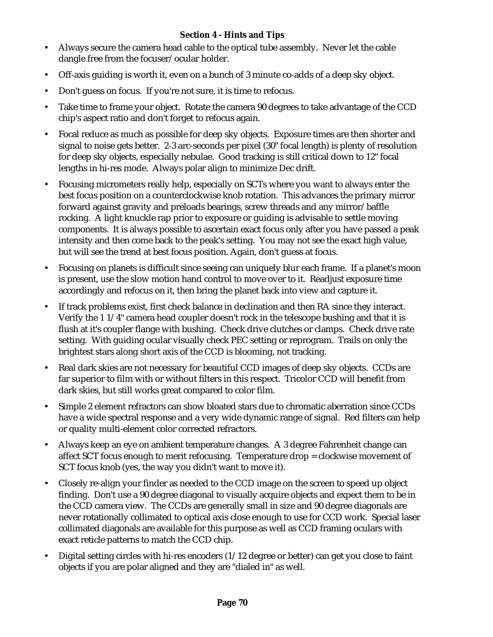## **Section 4 - Hints and Tips**

- Always secure the camera head cable to the optical tube assembly. Never let the cable dangle free from the focuser/ocular holder.
- Off-axis guiding is worth it, even on a bunch of 3 minute co-adds of a deep sky object.
- Don't guess on focus. If you're not sure, it is time to refocus.
- Take time to frame your object. Rotate the camera 90 degrees to take advantage of the CCD chip's aspect ratio and don't forget to refocus again.
- Focal reduce as much as possible for deep sky objects. Exposure times are then shorter and signal to noise gets better. 2-3 arc-seconds per pixel (30" focal length) is plenty of resolution for deep sky objects, especially nebulae. Good tracking is still critical down to 12" focal lengths in hi-res mode. Always polar align to minimize Dec drift.
- Focusing micrometers really help, especially on SCTs where you want to always enter the best focus position on a counterclockwise knob rotation. This advances the primary mirror forward against gravity and preloads bearings, screw threads and any mirror/baffle rocking. A light knuckle rap prior to exposure or guiding is advisable to settle moving components. It is always possible to ascertain exact focus only after you have passed a peak intensity and then come back to the peak's setting. You may not see the exact high value, but will see the trend at best focus position. Again, don't guess at focus.
- Focusing on planets is difficult since seeing can uniquely blur each frame. If a planet's moon is present, use the slow motion hand control to move over to it. Readjust exposure time accordingly and refocus on it, then bring the planet back into view and capture it.
- If track problems exist, first check balance in declination and then RA since they interact. Verify the 1 1/4" camera head coupler doesn't rock in the telescope bushing and that it is flush at it's coupler flange with bushing. Check drive clutches or clamps. Check drive rate setting. With guiding ocular visually check PEC setting or reprogram. Trails on only the brightest stars along short axis of the CCD is blooming, not tracking.
- Real dark skies are not necessary for beautiful CCD images of deep sky objects. CCDs are far superior to film with or without filters in this respect. Tricolor CCD will benefit from dark skies, but still works great compared to color film.
- Simple 2 element refractors can show bloated stars due to chromatic aberration since CCDs have a wide spectral response and a very wide dynamic range of signal. Red filters can help or quality multi-element color corrected refractors.
- Always keep an eye on ambient temperature changes. A 3 degree Fahrenheit change can affect SCT focus enough to merit refocusing. Temperature drop = clockwise movement of SCT focus knob (yes, the way you didn't want to move it).
- Closely re-align your finder as needed to the CCD image on the screen to speed up object finding. Don't use a 90 degree diagonal to visually acquire objects and expect them to be in the CCD camera view. The CCDs are generally small in size and 90 degree diagonals are never rotationally collimated to optical axis close enough to use for CCD work. Special laser collimated diagonals are available for this purpose as well as CCD framing oculars with exact reticle patterns to match the CCD chip.
- Digital setting circles with hi-res encoders  $(1/12$  degree or better) can get you close to faint objects if you are polar aligned and they are "dialed in" as well.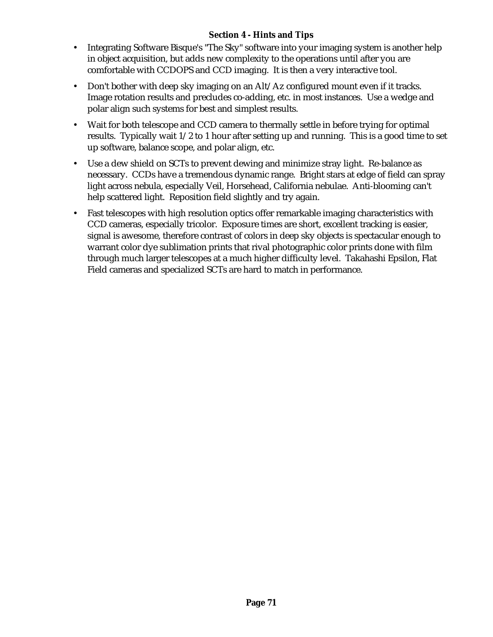#### **Section 4 - Hints and Tips**

- Integrating Software Bisque's "The Sky" software into your imaging system is another help in object acquisition, but adds new complexity to the operations until after you are comfortable with CCDOPS and CCD imaging. It is then a very interactive tool.
- Don't bother with deep sky imaging on an Alt/Az configured mount even if it tracks. Image rotation results and precludes co-adding, etc. in most instances. Use a wedge and polar align such systems for best and simplest results.
- Wait for both telescope and CCD camera to thermally settle in before trying for optimal results. Typically wait 1/2 to 1 hour after setting up and running. This is a good time to set up software, balance scope, and polar align, etc.
- Use a dew shield on SCTs to prevent dewing and minimize stray light. Re-balance as necessary. CCDs have a tremendous dynamic range. Bright stars at edge of field can spray light across nebula, especially Veil, Horsehead, California nebulae. Anti-blooming can't help scattered light. Reposition field slightly and try again.
- Fast telescopes with high resolution optics offer remarkable imaging characteristics with CCD cameras, especially tricolor. Exposure times are short, excellent tracking is easier, signal is awesome, therefore contrast of colors in deep sky objects is spectacular enough to warrant color dye sublimation prints that rival photographic color prints done with film through much larger telescopes at a much higher difficulty level. Takahashi Epsilon, Flat Field cameras and specialized SCTs are hard to match in performance.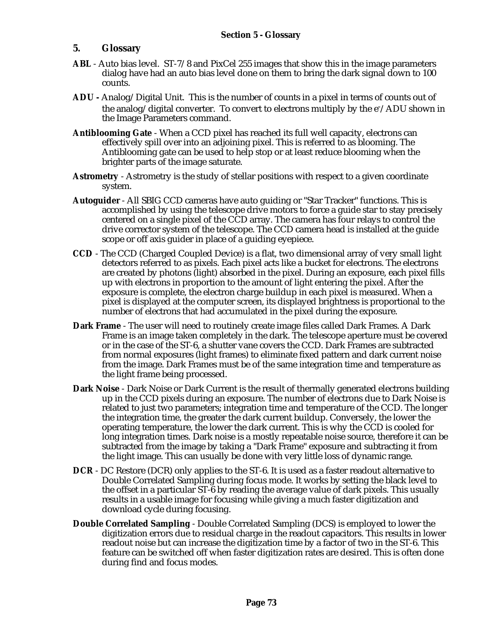#### **5. Glossary**

- **ABL** Auto bias level. ST-7/8 and PixCel 255 images that show this in the image parameters dialog have had an auto bias level done on them to bring the dark signal down to 100 counts.
- **ADU -** Analog/Digital Unit. This is the number of counts in a pixel in terms of counts out of the analog/digital converter. To convert to electrons multiply by the e<sup>-</sup>/ADU shown in the Image Parameters command.
- **Antiblooming Gate** When a CCD pixel has reached its full well capacity, electrons can effectively spill over into an adjoining pixel. This is referred to as blooming. The Antiblooming gate can be used to help stop or at least reduce blooming when the brighter parts of the image saturate.
- **Astrometry** Astrometry is the study of stellar positions with respect to a given coordinate system.
- **Autoguider** All SBIG CCD cameras have auto guiding or "Star Tracker" functions. This is accomplished by using the telescope drive motors to force a guide star to stay precisely centered on a single pixel of the CCD array. The camera has four relays to control the drive corrector system of the telescope. The CCD camera head is installed at the guide scope or off axis guider in place of a guiding eyepiece.
- **CCD** The CCD (Charged Coupled Device) is a flat, two dimensional array of very small light detectors referred to as pixels. Each pixel acts like a bucket for electrons. The electrons are created by photons (light) absorbed in the pixel. During an exposure, each pixel fills up with electrons in proportion to the amount of light entering the pixel. After the exposure is complete, the electron charge buildup in each pixel is measured. When a pixel is displayed at the computer screen, its displayed brightness is proportional to the number of electrons that had accumulated in the pixel during the exposure.
- **Dark Frame** The user will need to routinely create image files called Dark Frames. A Dark Frame is an image taken completely in the dark. The telescope aperture must be covered or in the case of the ST-6, a shutter vane covers the CCD. Dark Frames are subtracted from normal exposures (light frames) to eliminate fixed pattern and dark current noise from the image. Dark Frames must be of the same integration time and temperature as the light frame being processed.
- **Dark Noise**  Dark Noise or Dark Current is the result of thermally generated electrons building up in the CCD pixels during an exposure. The number of electrons due to Dark Noise is related to just two parameters; integration time and temperature of the CCD. The longer the integration time, the greater the dark current buildup. Conversely, the lower the operating temperature, the lower the dark current. This is why the CCD is cooled for long integration times. Dark noise is a mostly repeatable noise source, therefore it can be subtracted from the image by taking a "Dark Frame" exposure and subtracting it from the light image. This can usually be done with very little loss of dynamic range.
- **DCR** DC Restore (DCR) only applies to the ST-6. It is used as a faster readout alternative to Double Correlated Sampling during focus mode. It works by setting the black level to the offset in a particular ST-6 by reading the average value of dark pixels. This usually results in a usable image for focusing while giving a much faster digitization and download cycle during focusing.
- **Double Correlated Sampling** Double Correlated Sampling (DCS) is employed to lower the digitization errors due to residual charge in the readout capacitors. This results in lower readout noise but can increase the digitization time by a factor of two in the ST-6. This feature can be switched off when faster digitization rates are desired. This is often done during find and focus modes.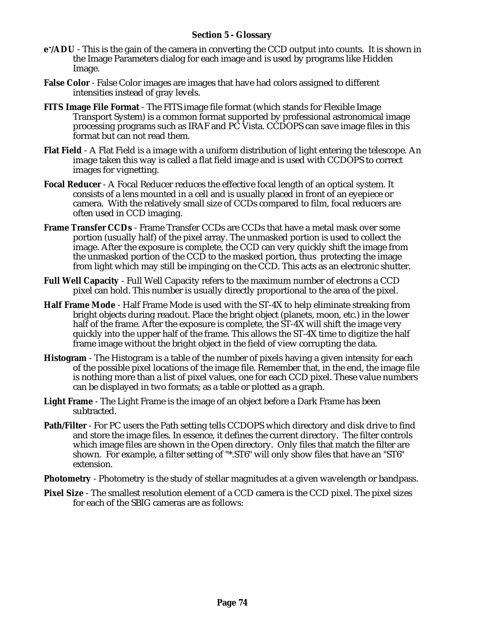#### **Section 5 - Glossary**

- **e - /ADU** This is the gain of the camera in converting the CCD output into counts. It is shown in the Image Parameters dialog for each image and is used by programs like Hidden Image.
- **False Color** False Color images are images that have had colors assigned to different intensities instead of gray levels.
- **FITS Image File Format** The FITS image file format (which stands for Flexible Image Transport System) is a common format supported by professional astronomical image processing programs such as IRAF and PC Vista. CCDOPS can save image files in this format but can not read them.
- **Flat Field** A Flat Field is a image with a uniform distribution of light entering the telescope. An image taken this way is called a flat field image and is used with CCDOPS to correct images for vignetting.
- **Focal Reducer** A Focal Reducer reduces the effective focal length of an optical system. It consists of a lens mounted in a cell and is usually placed in front of an eyepiece or camera. With the relatively small size of CCDs compared to film, focal reducers are often used in CCD imaging.
- **Frame Transfer CCDs** Frame Transfer CCDs are CCDs that have a metal mask over some portion (usually half) of the pixel array. The unmasked portion is used to collect the image. After the exposure is complete, the CCD can very quickly shift the image from the unmasked portion of the CCD to the masked portion, thus protecting the image from light which may still be impinging on the CCD. This acts as an electronic shutter.
- **Full Well Capacity** Full Well Capacity refers to the maximum number of electrons a CCD pixel can hold. This number is usually directly proportional to the area of the pixel.
- **Half Frame Mode** Half Frame Mode is used with the ST-4X to help eliminate streaking from bright objects during readout. Place the bright object (planets, moon, etc.) in the lower half of the frame. After the exposure is complete, the ST-4X will shift the image very quickly into the upper half of the frame. This allows the ST-4X time to digitize the half frame image without the bright object in the field of view corrupting the data.
- **Histogram** The Histogram is a table of the number of pixels having a given intensity for each of the possible pixel locations of the image file. Remember that, in the end, the image file is nothing more than a list of pixel values, one for each CCD pixel. These value numbers can be displayed in two formats; as a table or plotted as a graph.
- **Light Frame** The Light Frame is the image of an object before a Dark Frame has been subtracted.
- **Path/Filter**  For PC users the Path setting tells CCDOPS which directory and disk drive to find and store the image files. In essence, it defines the current directory. The filter controls which image files are shown in the Open directory. Only files that match the filter are shown. For example, a filter setting of "\*.ST6" will only show files that have an "ST6" extension.
- **Photometry** Photometry is the study of stellar magnitudes at a given wavelength or bandpass.
- **Pixel Size** The smallest resolution element of a CCD camera is the CCD pixel. The pixel sizes for each of the SBIG cameras are as follows: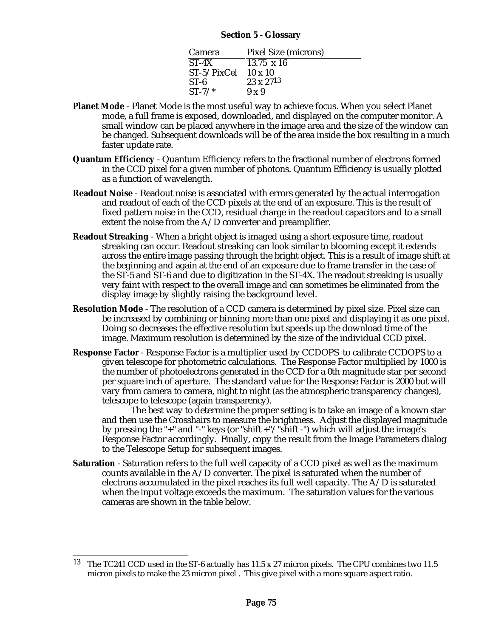#### **Section 5 - Glossary**

| Camera         | <b>Pixel Size (microns)</b> |
|----------------|-----------------------------|
| $ST-4X$        | $13.75 \times 16$           |
| $ST-5/pixCell$ | $10 \times 10$              |
| $ST-6$         | $23 \times 27^{13}$         |
| $ST-7/*$       | $9 \times 9$                |

- **Planet Mode** Planet Mode is the most useful way to achieve focus. When you select Planet mode, a full frame is exposed, downloaded, and displayed on the computer monitor. A small window can be placed anywhere in the image area and the size of the window can be changed. Subsequent downloads will be of the area inside the box resulting in a much faster update rate.
- **Quantum Efficiency** Quantum Efficiency refers to the fractional number of electrons formed in the CCD pixel for a given number of photons. Quantum Efficiency is usually plotted as a function of wavelength.
- **Readout Noise** Readout noise is associated with errors generated by the actual interrogation and readout of each of the CCD pixels at the end of an exposure. This is the result of fixed pattern noise in the CCD, residual charge in the readout capacitors and to a small extent the noise from the  $A/D$  converter and preamplifier.
- **Readout Streaking** When a bright object is imaged using a short exposure time, readout streaking can occur. Readout streaking can look similar to blooming except it extends across the entire image passing through the bright object. This is a result of image shift at the beginning and again at the end of an exposure due to frame transfer in the case of the ST-5 and ST-6 and due to digitization in the ST-4X. The readout streaking is usually very faint with respect to the overall image and can sometimes be eliminated from the display image by slightly raising the background level.
- **Resolution Mode** The resolution of a CCD camera is determined by pixel size. Pixel size can be increased by combining or binning more than one pixel and displaying it as one pixel. Doing so decreases the effective resolution but speeds up the download time of the image. Maximum resolution is determined by the size of the individual CCD pixel.
- **Response Factor** Response Factor is a multiplier used by CCDOPS to calibrate CCDOPS to a given telescope for photometric calculations. The Response Factor multiplied by 1000 is the number of photoelectrons generated in the CCD for a 0th magnitude star per second per square inch of aperture. The standard value for the Response Factor is 2000 but will vary from camera to camera, night to night (as the atmospheric transparency changes), telescope to telescope (again transparency).

The best way to determine the proper setting is to take an image of a known star and then use the Crosshairs to measure the brightness. Adjust the displayed magnitude by pressing the "+" and "-" keys (or "shift +"/"shift -") which will adjust the image's Response Factor accordingly. Finally, copy the result from the Image Parameters dialog to the Telescope Setup for subsequent images.

**Saturation** - Saturation refers to the full well capacity of a CCD pixel as well as the maximum counts available in the  $A/D$  converter. The pixel is saturated when the number of electrons accumulated in the pixel reaches its full well capacity. The  $A/D$  is saturated when the input voltage exceeds the maximum. The saturation values for the various cameras are shown in the table below.

<sup>13</sup> The TC241 CCD used in the ST-6 actually has 11.5 x 27 micron pixels. The CPU combines two 11.5 micron pixels to make the 23 micron pixel . This give pixel with a more square aspect ratio.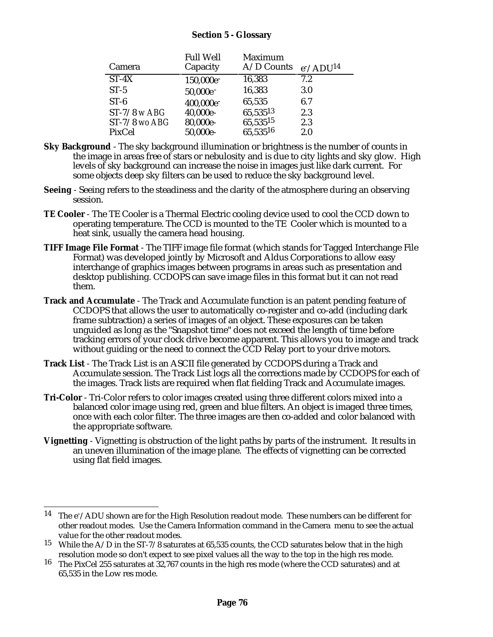#### **Section 5 - Glossary**

| Camera          | <b>Full Well</b><br>Capacity | <b>Maximum</b><br>A/D Counts | $e^-$ /ADU <sup>14</sup> |
|-----------------|------------------------------|------------------------------|--------------------------|
| $ST-4X$         | 150,000e <sup>-</sup>        | 16,383                       | 7.2                      |
| $ST-5$          | 50,000e <sup>-</sup>         | 16,383                       | <b>3.0</b>               |
| $ST-6$          | 400,000e <sup>-</sup>        | 65,535                       | 6.7                      |
| $ST-7/8$ w ABG  | 40,000e-                     | 65,53513                     | 2.3                      |
| $ST-7/8$ wo ABG | 80,000e-                     | 65,53515                     | 2.3                      |
| PixCel          | 50,000e-                     | 65,53516                     | 2.0                      |

- **Sky Background** The sky background illumination or brightness is the number of counts in the image in areas free of stars or nebulosity and is due to city lights and sky glow. High levels of sky background can increase the noise in images just like dark current. For some objects deep sky filters can be used to reduce the sky background level.
- **Seeing** Seeing refers to the steadiness and the clarity of the atmosphere during an observing session.
- **TE Cooler**  The TE Cooler is a Thermal Electric cooling device used to cool the CCD down to operating temperature. The CCD is mounted to the TE Cooler which is mounted to a heat sink, usually the camera head housing.
- **TIFF Image File Format** The TIFF image file format (which stands for Tagged Interchange File Format) was developed jointly by Microsoft and Aldus Corporations to allow easy interchange of graphics images between programs in areas such as presentation and desktop publishing. CCDOPS can save image files in this format but it can not read them.
- **Track and Accumulate** The Track and Accumulate function is an patent pending feature of CCDOPS that allows the user to automatically co-register and co-add (including dark frame subtraction) a series of images of an object. These exposures can be taken unguided as long as the "Snapshot time" does not exceed the length of time before tracking errors of your clock drive become apparent. This allows you to image and track without guiding or the need to connect the CCD Relay port to your drive motors.
- **Track List** The Track List is an ASCII file generated by CCDOPS during a Track and Accumulate session. The Track List logs all the corrections made by CCDOPS for each of the images. Track lists are required when flat fielding Track and Accumulate images.
- **Tri-Color** Tri-Color refers to color images created using three different colors mixed into a balanced color image using red, green and blue filters. An object is imaged three times, once with each color filter. The three images are then co-added and color balanced with the appropriate software.
- **Vignetting** Vignetting is obstruction of the light paths by parts of the instrument. It results in an uneven illumination of the image plane. The effects of vignetting can be corrected using flat field images.

<sup>&</sup>lt;sup>14</sup> The  $e^-$ /ADU shown are for the High Resolution readout mode. These numbers can be different for other readout modes. Use the Camera Information command in the Camera menu to see the actual value for the other readout modes.

<sup>&</sup>lt;sup>15</sup> While the A/D in the ST-7/8 saturates at 65,535 counts, the CCD saturates below that in the high resolution mode so don't expect to see pixel values all the way to the top in the high res mode.

<sup>16</sup> The PixCel 255 saturates at 32,767 counts in the high res mode (where the CCD saturates) and at 65,535 in the Low res mode.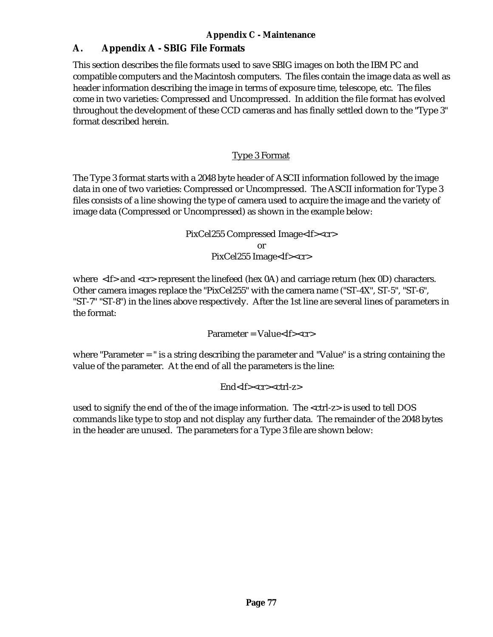## **A. Appendix A - SBIG File Formats**

This section describes the file formats used to save SBIG images on both the IBM PC and compatible computers and the Macintosh computers. The files contain the image data as well as header information describing the image in terms of exposure time, telescope, etc. The files come in two varieties: Compressed and Uncompressed. In addition the file format has evolved throughout the development of these CCD cameras and has finally settled down to the "Type 3" format described herein.

#### Type 3 Format

The Type 3 format starts with a 2048 byte header of ASCII information followed by the image data in one of two varieties: Compressed or Uncompressed. The ASCII information for Type 3 files consists of a line showing the type of camera used to acquire the image and the variety of image data (Compressed or Uncompressed) as shown in the example below:

> PixCel255 Compressed Image<lf><cr> or PixCel255 Image<lf><cr>

where  $\langle f \rangle$  and  $\langle cr \rangle$  represent the linefeed (hex 0A) and carriage return (hex 0D) characters. Other camera images replace the "PixCel255" with the camera name ("ST-4X", ST-5", "ST-6", "ST-7" "ST-8") in the lines above respectively. After the 1st line are several lines of parameters in the format:

Parameter = Value<lf><cr>

where "Parameter = " is a string describing the parameter and "Value" is a string containing the value of the parameter. At the end of all the parameters is the line:

#### End<lf><cr><ctrl-z>

used to signify the end of the of the image information. The <ctrl-z> is used to tell DOS commands like type to stop and not display any further data. The remainder of the 2048 bytes in the header are unused. The parameters for a Type 3 file are shown below: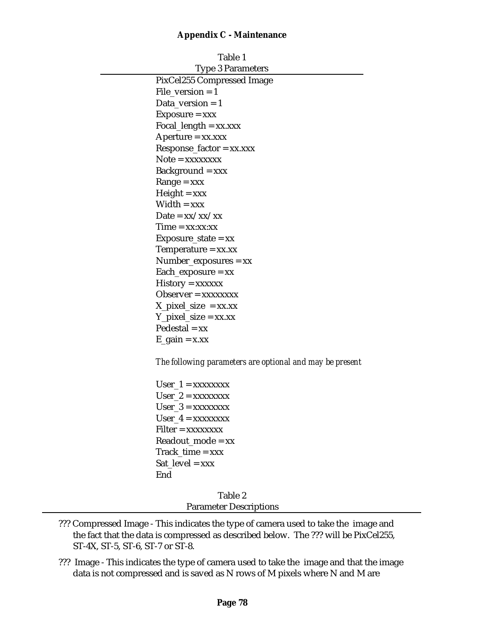| Table 1                           |
|-----------------------------------|
| <b>Type 3 Parameters</b>          |
| PixCel255 Compressed Image        |
| File version $=$ 1                |
| Data version $= 1$                |
| $Exposure = xxx$                  |
| $Focal_length = xx.xxx$           |
| Aperture = xx.xxx                 |
| $Respose\_factor = xx.xxx$        |
| $Note = xxxxxxxx$                 |
| $Background = xxx$                |
| $Range = XXX$                     |
| $Height = xxx$                    |
| $Width = xxx$                     |
| Date = $xx/xx/xx$                 |
| $Time = xx:xx:xx$                 |
| $Exposure\_state = xx$            |
| Temperature = $xx$ . $xx$         |
| $Number_{exposures} = xx$         |
| $Each$ _exposure = xx             |
| $History = XXXXXX$                |
| $Observe = xxxxxxx$               |
| $X$ <sub>pixel_size</sub> = xx.xx |
| $Y$ _pixel_size = xx.xx           |
| $Pedestal = xx$                   |
| $E_{gain} = x.xx$                 |
|                                   |

*The following parameters are optional and may be present*

 $User_1 = XXXXXXX$  $User_2 = XXXXXXX$  $User_3 = XXXXXXX$  $User_4 = XXXXXXX$ Filter = xxxxxxxx Readout  $mode = xx$  $Track_time = xxx$  $Sat\_level = xxx$ End

> Table 2 Parameter Descriptions

- ??? Compressed Image This indicates the type of camera used to take the image and the fact that the data is compressed as described below. The ??? will be PixCel255, ST-4X, ST-5, ST-6, ST-7 or ST-8.
- ??? Image This indicates the type of camera used to take the image and that the image data is not compressed and is saved as N rows of M pixels where N and M are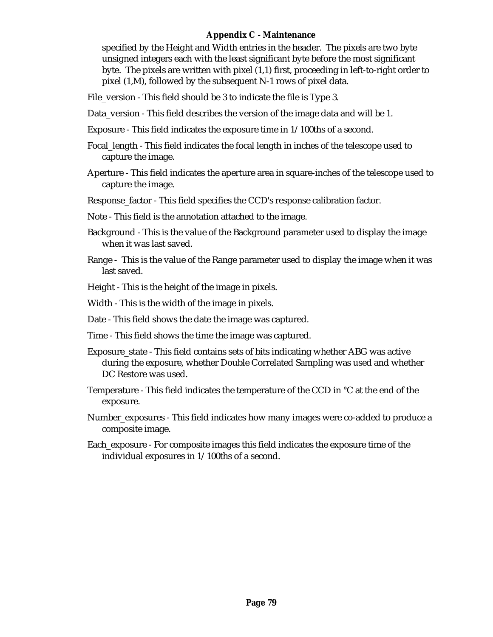specified by the Height and Width entries in the header. The pixels are two byte unsigned integers each with the least significant byte before the most significant byte. The pixels are written with pixel (1,1) first, proceeding in left-to-right order to pixel (1,M), followed by the subsequent N-1 rows of pixel data.

File\_version - This field should be 3 to indicate the file is Type 3.

- Data\_version This field describes the version of the image data and will be 1.
- Exposure This field indicates the exposure time in 1/100ths of a second.
- Focal\_length This field indicates the focal length in inches of the telescope used to capture the image.
- Aperture This field indicates the aperture area in square-inches of the telescope used to capture the image.
- Response\_factor This field specifies the CCD's response calibration factor.
- Note This field is the annotation attached to the image.
- Background This is the value of the Background parameter used to display the image when it was last saved.
- Range This is the value of the Range parameter used to display the image when it was last saved.
- Height This is the height of the image in pixels.
- Width This is the width of the image in pixels.
- Date This field shows the date the image was captured.
- Time This field shows the time the image was captured.
- Exposure\_state This field contains sets of bits indicating whether ABG was active during the exposure, whether Double Correlated Sampling was used and whether DC Restore was used.
- Temperature This field indicates the temperature of the CCD in °C at the end of the exposure.
- Number\_exposures This field indicates how many images were co-added to produce a composite image.
- Each\_exposure For composite images this field indicates the exposure time of the individual exposures in 1/100ths of a second.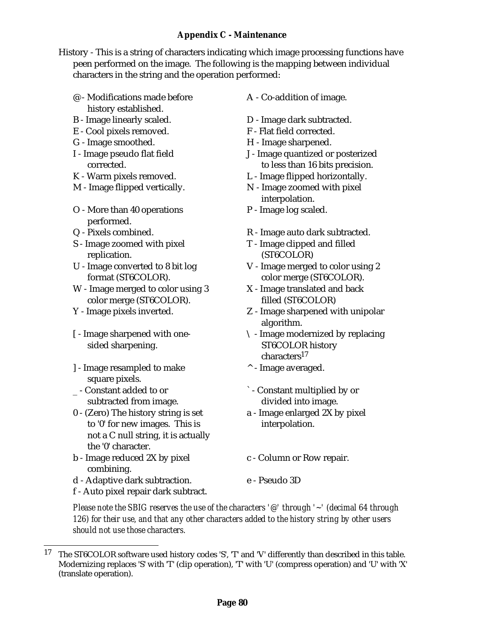History - This is a string of characters indicating which image processing functions have peen performed on the image. The following is the mapping between individual characters in the string and the operation performed:

- @ Modifications made before history established.
- 
- E Cool pixels removed. F Flat field corrected.
- G Image smoothed. H Image sharpened.
- I Image pseudo flat field corrected.
- 
- 
- O More than 40 operations performed.
- 
- S Image zoomed with pixel replication.
- U Image converted to 8 bit log format (ST6COLOR).
- W Image merged to color using 3 color merge (ST6COLOR).
- 
- [ Image sharpened with onesided sharpening.
- ] Image resampled to make square pixels.
- \_ Constant added to or subtracted from image.
- 0 (Zero) The history string is set to '0' for new images. This is not a C null string, it is actually the '0' character.
- b Image reduced 2X by pixel combining.
- d Adaptive dark subtraction. e Pseudo 3D

A - Co-addition of image.

- B Image linearly scaled. D Image dark subtracted.
	-
	-
	- J Image quantized or posterized to less than 16 bits precision.
- K Warm pixels removed. L Image flipped horizontally.
- M Image flipped vertically. N Image zoomed with pixel interpolation.
	- P Image log scaled.
- Q Pixels combined. R Image auto dark subtracted.
	- T Image clipped and filled (ST6COLOR)
	- V Image merged to color using 2 color merge (ST6COLOR).
	- X Image translated and back filled (ST6COLOR)
- Y Image pixels inverted. Z Image sharpened with unipolar algorithm.
	- \ Image modernized by replacing ST6COLOR history characters17
	- ^ Image averaged.
	- ` Constant multiplied by or divided into image.
	- a Image enlarged 2X by pixel interpolation.
	- c Column or Row repair.
	-
- f Auto pixel repair dark subtract.

*Please note the SBIG reserves the use of the characters '@' through '~' (decimal 64 through 126) for their use, and that any other characters added to the history string by other users should not use those characters.*

<sup>17</sup> The ST6COLOR software used history codes 'S', 'T' and 'V' differently than described in this table. Modernizing replaces 'S' with 'T' (clip operation), 'T' with 'U' (compress operation) and 'U' with 'X' (translate operation).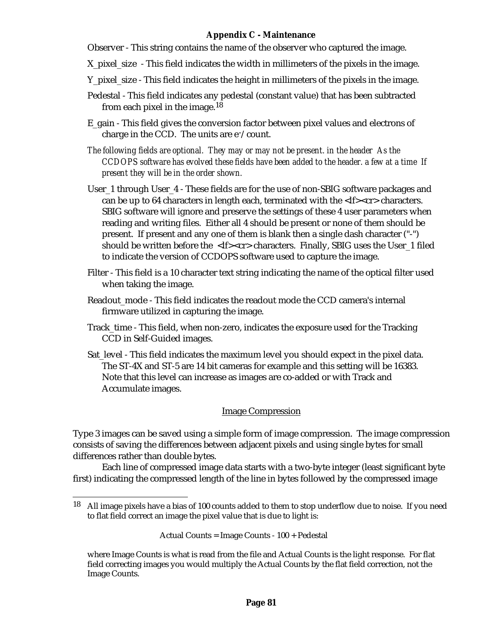Observer - This string contains the name of the observer who captured the image.

- X\_pixel\_size This field indicates the width in millimeters of the pixels in the image.
- Y\_pixel\_size This field indicates the height in millimeters of the pixels in the image.
- Pedestal This field indicates any pedestal (constant value) that has been subtracted from each pixel in the image.<sup>18</sup>
- E\_gain This field gives the conversion factor between pixel values and electrons of charge in the CCD. The units are  $e^-/count$ .
- *The following fields are optional. They may or may not be present. in the header As the CCDOPS software has evolved these fields have been added to the header. a few at a time If present they will be in the order shown.*
- User\_1 through User\_4 These fields are for the use of non-SBIG software packages and can be up to 64 characters in length each, terminated with the  $\langle$ If $\rangle$  $\langle$ cr $\rangle$ characters. SBIG software will ignore and preserve the settings of these 4 user parameters when reading and writing files. Either all 4 should be present or none of them should be present. If present and any one of them is blank then a single dash character ("-") should be written before the  $\langle$ -lf> $\langle$ cr>characters. Finally, SBIG uses the User 1 filed to indicate the version of CCDOPS software used to capture the image.
- Filter This field is a 10 character text string indicating the name of the optical filter used when taking the image.
- Readout\_mode This field indicates the readout mode the CCD camera's internal firmware utilized in capturing the image.
- Track\_time This field, when non-zero, indicates the exposure used for the Tracking CCD in Self-Guided images.
- Sat\_level This field indicates the maximum level you should expect in the pixel data. The ST-4X and ST-5 are 14 bit cameras for example and this setting will be 16383. Note that this level can increase as images are co-added or with Track and Accumulate images.

#### Image Compression

Type 3 images can be saved using a simple form of image compression. The image compression consists of saving the differences between adjacent pixels and using single bytes for small differences rather than double bytes.

Each line of compressed image data starts with a two-byte integer (least significant byte first) indicating the compressed length of the line in bytes followed by the compressed image

Actual Counts = Image Counts - 100 + Pedestal

<sup>18</sup> All image pixels have a bias of 100 counts added to them to stop underflow due to noise. If you need to flat field correct an image the pixel value that is due to light is:

where Image Counts is what is read from the file and Actual Counts is the light response. For flat field correcting images you would multiply the Actual Counts by the flat field correction, not the Image Counts.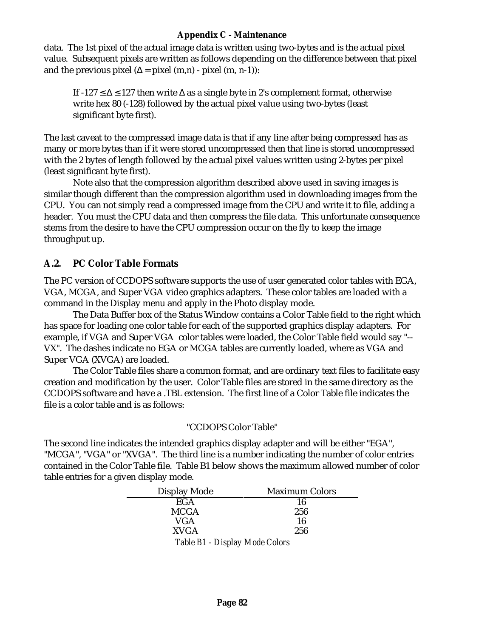data. The 1st pixel of the actual image data is written using two-bytes and is the actual pixel value. Subsequent pixels are written as follows depending on the difference between that pixel and the previous pixel  $( = pixel (m,n) - pixel (m, n-1))$ :

If -127 127 then write as a single byte in 2's complement format, otherwise write hex 80 (-128) followed by the actual pixel value using two-bytes (least significant byte first).

The last caveat to the compressed image data is that if any line after being compressed has as many or more bytes than if it were stored uncompressed then that line is stored uncompressed with the 2 bytes of length followed by the actual pixel values written using 2-bytes per pixel (least significant byte first).

Note also that the compression algorithm described above used in saving images is similar though different than the compression algorithm used in downloading images from the CPU. You can not simply read a compressed image from the CPU and write it to file, adding a header. You must the CPU data and then compress the file data. This unfortunate consequence stems from the desire to have the CPU compression occur on the fly to keep the image throughput up.

#### **A.2. PC Color Table Formats**

The PC version of CCDOPS software supports the use of user generated color tables with EGA, VGA, MCGA, and Super VGA video graphics adapters. These color tables are loaded with a command in the Display menu and apply in the Photo display mode.

The Data Buffer box of the Status Window contains a Color Table field to the right which has space for loading one color table for each of the supported graphics display adapters. For example, if VGA and Super VGA color tables were loaded, the Color Table field would say "-- VX". The dashes indicate no EGA or MCGA tables are currently loaded, where as VGA and Super VGA (XVGA) are loaded.

The Color Table files share a common format, and are ordinary text files to facilitate easy creation and modification by the user. Color Table files are stored in the same directory as the CCDOPS software and have a .TBL extension. The first line of a Color Table file indicates the file is a color table and is as follows:

#### "CCDOPS Color Table"

The second line indicates the intended graphics display adapter and will be either "EGA", "MCGA", "VGA" or "XVGA". The third line is a number indicating the number of color entries contained in the Color Table file. Table B1 below shows the maximum allowed number of color table entries for a given display mode.

| <b>Display Mode</b>            | <b>Maximum Colors</b> |
|--------------------------------|-----------------------|
| <b>EGA</b>                     | 16                    |
| <b>MCGA</b>                    | 256                   |
| VGA                            | 16                    |
| <b>XVGA</b>                    | 256                   |
| Table B1 - Display Mode Colors |                       |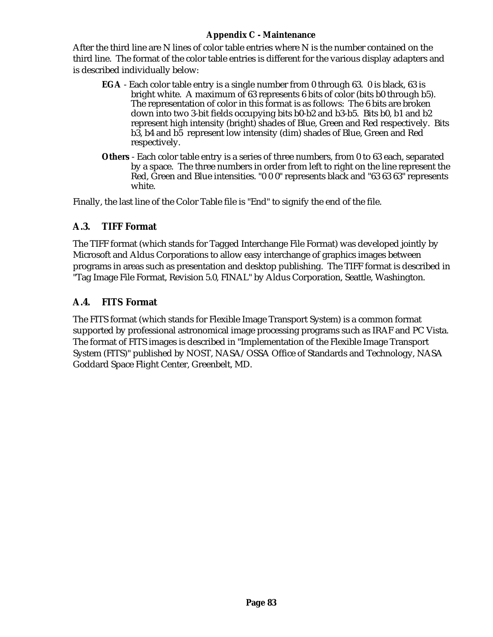After the third line are N lines of color table entries where N is the number contained on the third line. The format of the color table entries is different for the various display adapters and is described individually below:

- **EGA** Each color table entry is a single number from 0 through 63. 0 is black, 63 is bright white. A maximum of 63 represents 6 bits of color (bits b0 through b5). The representation of color in this format is as follows: The 6 bits are broken down into two 3-bit fields occupying bits b0-b2 and b3-b5. Bits b0, b1 and b2 represent high intensity (bright) shades of Blue, Green and Red respectively. Bits b3, b4 and b5 represent low intensity (dim) shades of Blue, Green and Red respectively.
- **Others** Each color table entry is a series of three numbers, from 0 to 63 each, separated by a space. The three numbers in order from left to right on the line represent the Red, Green and Blue intensities. "0 0 0" represents black and "63 63 63" represents white.

Finally, the last line of the Color Table file is "End" to signify the end of the file.

#### **A.3. TIFF Format**

The TIFF format (which stands for Tagged Interchange File Format) was developed jointly by Microsoft and Aldus Corporations to allow easy interchange of graphics images between programs in areas such as presentation and desktop publishing. The TIFF format is described in "Tag Image File Format, Revision 5.0, FINAL" by Aldus Corporation, Seattle, Washington.

#### **A.4. FITS Format**

The FITS format (which stands for Flexible Image Transport System) is a common format supported by professional astronomical image processing programs such as IRAF and PC Vista. The format of FITS images is described in "Implementation of the Flexible Image Transport System (FITS)" published by NOST, NASA/OSSA Office of Standards and Technology, NASA Goddard Space Flight Center, Greenbelt, MD.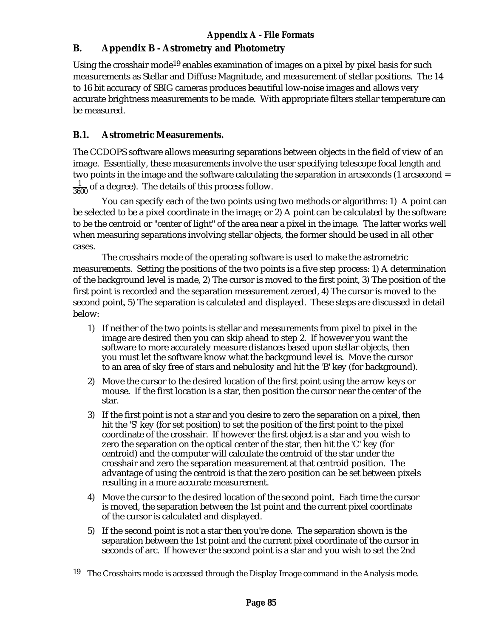## **B. Appendix B - Astrometry and Photometry**

Using the crosshair mode<sup>19</sup> enables examination of images on a pixel by pixel basis for such measurements as Stellar and Diffuse Magnitude, and measurement of stellar positions. The 14 to 16 bit accuracy of SBIG cameras produces beautiful low-noise images and allows very accurate brightness measurements to be made. With appropriate filters stellar temperature can be measured.

## **B.1. Astrometric Measurements.**

The CCDOPS software allows measuring separations between objects in the field of view of an image. Essentially, these measurements involve the user specifying telescope focal length and two points in the image and the software calculating the separation in arcseconds (1 arcsecond =  $\frac{1}{3600}$  of a degree). The details of this process follow.

You can specify each of the two points using two methods or algorithms: 1) A point can be selected to be a pixel coordinate in the image; or 2) A point can be calculated by the software to be the centroid or "center of light" of the area near a pixel in the image. The latter works well when measuring separations involving stellar objects, the former should be used in all other cases.

The crosshairs mode of the operating software is used to make the astrometric measurements. Setting the positions of the two points is a five step process: 1) A determination of the background level is made, 2) The cursor is moved to the first point, 3) The position of the first point is recorded and the separation measurement zeroed, 4) The cursor is moved to the second point, 5) The separation is calculated and displayed. These steps are discussed in detail below:

- 1) If neither of the two points is stellar and measurements from pixel to pixel in the image are desired then you can skip ahead to step 2. If however you want the software to more accurately measure distances based upon stellar objects, then you must let the software know what the background level is. Move the cursor to an area of sky free of stars and nebulosity and hit the 'B' key (for background).
- 2) Move the cursor to the desired location of the first point using the arrow keys or mouse. If the first location is a star, then position the cursor near the center of the star.
- 3) If the first point is not a star and you desire to zero the separation on a pixel, then hit the 'S' key (for set position) to set the position of the first point to the pixel coordinate of the crosshair. If however the first object is a star and you wish to zero the separation on the optical center of the star, then hit the 'C' key (for centroid) and the computer will calculate the centroid of the star under the crosshair and zero the separation measurement at that centroid position. The advantage of using the centroid is that the zero position can be set between pixels resulting in a more accurate measurement.
- 4) Move the cursor to the desired location of the second point. Each time the cursor is moved, the separation between the 1st point and the current pixel coordinate of the cursor is calculated and displayed.
- 5) If the second point is not a star then you're done. The separation shown is the separation between the 1st point and the current pixel coordinate of the cursor in seconds of arc. If however the second point is a star and you wish to set the 2nd

<sup>&</sup>lt;sup>19</sup> The Crosshairs mode is accessed through the Display Image command in the Analysis mode.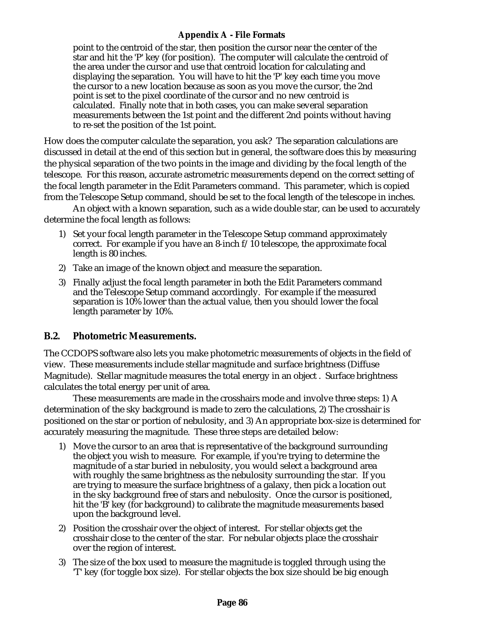#### **Appendix A - File Formats**

point to the centroid of the star, then position the cursor near the center of the star and hit the 'P' key (for position). The computer will calculate the centroid of the area under the cursor and use that centroid location for calculating and displaying the separation. You will have to hit the 'P' key each time you move the cursor to a new location because as soon as you move the cursor, the 2nd point is set to the pixel coordinate of the cursor and no new centroid is calculated. Finally note that in both cases, you can make several separation measurements between the 1st point and the different 2nd points without having to re-set the position of the 1st point.

How does the computer calculate the separation, you ask? The separation calculations are discussed in detail at the end of this section but in general, the software does this by measuring the physical separation of the two points in the image and dividing by the focal length of the telescope. For this reason, accurate astrometric measurements depend on the correct setting of the focal length parameter in the Edit Parameters command. This parameter, which is copied from the Telescope Setup command, should be set to the focal length of the telescope in inches.

An object with a known separation, such as a wide double star, can be used to accurately determine the focal length as follows:

- 1) Set your focal length parameter in the Telescope Setup command approximately correct. For example if you have an 8-inch f/10 telescope, the approximate focal length is 80 inches.
- 2) Take an image of the known object and measure the separation.
- 3) Finally adjust the focal length parameter in both the Edit Parameters command and the Telescope Setup command accordingly. For example if the measured separation is 10% lower than the actual value, then you should lower the focal length parameter by 10%.

#### **B.2. Photometric Measurements.**

The CCDOPS software also lets you make photometric measurements of objects in the field of view. These measurements include stellar magnitude and surface brightness (Diffuse Magnitude). Stellar magnitude measures the total energy in an object . Surface brightness calculates the total energy per unit of area.

These measurements are made in the crosshairs mode and involve three steps: 1) A determination of the sky background is made to zero the calculations, 2) The crosshair is positioned on the star or portion of nebulosity, and 3) An appropriate box-size is determined for accurately measuring the magnitude. These three steps are detailed below:

- 1) Move the cursor to an area that is representative of the background surrounding the object you wish to measure. For example, if you're trying to determine the magnitude of a star buried in nebulosity, you would select a background area with roughly the same brightness as the nebulosity surrounding the star. If you are trying to measure the surface brightness of a galaxy, then pick a location out in the sky background free of stars and nebulosity. Once the cursor is positioned, hit the 'B' key (for background) to calibrate the magnitude measurements based upon the background level.
- 2) Position the crosshair over the object of interest. For stellar objects get the crosshair close to the center of the star. For nebular objects place the crosshair over the region of interest.
- 3) The size of the box used to measure the magnitude is toggled through using the 'T' key (for toggle box size). For stellar objects the box size should be big enough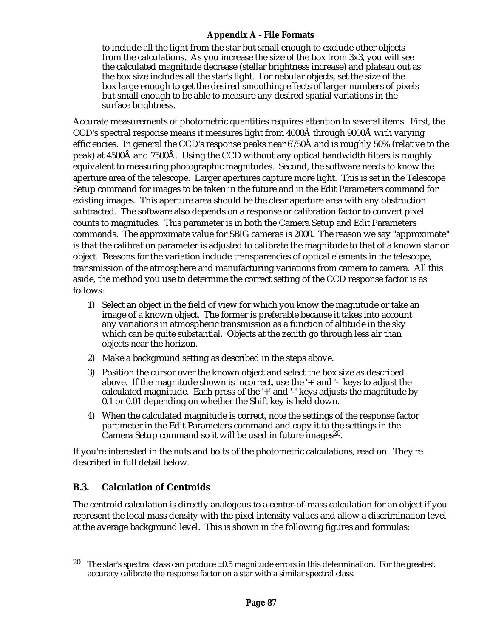#### **Appendix A - File Formats**

to include all the light from the star but small enough to exclude other objects from the calculations. As you increase the size of the box from 3x3, you will see the calculated magnitude decrease (stellar brightness increase) and plateau out as the box size includes all the star's light. For nebular objects, set the size of the box large enough to get the desired smoothing effects of larger numbers of pixels but small enough to be able to measure any desired spatial variations in the surface brightness.

Accurate measurements of photometric quantities requires attention to several items. First, the CCD's spectral response means it measures light from 4000Å through 9000Å with varying efficiencies. In general the CCD's response peaks near 6750Å and is roughly 50% (relative to the peak) at 4500Å and 7500Å. Using the CCD without any optical bandwidth filters is roughly equivalent to measuring photographic magnitudes. Second, the software needs to know the aperture area of the telescope. Larger apertures capture more light. This is set in the Telescope Setup command for images to be taken in the future and in the Edit Parameters command for existing images. This aperture area should be the clear aperture area with any obstruction subtracted. The software also depends on a response or calibration factor to convert pixel counts to magnitudes. This parameter is in both the Camera Setup and Edit Parameters commands. The approximate value for SBIG cameras is 2000. The reason we say "approximate" is that the calibration parameter is adjusted to calibrate the magnitude to that of a known star or object. Reasons for the variation include transparencies of optical elements in the telescope, transmission of the atmosphere and manufacturing variations from camera to camera. All this aside, the method you use to determine the correct setting of the CCD response factor is as follows:

- 1) Select an object in the field of view for which you know the magnitude or take an image of a known object. The former is preferable because it takes into account any variations in atmospheric transmission as a function of altitude in the sky which can be quite substantial. Objects at the zenith go through less air than objects near the horizon.
- 2) Make a background setting as described in the steps above.
- 3) Position the cursor over the known object and select the box size as described above. If the magnitude shown is incorrect, use the '+' and '-' keys to adjust the calculated magnitude. Each press of the '+' and '-' keys adjusts the magnitude by 0.1 or 0.01 depending on whether the Shift key is held down.
- 4) When the calculated magnitude is correct, note the settings of the response factor parameter in the Edit Parameters command and copy it to the settings in the Camera Setup command so it will be used in future images<sup>20</sup>.

If you're interested in the nuts and bolts of the photometric calculations, read on. They're described in full detail below.

#### **B.3. Calculation of Centroids**

The centroid calculation is directly analogous to a center-of-mass calculation for an object if you represent the local mass density with the pixel intensity values and allow a discrimination level at the average background level. This is shown in the following figures and formulas:

<sup>&</sup>lt;sup>20</sup> The star's spectral class can produce  $\pm 0.5$  magnitude errors in this determination. For the greatest accuracy calibrate the response factor on a star with a similar spectral class.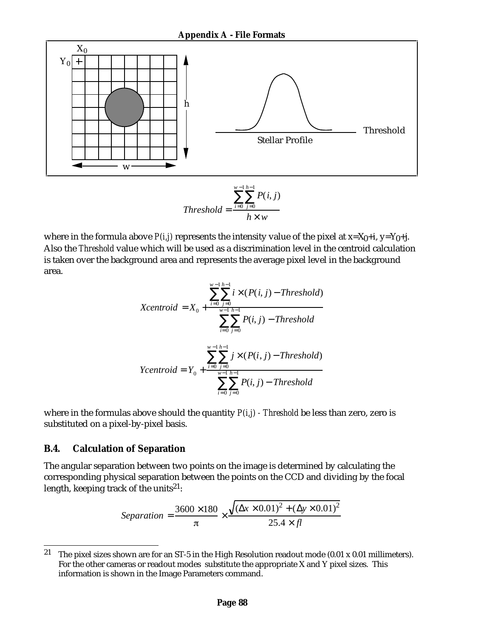

$$
P(i, j)
$$
\n
$$
Threshold = \frac{i = 0 \ j = 0}{h \times w}
$$

where in the formula above  $P(i,j)$  represents the intensity value of the pixel at  $x=X_0+i$ ,  $y=Y_0+i$ . Also the *Threshold* value which will be used as a discrimination level in the centroid calculation is taken over the background area and represents the average pixel level in the background area.

$$
x_{i} + \sum_{i=0}^{w-1} i \times (P(i, j) - Threshold)
$$
  

$$
Xcentroid = X_{0} + \frac{i=0 \ j=0}{w-1 \ h-1}
$$
  

$$
P(i, j) - Threshold
$$
  

$$
y \times (P(i, j) - Threshold)
$$
  

$$
Ycentroid = Y_{0} + \frac{i=0 \ j=0}{w-1 \ h-1}
$$
  

$$
P(i, j) - Threshold
$$
  

$$
i=0 \ j=0
$$

where in the formulas above should the quantity *P(i,j) - Threshold* be less than zero, zero is substituted on a pixel-by-pixel basis.

#### **B.4. Calculation of Separation**

The angular separation between two points on the image is determined by calculating the corresponding physical separation between the points on the CCD and dividing by the focal length, keeping track of the units<sup>21</sup>:

$$
Separation = \frac{3600 \times 180}{\pi} \times \frac{\sqrt{(x \times 0.01)^2 + (y \times 0.01)^2}}{25.4 \times fl}
$$

<sup>&</sup>lt;sup>21</sup> The pixel sizes shown are for an ST-5 in the High Resolution readout mode (0.01 x 0.01 millimeters). For the other cameras or readout modes substitute the appropriate X and Y pixel sizes. This information is shown in the Image Parameters command.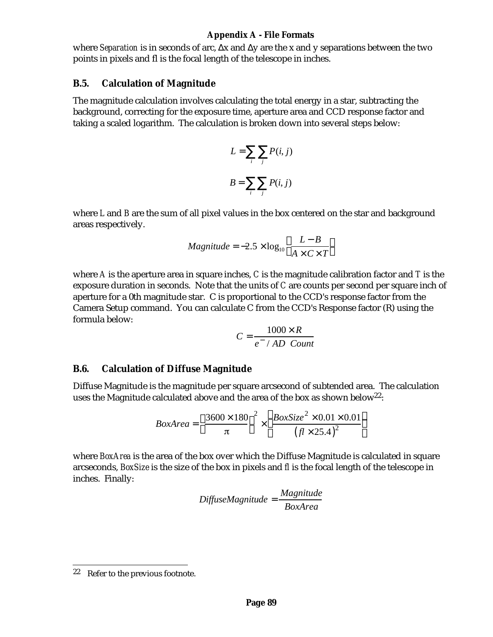#### **Appendix A - File Formats**

where *Separation* is in seconds of arc, x and y are the x and y separations between the two points in pixels and fl is the focal length of the telescope in inches.

#### **B.5. Calculation of Magnitude**

The magnitude calculation involves calculating the total energy in a star, subtracting the background, correcting for the exposure time, aperture area and CCD response factor and taking a scaled logarithm. The calculation is broken down into several steps below:

$$
L = \bigcap_{i \neq j} P(i, j)
$$

$$
B = \bigcap_{i \neq j} P(i, j)
$$

where *L* and *B* are the sum of all pixel values in the box centered on the star and background areas respectively.

$$
Magnitude = -2.5 \times \log_{10} \frac{L - B}{A \times C \times T}
$$

where *A* is the aperture area in square inches, *C* is the magnitude calibration factor and *T* is the exposure duration in seconds. Note that the units of *C* are counts per second per square inch of aperture for a 0th magnitude star. C is proportional to the CCD's response factor from the Camera Setup command. You can calculate C from the CCD's Response factor (R) using the formula below:

$$
C = \frac{1000 \times R}{e^- / AD \text{ Count}}
$$

#### **B.6. Calculation of Diffuse Magnitude**

Diffuse Magnitude is the magnitude per square arcsecond of subtended area. The calculation uses the Magnitude calculated above and the area of the box as shown below<sup>22</sup>:

$$
BoxArea = \frac{3600 \times 180}{\pi} \times \frac{BoxSize^{2} \times 0.01 \times 0.01}{(fl \times 25.4)^{2}}
$$

where *BoxArea* is the area of the box over which the Diffuse Magnitude is calculated in square arcseconds, *BoxSize* is the size of the box in pixels and *fl* is the focal length of the telescope in inches. Finally:

$$
Diff use Magnitude = \frac{Magnitude}{BoxArea}
$$

<sup>22</sup> Refer to the previous footnote.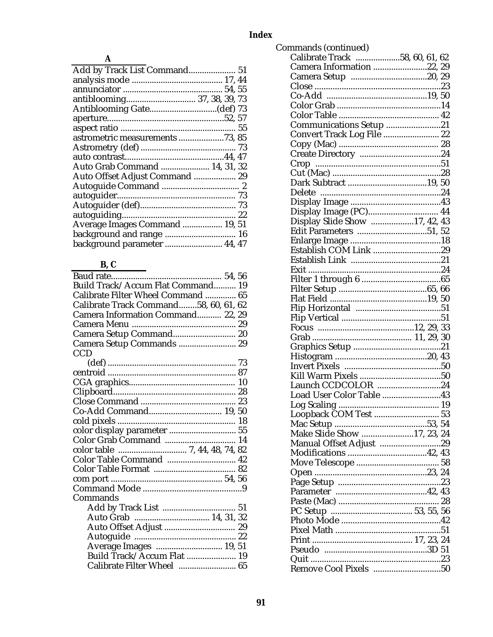| Add by Track List Command 51    |  |
|---------------------------------|--|
|                                 |  |
|                                 |  |
| antiblooming 37, 38, 39, 73     |  |
|                                 |  |
|                                 |  |
|                                 |  |
| astrometric measurements 73, 85 |  |
|                                 |  |
|                                 |  |
| Auto Grab Command  14, 31, 32   |  |
| Auto Offset Adjust Command  29  |  |
|                                 |  |
|                                 |  |
|                                 |  |
|                                 |  |
| Average Images Command  19, 51  |  |
| background and range  16        |  |
| background parameter  44, 47    |  |

# $B, C$

| Build Track/Accum Flat Command 19     |  |
|---------------------------------------|--|
| Calibrate Filter Wheel Command  65    |  |
| Calibrate Track Command58, 60, 61, 62 |  |
| Camera Information Command 22, 29     |  |
|                                       |  |
| Camera Setup Command 20               |  |
| Camera Setup Commands  29             |  |
| <b>CCD</b>                            |  |
|                                       |  |
|                                       |  |
|                                       |  |
|                                       |  |
|                                       |  |
|                                       |  |
|                                       |  |
| color display parameter  55           |  |
| Color Grab Command  14                |  |
|                                       |  |
| Color Table Command  42               |  |
|                                       |  |
|                                       |  |
|                                       |  |
| Commands                              |  |
|                                       |  |
|                                       |  |
|                                       |  |
|                                       |  |
| Average Images  19, 51                |  |
| Build Track/Accum Flat  19            |  |
| Calibrate Filter Wheel  65            |  |

| Commands (continued)              |  |  |
|-----------------------------------|--|--|
| Calibrate Track 58, 60, 61, 62    |  |  |
| Camera Information 22, 29         |  |  |
|                                   |  |  |
|                                   |  |  |
|                                   |  |  |
|                                   |  |  |
|                                   |  |  |
| Communications Setup 21           |  |  |
| <b>Convert Track Log File  22</b> |  |  |
|                                   |  |  |
|                                   |  |  |
| Crop                              |  |  |
|                                   |  |  |
|                                   |  |  |
|                                   |  |  |
|                                   |  |  |
| Display Image (PC) 44             |  |  |
| Display Slide Show 17, 42, 43     |  |  |
|                                   |  |  |
|                                   |  |  |
| Establish COM Link 29             |  |  |
|                                   |  |  |
|                                   |  |  |
|                                   |  |  |
|                                   |  |  |
|                                   |  |  |
|                                   |  |  |
|                                   |  |  |
|                                   |  |  |
|                                   |  |  |
|                                   |  |  |
|                                   |  |  |
|                                   |  |  |
|                                   |  |  |
|                                   |  |  |
| Launch CCDCOLOR 24                |  |  |
| Load User Color Table 43          |  |  |
|                                   |  |  |
| Loopback COM Test  53             |  |  |
|                                   |  |  |
| Make Slide Show 17, 23, 24        |  |  |
| Manual Offset Adjust 29           |  |  |
|                                   |  |  |
|                                   |  |  |
|                                   |  |  |
|                                   |  |  |
|                                   |  |  |
|                                   |  |  |
|                                   |  |  |
|                                   |  |  |
|                                   |  |  |
|                                   |  |  |
|                                   |  |  |
|                                   |  |  |
| Remove Cool Pixels 50             |  |  |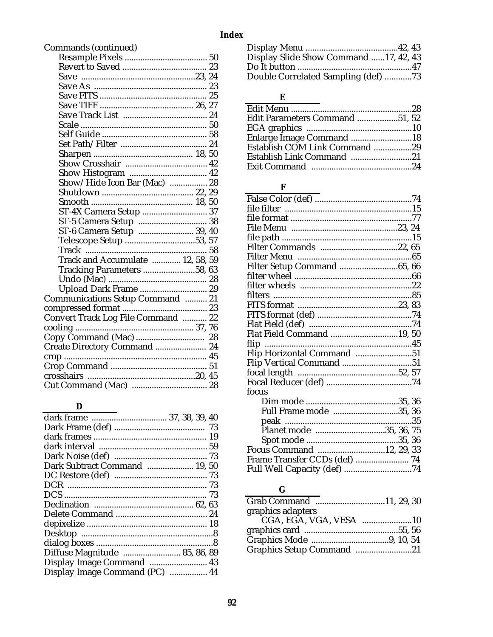| Commands (continued)               |
|------------------------------------|
|                                    |
|                                    |
|                                    |
|                                    |
|                                    |
|                                    |
|                                    |
|                                    |
|                                    |
|                                    |
|                                    |
|                                    |
|                                    |
| Show/Hide Icon Bar (Mac)  28       |
|                                    |
|                                    |
| ST-4X Camera Setup  37             |
| ST-5 Camera Setup  38              |
| ST-6 Camera Setup  39, 40          |
| Telescope Setup 53, 57             |
|                                    |
| Track and Accumulate  12, 58, 59   |
| Tracking Parameters 58, 63         |
|                                    |
| Upload Dark Frame  29              |
| Communications Setup Command  21   |
|                                    |
| Convert Track Log File Command  22 |
|                                    |
|                                    |
| Create Directory Command  24       |
|                                    |
|                                    |
|                                    |
|                                    |

## $\mathbf D$

| dark frame  37, 38, 39, 40     |  |
|--------------------------------|--|
|                                |  |
|                                |  |
|                                |  |
|                                |  |
| Dark Subtract Command  19, 50  |  |
|                                |  |
|                                |  |
|                                |  |
|                                |  |
|                                |  |
|                                |  |
|                                |  |
|                                |  |
| Diffuse Magnitude  85, 86, 89  |  |
| Display Image Command  43      |  |
| Display Image Command (PC)  44 |  |
|                                |  |

| Display Slide Show Command 17, 42, 43 |  |
|---------------------------------------|--|
|                                       |  |
| Double Correlated Sampling (def) 73   |  |

### $\bf E$

| Edit Parameters Command 51, 52 |  |
|--------------------------------|--|
|                                |  |
| Enlarge Image Command 18       |  |
| Establish COM Link Command 29  |  |
|                                |  |
|                                |  |

# $\mathbf F$

| Filter Setup Command 65, 66   |  |
|-------------------------------|--|
|                               |  |
|                               |  |
|                               |  |
|                               |  |
|                               |  |
|                               |  |
| Flat Field Command 19, 50     |  |
|                               |  |
| Flip Horizontal Command 51    |  |
| Flip Vertical Command 51      |  |
|                               |  |
|                               |  |
| focus                         |  |
|                               |  |
| Full Frame mode 35, 36        |  |
|                               |  |
| Planet mode 35, 36, 75        |  |
|                               |  |
| Focus Command 12, 29, 33      |  |
| Frame Transfer CCDs (def)  74 |  |
|                               |  |
|                               |  |

# $\overline{\mathbf{G}}$

| Graphics Setup Command 21 |
|---------------------------|
|                           |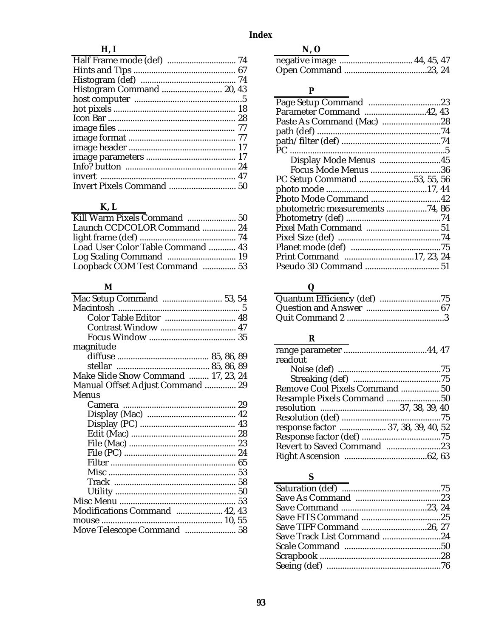# Index

## $H, I$

| Histogram Command  20, 43 |  |
|---------------------------|--|
|                           |  |
|                           |  |
|                           |  |
|                           |  |
|                           |  |
|                           |  |
|                           |  |
|                           |  |
|                           |  |
|                           |  |

# $K, L$

| Launch CCDCOLOR Command  24       |  |
|-----------------------------------|--|
|                                   |  |
| Load User Color Table Command  43 |  |
|                                   |  |
| Loopback COM Test Command  53     |  |

## $\mathbf M$

| Color Table Editor  48              |  |
|-------------------------------------|--|
| Contrast Window  47                 |  |
|                                     |  |
| magnitude                           |  |
|                                     |  |
|                                     |  |
| Make Slide Show Command  17, 23, 24 |  |
| Manual Offset Adjust Command  29    |  |
| <b>Menus</b>                        |  |
|                                     |  |
|                                     |  |
|                                     |  |
|                                     |  |
|                                     |  |
|                                     |  |
|                                     |  |
|                                     |  |
|                                     |  |
|                                     |  |
|                                     |  |
| Modifications Command  42, 43       |  |
|                                     |  |
| Move Telescope Command  58          |  |
|                                     |  |

## $N, O$

| $N_{\rm t}$ . $O$ |  |  |
|-------------------|--|--|
|                   |  |  |
|                   |  |  |

# $\mathbf{P}$

| Parameter Command 42, 43        |
|---------------------------------|
|                                 |
|                                 |
|                                 |
|                                 |
| Display Mode Menus 45           |
| <b>Focus Mode Menus 36</b>      |
| PC Setup Command 53, 55, 56     |
|                                 |
| Photo Mode Command 42           |
| photometric measurements 74, 86 |
|                                 |
|                                 |
|                                 |
|                                 |
| Print Command 17, 23, 24        |
|                                 |
|                                 |

# $\overline{\mathbf{Q}}$

# $\overline{\mathbf{R}}$

| readout                             |  |
|-------------------------------------|--|
|                                     |  |
|                                     |  |
| Remove Cool Pixels Command  50      |  |
|                                     |  |
|                                     |  |
|                                     |  |
| response factor  37, 38, 39, 40, 52 |  |
|                                     |  |
| Revert to Saved Command 23          |  |
|                                     |  |

# $\mathbf S$

| Save TIFF Command 26, 27   |
|----------------------------|
| Save Track List Command 24 |
|                            |
|                            |
|                            |
|                            |